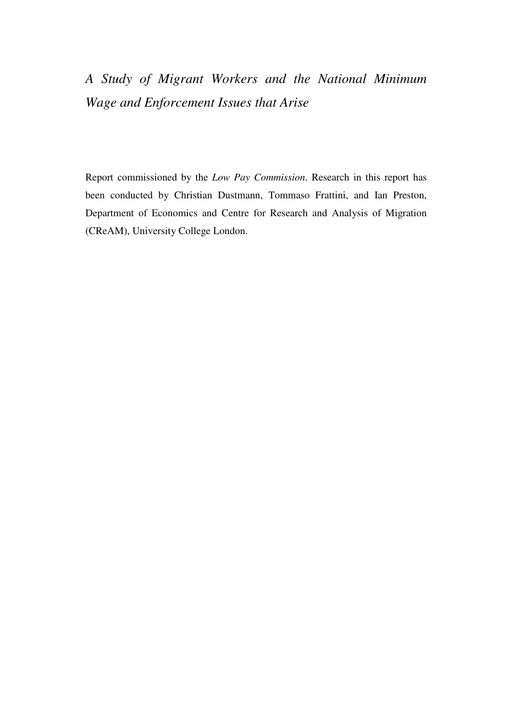# *A Study of Migrant Workers and the National Minimum Wage and Enforcement Issues that Arise*

Report commissioned by the *Low Pay Commission*. Research in this report has been conducted by Christian Dustmann, Tommaso Frattini, and Ian Preston, Department of Economics and Centre for Research and Analysis of Migration (CReAM), University College London.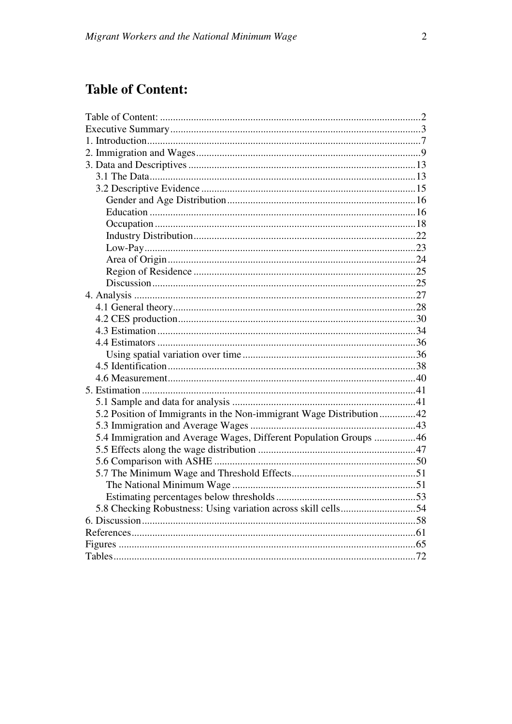# **Table of Content:**

| 5.2 Position of Immigrants in the Non-immigrant Wage Distribution42 |  |
|---------------------------------------------------------------------|--|
|                                                                     |  |
| 5.4 Immigration and Average Wages, Different Population Groups 46   |  |
|                                                                     |  |
|                                                                     |  |
|                                                                     |  |
|                                                                     |  |
|                                                                     |  |
|                                                                     |  |
|                                                                     |  |
|                                                                     |  |
|                                                                     |  |
|                                                                     |  |
|                                                                     |  |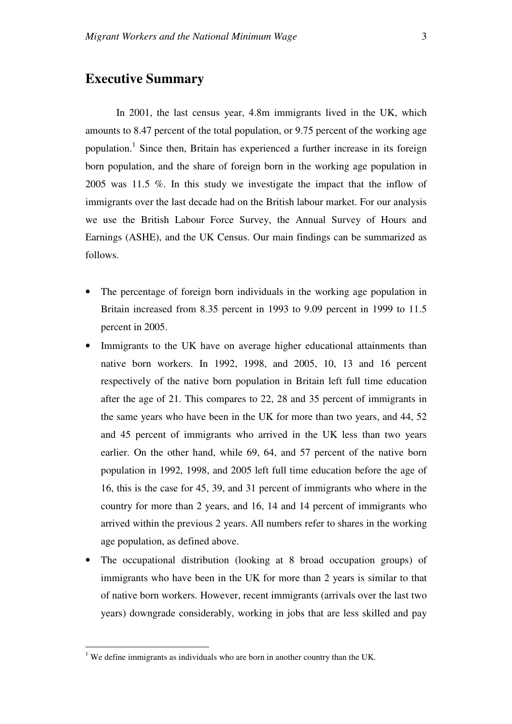# **Executive Summary**

In 2001, the last census year, 4.8m immigrants lived in the UK, which amounts to 8.47 percent of the total population, or 9.75 percent of the working age population.<sup>1</sup> Since then, Britain has experienced a further increase in its foreign born population, and the share of foreign born in the working age population in 2005 was 11.5 %. In this study we investigate the impact that the inflow of immigrants over the last decade had on the British labour market. For our analysis we use the British Labour Force Survey, the Annual Survey of Hours and Earnings (ASHE), and the UK Census. Our main findings can be summarized as follows.

- The percentage of foreign born individuals in the working age population in Britain increased from 8.35 percent in 1993 to 9.09 percent in 1999 to 11.5 percent in 2005.
- Immigrants to the UK have on average higher educational attainments than native born workers. In 1992, 1998, and 2005, 10, 13 and 16 percent respectively of the native born population in Britain left full time education after the age of 21. This compares to 22, 28 and 35 percent of immigrants in the same years who have been in the UK for more than two years, and 44, 52 and 45 percent of immigrants who arrived in the UK less than two years earlier. On the other hand, while 69, 64, and 57 percent of the native born population in 1992, 1998, and 2005 left full time education before the age of 16, this is the case for 45, 39, and 31 percent of immigrants who where in the country for more than 2 years, and 16, 14 and 14 percent of immigrants who arrived within the previous 2 years. All numbers refer to shares in the working age population, as defined above.
- The occupational distribution (looking at 8 broad occupation groups) of immigrants who have been in the UK for more than 2 years is similar to that of native born workers. However, recent immigrants (arrivals over the last two years) downgrade considerably, working in jobs that are less skilled and pay

 $\overline{a}$ 

 $<sup>1</sup>$  We define immigrants as individuals who are born in another country than the UK.</sup>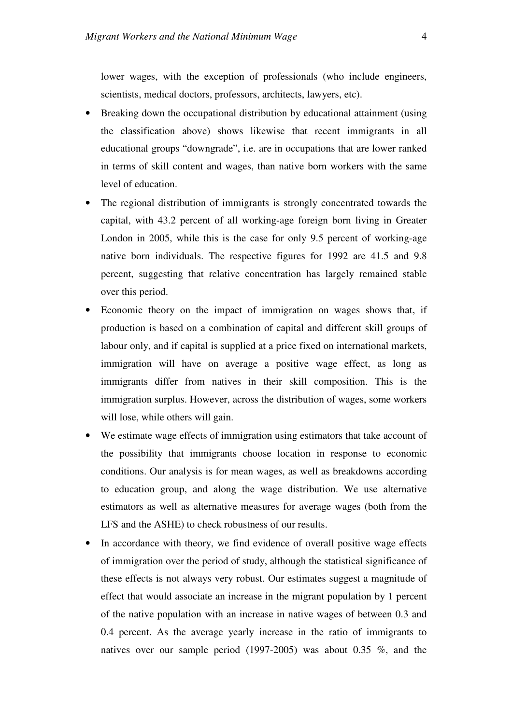lower wages, with the exception of professionals (who include engineers, scientists, medical doctors, professors, architects, lawyers, etc).

- Breaking down the occupational distribution by educational attainment (using the classification above) shows likewise that recent immigrants in all educational groups "downgrade", i.e. are in occupations that are lower ranked in terms of skill content and wages, than native born workers with the same level of education.
- The regional distribution of immigrants is strongly concentrated towards the capital, with 43.2 percent of all working-age foreign born living in Greater London in 2005, while this is the case for only 9.5 percent of working-age native born individuals. The respective figures for 1992 are 41.5 and 9.8 percent, suggesting that relative concentration has largely remained stable over this period.
- Economic theory on the impact of immigration on wages shows that, if production is based on a combination of capital and different skill groups of labour only, and if capital is supplied at a price fixed on international markets, immigration will have on average a positive wage effect, as long as immigrants differ from natives in their skill composition. This is the immigration surplus. However, across the distribution of wages, some workers will lose, while others will gain.
- We estimate wage effects of immigration using estimators that take account of the possibility that immigrants choose location in response to economic conditions. Our analysis is for mean wages, as well as breakdowns according to education group, and along the wage distribution. We use alternative estimators as well as alternative measures for average wages (both from the LFS and the ASHE) to check robustness of our results.
- In accordance with theory, we find evidence of overall positive wage effects of immigration over the period of study, although the statistical significance of these effects is not always very robust. Our estimates suggest a magnitude of effect that would associate an increase in the migrant population by 1 percent of the native population with an increase in native wages of between 0.3 and 0.4 percent. As the average yearly increase in the ratio of immigrants to natives over our sample period (1997-2005) was about 0.35 %, and the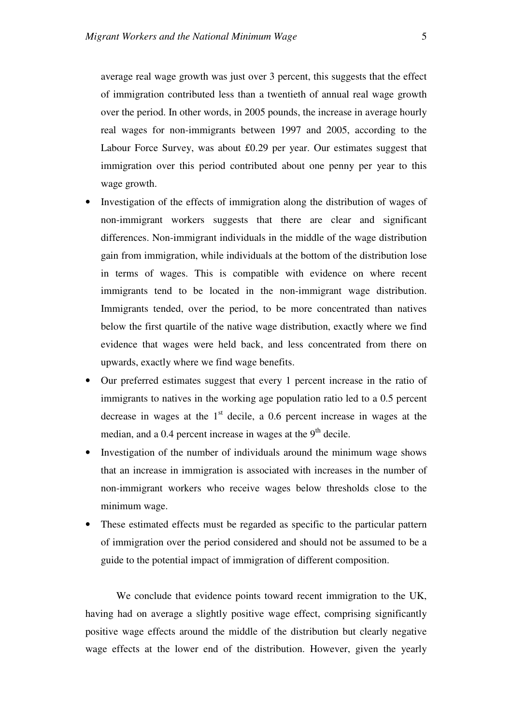average real wage growth was just over 3 percent, this suggests that the effect of immigration contributed less than a twentieth of annual real wage growth over the period. In other words, in 2005 pounds, the increase in average hourly real wages for non-immigrants between 1997 and 2005, according to the Labour Force Survey, was about £0.29 per year. Our estimates suggest that immigration over this period contributed about one penny per year to this wage growth.

- Investigation of the effects of immigration along the distribution of wages of non-immigrant workers suggests that there are clear and significant differences. Non-immigrant individuals in the middle of the wage distribution gain from immigration, while individuals at the bottom of the distribution lose in terms of wages. This is compatible with evidence on where recent immigrants tend to be located in the non-immigrant wage distribution. Immigrants tended, over the period, to be more concentrated than natives below the first quartile of the native wage distribution, exactly where we find evidence that wages were held back, and less concentrated from there on upwards, exactly where we find wage benefits.
- Our preferred estimates suggest that every 1 percent increase in the ratio of immigrants to natives in the working age population ratio led to a 0.5 percent decrease in wages at the  $1<sup>st</sup>$  decile, a 0.6 percent increase in wages at the median, and a  $0.4$  percent increase in wages at the  $9<sup>th</sup>$  decile.
- Investigation of the number of individuals around the minimum wage shows that an increase in immigration is associated with increases in the number of non-immigrant workers who receive wages below thresholds close to the minimum wage.
- These estimated effects must be regarded as specific to the particular pattern of immigration over the period considered and should not be assumed to be a guide to the potential impact of immigration of different composition.

We conclude that evidence points toward recent immigration to the UK, having had on average a slightly positive wage effect, comprising significantly positive wage effects around the middle of the distribution but clearly negative wage effects at the lower end of the distribution. However, given the yearly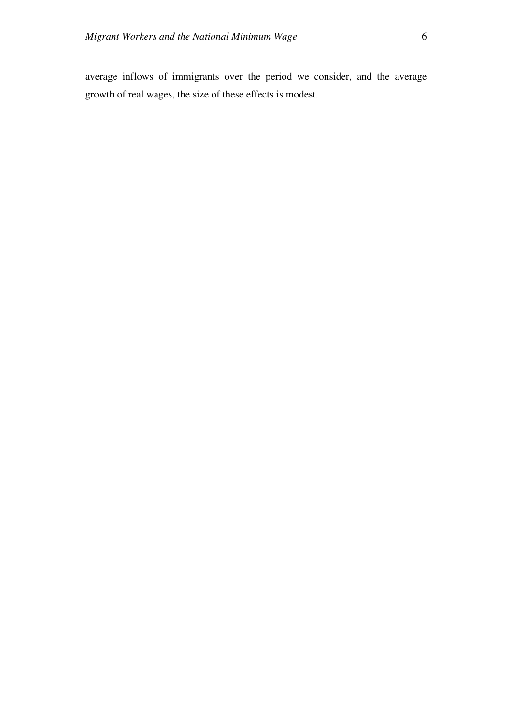average inflows of immigrants over the period we consider, and the average growth of real wages, the size of these effects is modest.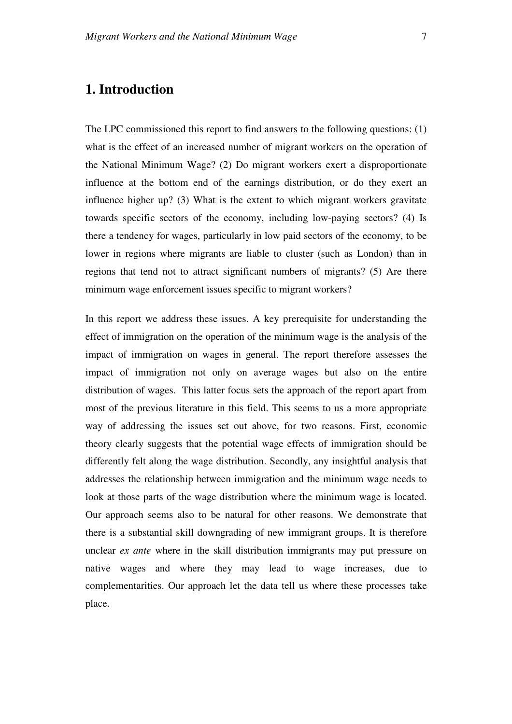# **1. Introduction**

The LPC commissioned this report to find answers to the following questions: (1) what is the effect of an increased number of migrant workers on the operation of the National Minimum Wage? (2) Do migrant workers exert a disproportionate influence at the bottom end of the earnings distribution, or do they exert an influence higher up? (3) What is the extent to which migrant workers gravitate towards specific sectors of the economy, including low-paying sectors? (4) Is there a tendency for wages, particularly in low paid sectors of the economy, to be lower in regions where migrants are liable to cluster (such as London) than in regions that tend not to attract significant numbers of migrants? (5) Are there minimum wage enforcement issues specific to migrant workers?

In this report we address these issues. A key prerequisite for understanding the effect of immigration on the operation of the minimum wage is the analysis of the impact of immigration on wages in general. The report therefore assesses the impact of immigration not only on average wages but also on the entire distribution of wages. This latter focus sets the approach of the report apart from most of the previous literature in this field. This seems to us a more appropriate way of addressing the issues set out above, for two reasons. First, economic theory clearly suggests that the potential wage effects of immigration should be differently felt along the wage distribution. Secondly, any insightful analysis that addresses the relationship between immigration and the minimum wage needs to look at those parts of the wage distribution where the minimum wage is located. Our approach seems also to be natural for other reasons. We demonstrate that there is a substantial skill downgrading of new immigrant groups. It is therefore unclear *ex ante* where in the skill distribution immigrants may put pressure on native wages and where they may lead to wage increases, due to complementarities. Our approach let the data tell us where these processes take place.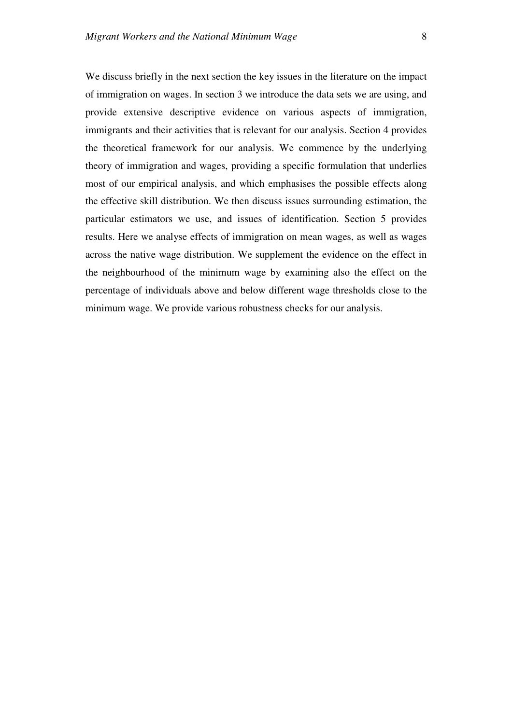We discuss briefly in the next section the key issues in the literature on the impact of immigration on wages. In section 3 we introduce the data sets we are using, and provide extensive descriptive evidence on various aspects of immigration, immigrants and their activities that is relevant for our analysis. Section 4 provides the theoretical framework for our analysis. We commence by the underlying theory of immigration and wages, providing a specific formulation that underlies most of our empirical analysis, and which emphasises the possible effects along the effective skill distribution. We then discuss issues surrounding estimation, the particular estimators we use, and issues of identification. Section 5 provides results. Here we analyse effects of immigration on mean wages, as well as wages across the native wage distribution. We supplement the evidence on the effect in the neighbourhood of the minimum wage by examining also the effect on the percentage of individuals above and below different wage thresholds close to the minimum wage. We provide various robustness checks for our analysis.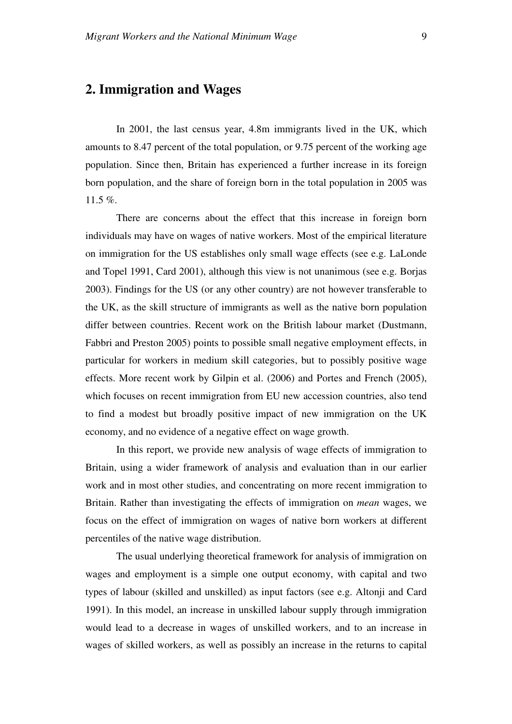# **2. Immigration and Wages**

In 2001, the last census year, 4.8m immigrants lived in the UK, which amounts to 8.47 percent of the total population, or 9.75 percent of the working age population. Since then, Britain has experienced a further increase in its foreign born population, and the share of foreign born in the total population in 2005 was 11.5 %.

There are concerns about the effect that this increase in foreign born individuals may have on wages of native workers. Most of the empirical literature on immigration for the US establishes only small wage effects (see e.g. LaLonde and Topel 1991, Card 2001), although this view is not unanimous (see e.g. Borjas 2003). Findings for the US (or any other country) are not however transferable to the UK, as the skill structure of immigrants as well as the native born population differ between countries. Recent work on the British labour market (Dustmann, Fabbri and Preston 2005) points to possible small negative employment effects, in particular for workers in medium skill categories, but to possibly positive wage effects. More recent work by Gilpin et al. (2006) and Portes and French (2005), which focuses on recent immigration from EU new accession countries, also tend to find a modest but broadly positive impact of new immigration on the UK economy, and no evidence of a negative effect on wage growth.

In this report, we provide new analysis of wage effects of immigration to Britain, using a wider framework of analysis and evaluation than in our earlier work and in most other studies, and concentrating on more recent immigration to Britain. Rather than investigating the effects of immigration on *mean* wages, we focus on the effect of immigration on wages of native born workers at different percentiles of the native wage distribution.

The usual underlying theoretical framework for analysis of immigration on wages and employment is a simple one output economy, with capital and two types of labour (skilled and unskilled) as input factors (see e.g. Altonji and Card 1991). In this model, an increase in unskilled labour supply through immigration would lead to a decrease in wages of unskilled workers, and to an increase in wages of skilled workers, as well as possibly an increase in the returns to capital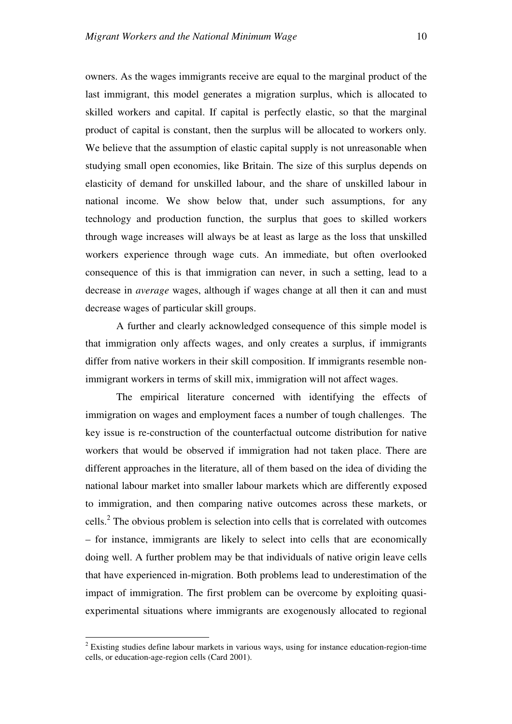owners. As the wages immigrants receive are equal to the marginal product of the last immigrant, this model generates a migration surplus, which is allocated to skilled workers and capital. If capital is perfectly elastic, so that the marginal product of capital is constant, then the surplus will be allocated to workers only*.*  We believe that the assumption of elastic capital supply is not unreasonable when studying small open economies, like Britain. The size of this surplus depends on elasticity of demand for unskilled labour, and the share of unskilled labour in national income. We show below that, under such assumptions, for any technology and production function, the surplus that goes to skilled workers through wage increases will always be at least as large as the loss that unskilled workers experience through wage cuts. An immediate, but often overlooked consequence of this is that immigration can never, in such a setting, lead to a decrease in *average* wages, although if wages change at all then it can and must decrease wages of particular skill groups.

A further and clearly acknowledged consequence of this simple model is that immigration only affects wages, and only creates a surplus, if immigrants differ from native workers in their skill composition. If immigrants resemble nonimmigrant workers in terms of skill mix, immigration will not affect wages.

The empirical literature concerned with identifying the effects of immigration on wages and employment faces a number of tough challenges. The key issue is re-construction of the counterfactual outcome distribution for native workers that would be observed if immigration had not taken place. There are different approaches in the literature, all of them based on the idea of dividing the national labour market into smaller labour markets which are differently exposed to immigration, and then comparing native outcomes across these markets, or cells.<sup>2</sup> The obvious problem is selection into cells that is correlated with outcomes – for instance, immigrants are likely to select into cells that are economically doing well. A further problem may be that individuals of native origin leave cells that have experienced in-migration. Both problems lead to underestimation of the impact of immigration. The first problem can be overcome by exploiting quasiexperimental situations where immigrants are exogenously allocated to regional

 $\overline{a}$ 

 $2$  Existing studies define labour markets in various ways, using for instance education-region-time cells, or education-age-region cells (Card 2001).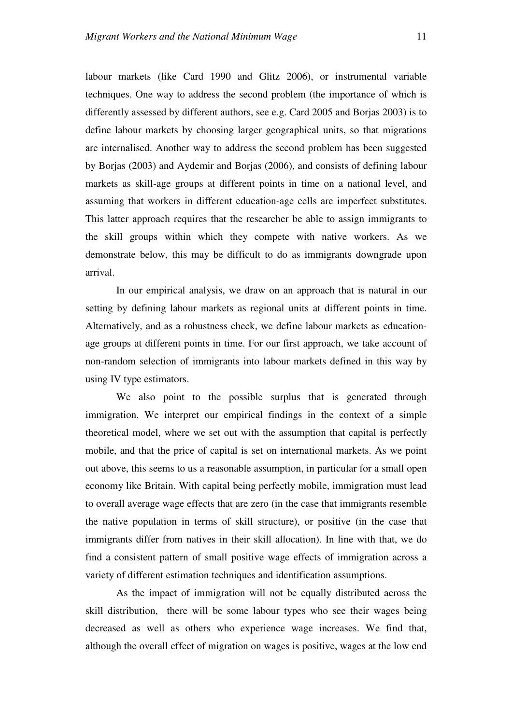labour markets (like Card 1990 and Glitz 2006), or instrumental variable techniques. One way to address the second problem (the importance of which is differently assessed by different authors, see e.g. Card 2005 and Borjas 2003) is to define labour markets by choosing larger geographical units, so that migrations are internalised. Another way to address the second problem has been suggested by Borjas (2003) and Aydemir and Borjas (2006), and consists of defining labour markets as skill-age groups at different points in time on a national level, and assuming that workers in different education-age cells are imperfect substitutes. This latter approach requires that the researcher be able to assign immigrants to the skill groups within which they compete with native workers. As we demonstrate below, this may be difficult to do as immigrants downgrade upon arrival.

In our empirical analysis, we draw on an approach that is natural in our setting by defining labour markets as regional units at different points in time. Alternatively, and as a robustness check, we define labour markets as educationage groups at different points in time. For our first approach, we take account of non-random selection of immigrants into labour markets defined in this way by using IV type estimators.

We also point to the possible surplus that is generated through immigration. We interpret our empirical findings in the context of a simple theoretical model, where we set out with the assumption that capital is perfectly mobile, and that the price of capital is set on international markets. As we point out above, this seems to us a reasonable assumption, in particular for a small open economy like Britain. With capital being perfectly mobile, immigration must lead to overall average wage effects that are zero (in the case that immigrants resemble the native population in terms of skill structure), or positive (in the case that immigrants differ from natives in their skill allocation). In line with that, we do find a consistent pattern of small positive wage effects of immigration across a variety of different estimation techniques and identification assumptions.

As the impact of immigration will not be equally distributed across the skill distribution, there will be some labour types who see their wages being decreased as well as others who experience wage increases. We find that, although the overall effect of migration on wages is positive, wages at the low end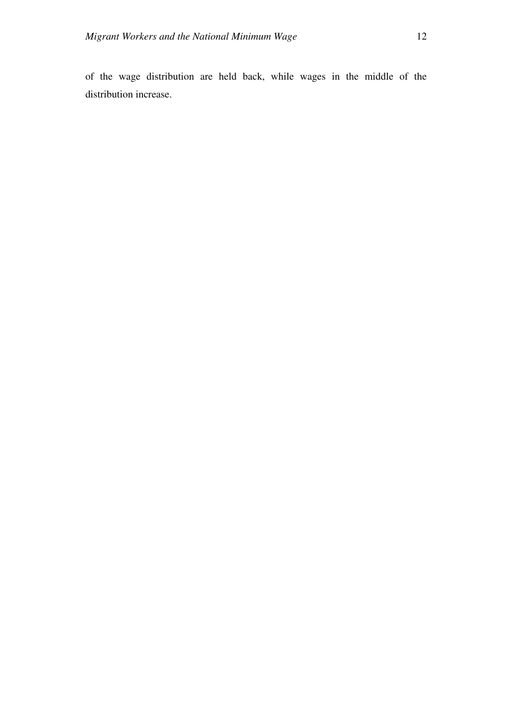of the wage distribution are held back, while wages in the middle of the distribution increase.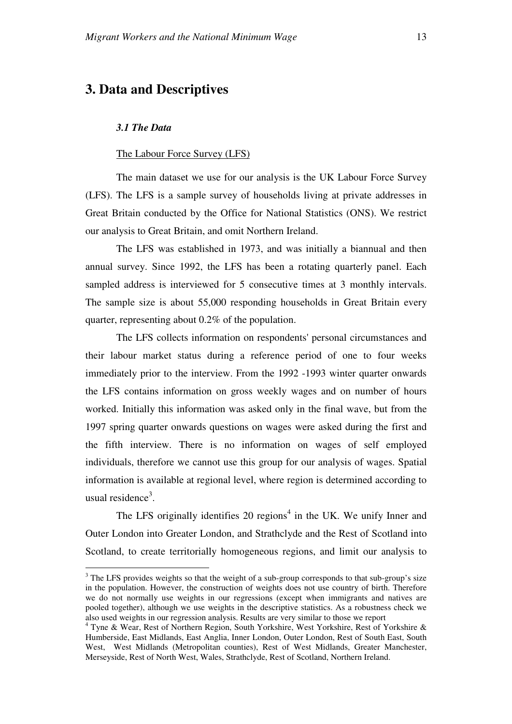# **3. Data and Descriptives**

# *3.1 The Data*

 $\overline{a}$ 

## The Labour Force Survey (LFS)

The main dataset we use for our analysis is the UK Labour Force Survey (LFS). The LFS is a sample survey of households living at private addresses in Great Britain conducted by the Office for National Statistics (ONS). We restrict our analysis to Great Britain, and omit Northern Ireland.

The LFS was established in 1973, and was initially a biannual and then annual survey. Since 1992, the LFS has been a rotating quarterly panel. Each sampled address is interviewed for 5 consecutive times at 3 monthly intervals. The sample size is about 55,000 responding households in Great Britain every quarter, representing about 0.2% of the population.

The LFS collects information on respondents' personal circumstances and their labour market status during a reference period of one to four weeks immediately prior to the interview. From the 1992 -1993 winter quarter onwards the LFS contains information on gross weekly wages and on number of hours worked. Initially this information was asked only in the final wave, but from the 1997 spring quarter onwards questions on wages were asked during the first and the fifth interview. There is no information on wages of self employed individuals, therefore we cannot use this group for our analysis of wages. Spatial information is available at regional level, where region is determined according to usual residence<sup>3</sup>.

The LFS originally identifies 20 regions<sup>4</sup> in the UK. We unify Inner and Outer London into Greater London, and Strathclyde and the Rest of Scotland into Scotland, to create territorially homogeneous regions, and limit our analysis to

 $3$  The LFS provides weights so that the weight of a sub-group corresponds to that sub-group's size in the population. However, the construction of weights does not use country of birth. Therefore we do not normally use weights in our regressions (except when immigrants and natives are pooled together), although we use weights in the descriptive statistics. As a robustness check we also used weights in our regression analysis. Results are very similar to those we report

<sup>4</sup> Tyne & Wear, Rest of Northern Region, South Yorkshire, West Yorkshire, Rest of Yorkshire & Humberside, East Midlands, East Anglia, Inner London, Outer London, Rest of South East, South West, West Midlands (Metropolitan counties), Rest of West Midlands, Greater Manchester, Merseyside, Rest of North West, Wales, Strathclyde, Rest of Scotland, Northern Ireland.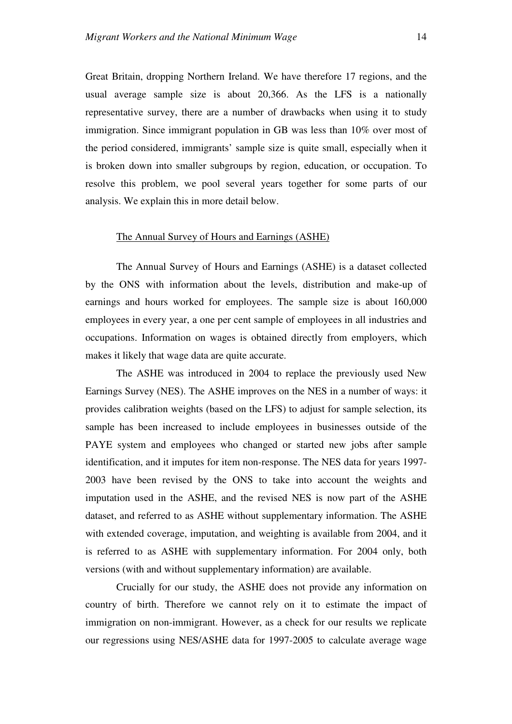Great Britain, dropping Northern Ireland. We have therefore 17 regions, and the usual average sample size is about 20,366. As the LFS is a nationally representative survey, there are a number of drawbacks when using it to study immigration. Since immigrant population in GB was less than 10% over most of the period considered, immigrants' sample size is quite small, especially when it is broken down into smaller subgroups by region, education, or occupation. To resolve this problem, we pool several years together for some parts of our analysis. We explain this in more detail below.

## The Annual Survey of Hours and Earnings (ASHE)

The Annual Survey of Hours and Earnings (ASHE) is a dataset collected by the ONS with information about the levels, distribution and make-up of earnings and hours worked for employees. The sample size is about 160,000 employees in every year, a one per cent sample of employees in all industries and occupations. Information on wages is obtained directly from employers, which makes it likely that wage data are quite accurate.

The ASHE was introduced in 2004 to replace the previously used New Earnings Survey (NES). The ASHE improves on the NES in a number of ways: it provides calibration weights (based on the LFS) to adjust for sample selection, its sample has been increased to include employees in businesses outside of the PAYE system and employees who changed or started new jobs after sample identification, and it imputes for item non-response. The NES data for years 1997- 2003 have been revised by the ONS to take into account the weights and imputation used in the ASHE, and the revised NES is now part of the ASHE dataset, and referred to as ASHE without supplementary information. The ASHE with extended coverage, imputation, and weighting is available from 2004, and it is referred to as ASHE with supplementary information. For 2004 only, both versions (with and without supplementary information) are available.

Crucially for our study, the ASHE does not provide any information on country of birth. Therefore we cannot rely on it to estimate the impact of immigration on non-immigrant. However, as a check for our results we replicate our regressions using NES/ASHE data for 1997-2005 to calculate average wage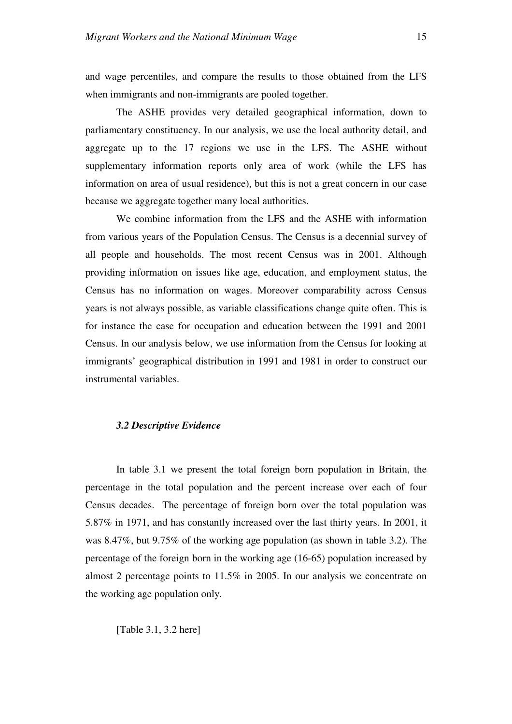and wage percentiles, and compare the results to those obtained from the LFS when immigrants and non-immigrants are pooled together.

The ASHE provides very detailed geographical information, down to parliamentary constituency. In our analysis, we use the local authority detail, and aggregate up to the 17 regions we use in the LFS. The ASHE without supplementary information reports only area of work (while the LFS has information on area of usual residence), but this is not a great concern in our case because we aggregate together many local authorities.

We combine information from the LFS and the ASHE with information from various years of the Population Census. The Census is a decennial survey of all people and households. The most recent Census was in 2001. Although providing information on issues like age, education, and employment status, the Census has no information on wages. Moreover comparability across Census years is not always possible, as variable classifications change quite often. This is for instance the case for occupation and education between the 1991 and 2001 Census. In our analysis below, we use information from the Census for looking at immigrants' geographical distribution in 1991 and 1981 in order to construct our instrumental variables.

# *3.2 Descriptive Evidence*

In table 3.1 we present the total foreign born population in Britain, the percentage in the total population and the percent increase over each of four Census decades. The percentage of foreign born over the total population was 5.87% in 1971, and has constantly increased over the last thirty years. In 2001, it was 8.47%, but 9.75% of the working age population (as shown in table 3.2). The percentage of the foreign born in the working age (16-65) population increased by almost 2 percentage points to 11.5% in 2005. In our analysis we concentrate on the working age population only.

[Table 3.1, 3.2 here]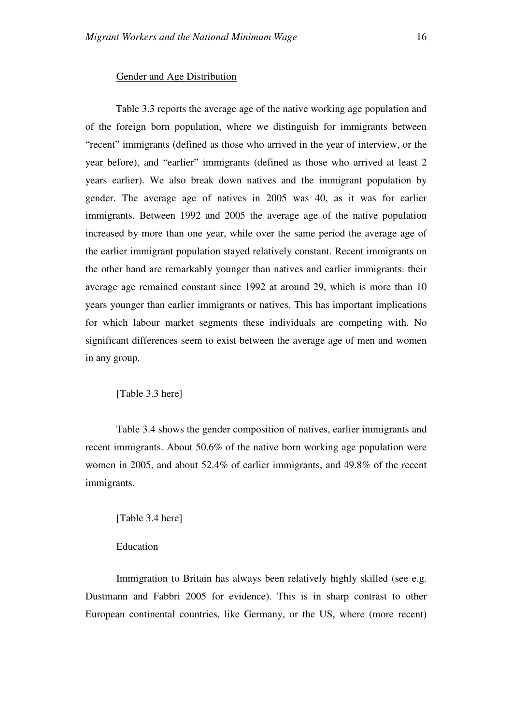#### Gender and Age Distribution

Table 3.3 reports the average age of the native working age population and of the foreign born population, where we distinguish for immigrants between "recent" immigrants (defined as those who arrived in the year of interview, or the year before), and "earlier" immigrants (defined as those who arrived at least 2 years earlier). We also break down natives and the immigrant population by gender. The average age of natives in 2005 was 40, as it was for earlier immigrants. Between 1992 and 2005 the average age of the native population increased by more than one year, while over the same period the average age of the earlier immigrant population stayed relatively constant. Recent immigrants on the other hand are remarkably younger than natives and earlier immigrants: their average age remained constant since 1992 at around 29, which is more than 10 years younger than earlier immigrants or natives. This has important implications for which labour market segments these individuals are competing with. No significant differences seem to exist between the average age of men and women in any group.

[Table 3.3 here]

Table 3.4 shows the gender composition of natives, earlier immigrants and recent immigrants. About 50.6% of the native born working age population were women in 2005, and about 52.4% of earlier immigrants, and 49.8% of the recent immigrants.

### [Table 3.4 here]

# **Education**

Immigration to Britain has always been relatively highly skilled (see e.g. Dustmann and Fabbri 2005 for evidence). This is in sharp contrast to other European continental countries, like Germany, or the US, where (more recent)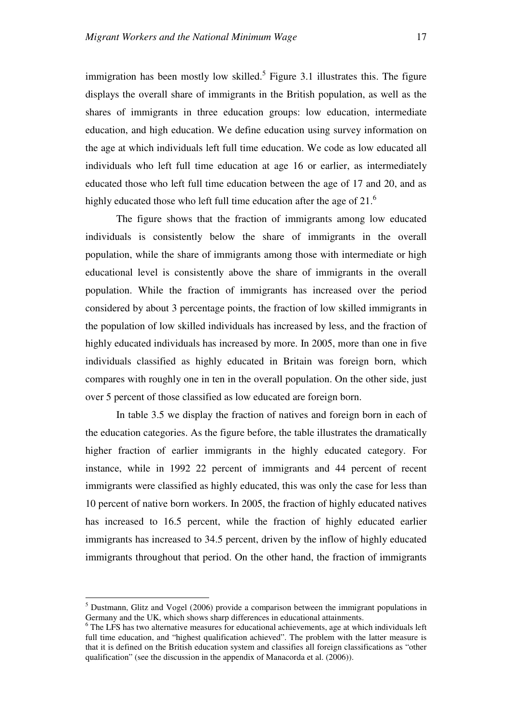immigration has been mostly low skilled.<sup>5</sup> Figure 3.1 illustrates this. The figure displays the overall share of immigrants in the British population, as well as the shares of immigrants in three education groups: low education, intermediate education, and high education. We define education using survey information on the age at which individuals left full time education. We code as low educated all individuals who left full time education at age 16 or earlier, as intermediately educated those who left full time education between the age of 17 and 20, and as highly educated those who left full time education after the age of  $21<sup>6</sup>$ 

The figure shows that the fraction of immigrants among low educated individuals is consistently below the share of immigrants in the overall population, while the share of immigrants among those with intermediate or high educational level is consistently above the share of immigrants in the overall population. While the fraction of immigrants has increased over the period considered by about 3 percentage points, the fraction of low skilled immigrants in the population of low skilled individuals has increased by less, and the fraction of highly educated individuals has increased by more. In 2005, more than one in five individuals classified as highly educated in Britain was foreign born, which compares with roughly one in ten in the overall population. On the other side, just over 5 percent of those classified as low educated are foreign born.

In table 3.5 we display the fraction of natives and foreign born in each of the education categories. As the figure before, the table illustrates the dramatically higher fraction of earlier immigrants in the highly educated category. For instance, while in 1992 22 percent of immigrants and 44 percent of recent immigrants were classified as highly educated, this was only the case for less than 10 percent of native born workers. In 2005, the fraction of highly educated natives has increased to 16.5 percent, while the fraction of highly educated earlier immigrants has increased to 34.5 percent, driven by the inflow of highly educated immigrants throughout that period. On the other hand, the fraction of immigrants

 $\overline{a}$ 

<sup>&</sup>lt;sup>5</sup> Dustmann, Glitz and Vogel (2006) provide a comparison between the immigrant populations in Germany and the UK, which shows sharp differences in educational attainments.

<sup>&</sup>lt;sup>6</sup> The LFS has two alternative measures for educational achievements, age at which individuals left full time education, and "highest qualification achieved". The problem with the latter measure is that it is defined on the British education system and classifies all foreign classifications as "other qualification" (see the discussion in the appendix of Manacorda et al. (2006)).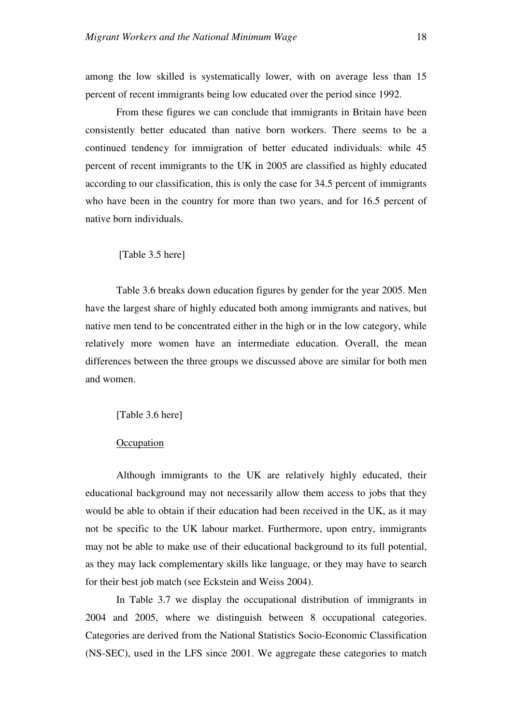among the low skilled is systematically lower, with on average less than 15 percent of recent immigrants being low educated over the period since 1992.

From these figures we can conclude that immigrants in Britain have been consistently better educated than native born workers. There seems to be a continued tendency for immigration of better educated individuals: while 45 percent of recent immigrants to the UK in 2005 are classified as highly educated according to our classification, this is only the case for 34.5 percent of immigrants who have been in the country for more than two years, and for 16.5 percent of native born individuals.

# [Table 3.5 here]

Table 3.6 breaks down education figures by gender for the year 2005. Men have the largest share of highly educated both among immigrants and natives, but native men tend to be concentrated either in the high or in the low category, while relatively more women have an intermediate education. Overall, the mean differences between the three groups we discussed above are similar for both men and women.

#### [Table 3.6 here]

# **Occupation**

Although immigrants to the UK are relatively highly educated, their educational background may not necessarily allow them access to jobs that they would be able to obtain if their education had been received in the UK, as it may not be specific to the UK labour market. Furthermore, upon entry, immigrants may not be able to make use of their educational background to its full potential, as they may lack complementary skills like language, or they may have to search for their best job match (see Eckstein and Weiss 2004).

In Table 3.7 we display the occupational distribution of immigrants in 2004 and 2005, where we distinguish between 8 occupational categories. Categories are derived from the National Statistics Socio-Economic Classification (NS-SEC), used in the LFS since 2001. We aggregate these categories to match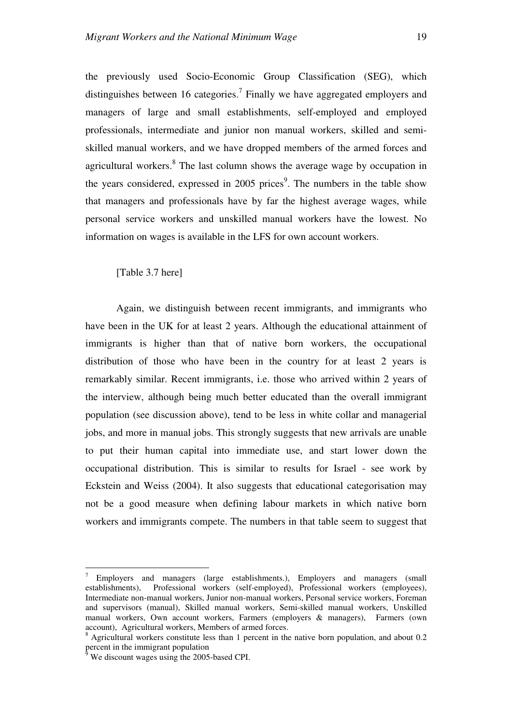the previously used Socio-Economic Group Classification (SEG), which distinguishes between 16 categories.<sup>7</sup> Finally we have aggregated employers and managers of large and small establishments, self-employed and employed professionals, intermediate and junior non manual workers, skilled and semiskilled manual workers, and we have dropped members of the armed forces and agricultural workers.<sup>8</sup> The last column shows the average wage by occupation in the years considered, expressed in 2005 prices<sup>9</sup>. The numbers in the table show that managers and professionals have by far the highest average wages, while personal service workers and unskilled manual workers have the lowest. No information on wages is available in the LFS for own account workers.

[Table 3.7 here]

Again, we distinguish between recent immigrants, and immigrants who have been in the UK for at least 2 years. Although the educational attainment of immigrants is higher than that of native born workers, the occupational distribution of those who have been in the country for at least 2 years is remarkably similar. Recent immigrants, i.e. those who arrived within 2 years of the interview, although being much better educated than the overall immigrant population (see discussion above), tend to be less in white collar and managerial jobs, and more in manual jobs. This strongly suggests that new arrivals are unable to put their human capital into immediate use, and start lower down the occupational distribution. This is similar to results for Israel - see work by Eckstein and Weiss (2004). It also suggests that educational categorisation may not be a good measure when defining labour markets in which native born workers and immigrants compete. The numbers in that table seem to suggest that

 $\overline{a}$ 

<sup>7</sup> Employers and managers (large establishments.), Employers and managers (small establishments), Professional workers (self-employed), Professional workers (employees), Intermediate non-manual workers, Junior non-manual workers, Personal service workers, Foreman and supervisors (manual), Skilled manual workers, Semi-skilled manual workers, Unskilled manual workers, Own account workers, Farmers (employers & managers), Farmers (own account), Agricultural workers, Members of armed forces.

<sup>8</sup> Agricultural workers constitute less than 1 percent in the native born population, and about 0.2 percent in the immigrant population<br><sup>9</sup> We discount wages using the 2005

We discount wages using the 2005-based CPI.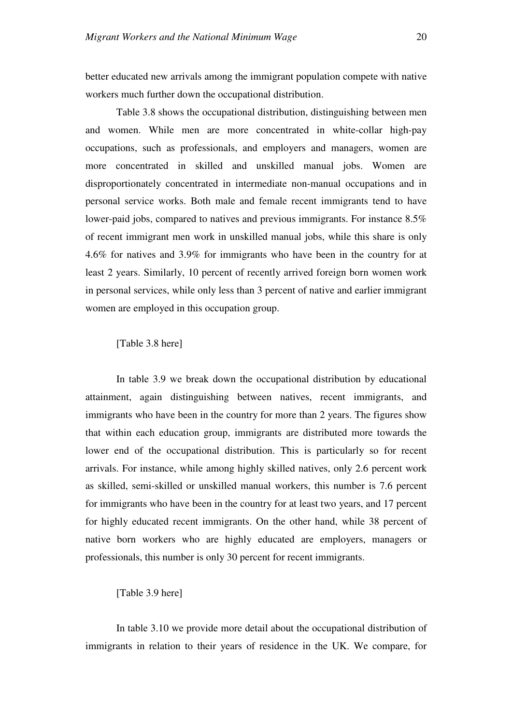better educated new arrivals among the immigrant population compete with native workers much further down the occupational distribution.

Table 3.8 shows the occupational distribution, distinguishing between men and women. While men are more concentrated in white-collar high-pay occupations, such as professionals, and employers and managers, women are more concentrated in skilled and unskilled manual jobs. Women are disproportionately concentrated in intermediate non-manual occupations and in personal service works. Both male and female recent immigrants tend to have lower-paid jobs, compared to natives and previous immigrants. For instance 8.5% of recent immigrant men work in unskilled manual jobs, while this share is only 4.6% for natives and 3.9% for immigrants who have been in the country for at least 2 years. Similarly, 10 percent of recently arrived foreign born women work in personal services, while only less than 3 percent of native and earlier immigrant women are employed in this occupation group.

[Table 3.8 here]

In table 3.9 we break down the occupational distribution by educational attainment, again distinguishing between natives, recent immigrants, and immigrants who have been in the country for more than 2 years. The figures show that within each education group, immigrants are distributed more towards the lower end of the occupational distribution. This is particularly so for recent arrivals. For instance, while among highly skilled natives, only 2.6 percent work as skilled, semi-skilled or unskilled manual workers, this number is 7.6 percent for immigrants who have been in the country for at least two years, and 17 percent for highly educated recent immigrants. On the other hand, while 38 percent of native born workers who are highly educated are employers, managers or professionals, this number is only 30 percent for recent immigrants.

[Table 3.9 here]

In table 3.10 we provide more detail about the occupational distribution of immigrants in relation to their years of residence in the UK. We compare, for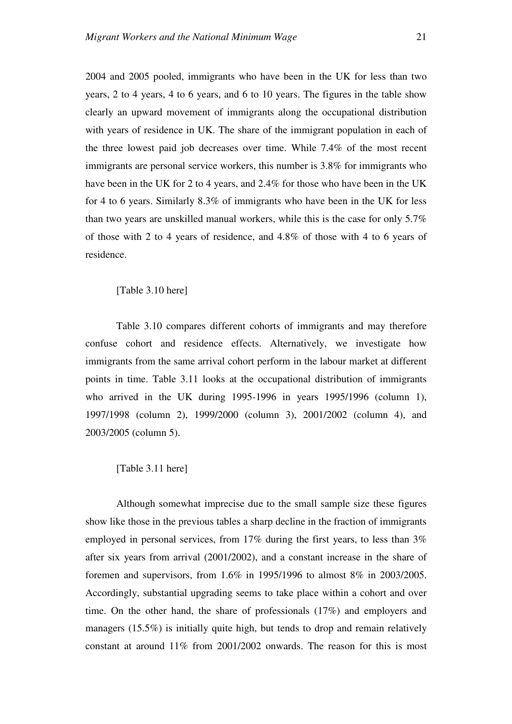2004 and 2005 pooled, immigrants who have been in the UK for less than two years, 2 to 4 years, 4 to 6 years, and 6 to 10 years. The figures in the table show clearly an upward movement of immigrants along the occupational distribution with years of residence in UK. The share of the immigrant population in each of the three lowest paid job decreases over time. While 7.4% of the most recent immigrants are personal service workers, this number is 3.8% for immigrants who have been in the UK for 2 to 4 years, and 2.4% for those who have been in the UK for 4 to 6 years. Similarly 8.3% of immigrants who have been in the UK for less than two years are unskilled manual workers, while this is the case for only 5.7% of those with 2 to 4 years of residence, and 4.8% of those with 4 to 6 years of residence.

[Table 3.10 here]

Table 3.10 compares different cohorts of immigrants and may therefore confuse cohort and residence effects. Alternatively, we investigate how immigrants from the same arrival cohort perform in the labour market at different points in time. Table 3.11 looks at the occupational distribution of immigrants who arrived in the UK during 1995-1996 in years 1995/1996 (column 1), 1997/1998 (column 2), 1999/2000 (column 3), 2001/2002 (column 4), and 2003/2005 (column 5).

[Table 3.11 here]

Although somewhat imprecise due to the small sample size these figures show like those in the previous tables a sharp decline in the fraction of immigrants employed in personal services, from 17% during the first years, to less than 3% after six years from arrival (2001/2002), and a constant increase in the share of foremen and supervisors, from 1.6% in 1995/1996 to almost 8% in 2003/2005. Accordingly, substantial upgrading seems to take place within a cohort and over time. On the other hand, the share of professionals (17%) and employers and managers (15.5%) is initially quite high, but tends to drop and remain relatively constant at around 11% from 2001/2002 onwards. The reason for this is most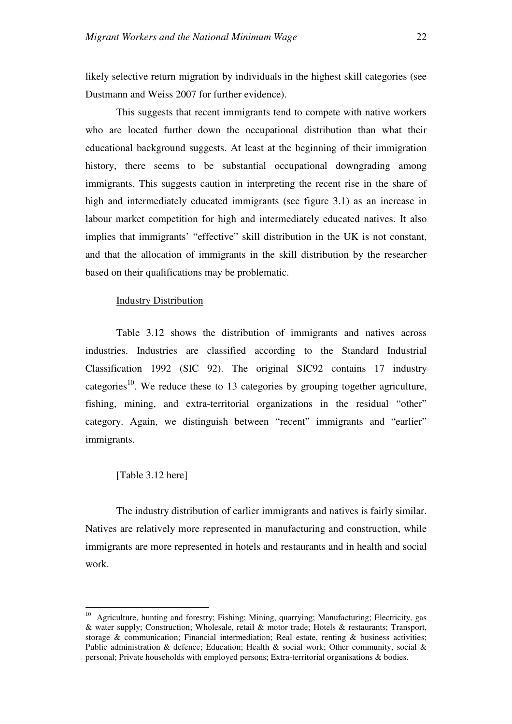likely selective return migration by individuals in the highest skill categories (see Dustmann and Weiss 2007 for further evidence).

This suggests that recent immigrants tend to compete with native workers who are located further down the occupational distribution than what their educational background suggests. At least at the beginning of their immigration history, there seems to be substantial occupational downgrading among immigrants. This suggests caution in interpreting the recent rise in the share of high and intermediately educated immigrants (see figure 3.1) as an increase in labour market competition for high and intermediately educated natives. It also implies that immigrants' "effective" skill distribution in the UK is not constant, and that the allocation of immigrants in the skill distribution by the researcher based on their qualifications may be problematic.

# Industry Distribution

Table 3.12 shows the distribution of immigrants and natives across industries. Industries are classified according to the Standard Industrial Classification 1992 (SIC 92). The original SIC92 contains 17 industry categories<sup>10</sup>. We reduce these to 13 categories by grouping together agriculture, fishing, mining, and extra-territorial organizations in the residual "other" category. Again, we distinguish between "recent" immigrants and "earlier" immigrants.

# [Table 3.12 here]

 $\overline{a}$ 

The industry distribution of earlier immigrants and natives is fairly similar. Natives are relatively more represented in manufacturing and construction, while immigrants are more represented in hotels and restaurants and in health and social work.

<sup>&</sup>lt;sup>10</sup> Agriculture, hunting and forestry; Fishing; Mining, quarrying; Manufacturing; Electricity, gas & water supply; Construction; Wholesale, retail & motor trade; Hotels & restaurants; Transport, storage & communication; Financial intermediation; Real estate, renting & business activities; Public administration & defence; Education; Health & social work; Other community, social & personal; Private households with employed persons; Extra-territorial organisations & bodies.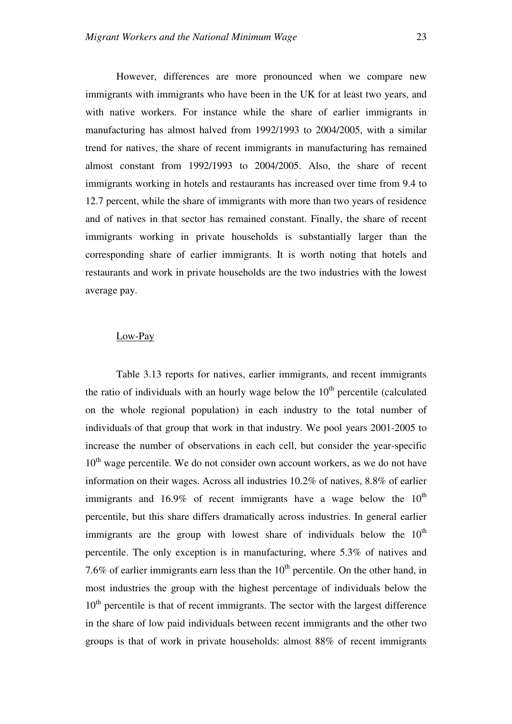However, differences are more pronounced when we compare new immigrants with immigrants who have been in the UK for at least two years, and with native workers. For instance while the share of earlier immigrants in manufacturing has almost halved from 1992/1993 to 2004/2005, with a similar trend for natives, the share of recent immigrants in manufacturing has remained almost constant from 1992/1993 to 2004/2005. Also, the share of recent immigrants working in hotels and restaurants has increased over time from 9.4 to 12.7 percent, while the share of immigrants with more than two years of residence and of natives in that sector has remained constant. Finally, the share of recent immigrants working in private households is substantially larger than the corresponding share of earlier immigrants. It is worth noting that hotels and restaurants and work in private households are the two industries with the lowest average pay.

### Low-Pay

Table 3.13 reports for natives, earlier immigrants, and recent immigrants the ratio of individuals with an hourly wage below the  $10<sup>th</sup>$  percentile (calculated on the whole regional population) in each industry to the total number of individuals of that group that work in that industry. We pool years 2001-2005 to increase the number of observations in each cell, but consider the year-specific  $10<sup>th</sup>$  wage percentile. We do not consider own account workers, as we do not have information on their wages. Across all industries 10.2% of natives, 8.8% of earlier immigrants and 16.9% of recent immigrants have a wage below the  $10<sup>th</sup>$ percentile, but this share differs dramatically across industries. In general earlier immigrants are the group with lowest share of individuals below the  $10<sup>th</sup>$ percentile. The only exception is in manufacturing, where 5.3% of natives and 7.6% of earlier immigrants earn less than the  $10<sup>th</sup>$  percentile. On the other hand, in most industries the group with the highest percentage of individuals below the  $10<sup>th</sup>$  percentile is that of recent immigrants. The sector with the largest difference in the share of low paid individuals between recent immigrants and the other two groups is that of work in private households: almost 88% of recent immigrants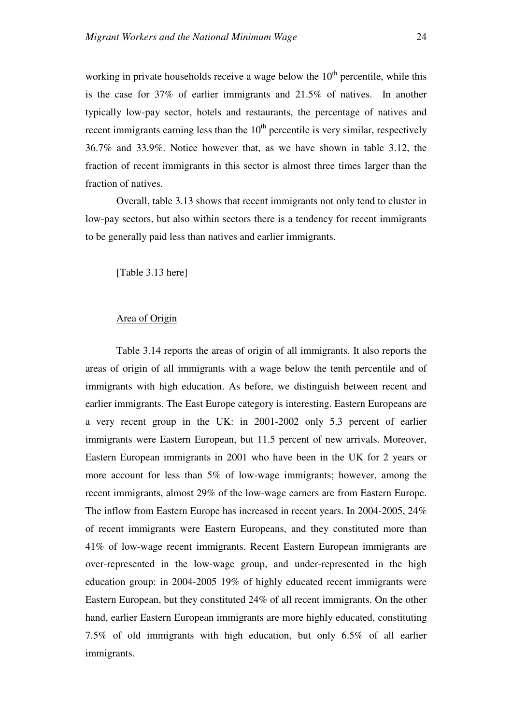working in private households receive a wage below the  $10<sup>th</sup>$  percentile, while this is the case for 37% of earlier immigrants and 21.5% of natives. In another typically low-pay sector, hotels and restaurants, the percentage of natives and recent immigrants earning less than the  $10<sup>th</sup>$  percentile is very similar, respectively 36.7% and 33.9%. Notice however that, as we have shown in table 3.12, the fraction of recent immigrants in this sector is almost three times larger than the fraction of natives.

Overall, table 3.13 shows that recent immigrants not only tend to cluster in low-pay sectors, but also within sectors there is a tendency for recent immigrants to be generally paid less than natives and earlier immigrants.

[Table 3.13 here]

# Area of Origin

Table 3.14 reports the areas of origin of all immigrants. It also reports the areas of origin of all immigrants with a wage below the tenth percentile and of immigrants with high education. As before, we distinguish between recent and earlier immigrants. The East Europe category is interesting. Eastern Europeans are a very recent group in the UK: in 2001-2002 only 5.3 percent of earlier immigrants were Eastern European, but 11.5 percent of new arrivals. Moreover, Eastern European immigrants in 2001 who have been in the UK for 2 years or more account for less than 5% of low-wage immigrants; however, among the recent immigrants, almost 29% of the low-wage earners are from Eastern Europe. The inflow from Eastern Europe has increased in recent years. In 2004-2005, 24% of recent immigrants were Eastern Europeans, and they constituted more than 41% of low-wage recent immigrants. Recent Eastern European immigrants are over-represented in the low-wage group, and under-represented in the high education group: in 2004-2005 19% of highly educated recent immigrants were Eastern European, but they constituted 24% of all recent immigrants. On the other hand, earlier Eastern European immigrants are more highly educated, constituting 7.5% of old immigrants with high education, but only 6.5% of all earlier immigrants.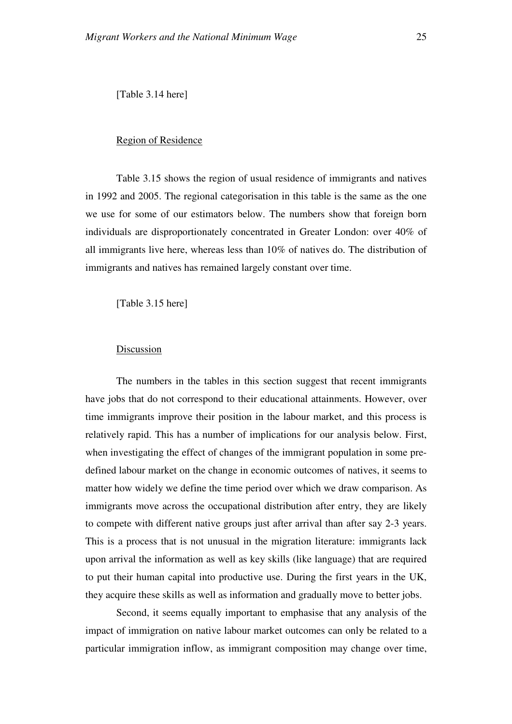[Table 3.14 here]

## Region of Residence

Table 3.15 shows the region of usual residence of immigrants and natives in 1992 and 2005. The regional categorisation in this table is the same as the one we use for some of our estimators below. The numbers show that foreign born individuals are disproportionately concentrated in Greater London: over 40% of all immigrants live here, whereas less than 10% of natives do. The distribution of immigrants and natives has remained largely constant over time.

[Table 3.15 here]

# Discussion

The numbers in the tables in this section suggest that recent immigrants have jobs that do not correspond to their educational attainments. However, over time immigrants improve their position in the labour market, and this process is relatively rapid. This has a number of implications for our analysis below. First, when investigating the effect of changes of the immigrant population in some predefined labour market on the change in economic outcomes of natives, it seems to matter how widely we define the time period over which we draw comparison. As immigrants move across the occupational distribution after entry, they are likely to compete with different native groups just after arrival than after say 2-3 years. This is a process that is not unusual in the migration literature: immigrants lack upon arrival the information as well as key skills (like language) that are required to put their human capital into productive use. During the first years in the UK, they acquire these skills as well as information and gradually move to better jobs.

Second, it seems equally important to emphasise that any analysis of the impact of immigration on native labour market outcomes can only be related to a particular immigration inflow, as immigrant composition may change over time,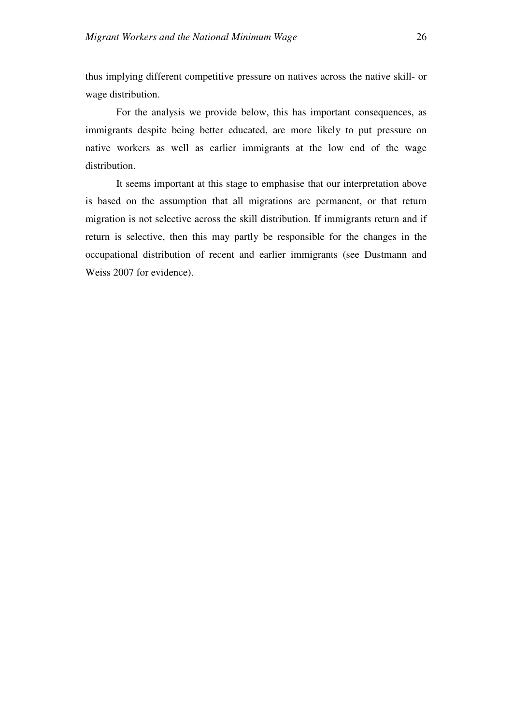thus implying different competitive pressure on natives across the native skill- or wage distribution.

For the analysis we provide below, this has important consequences, as immigrants despite being better educated, are more likely to put pressure on native workers as well as earlier immigrants at the low end of the wage distribution.

It seems important at this stage to emphasise that our interpretation above is based on the assumption that all migrations are permanent, or that return migration is not selective across the skill distribution. If immigrants return and if return is selective, then this may partly be responsible for the changes in the occupational distribution of recent and earlier immigrants (see Dustmann and Weiss 2007 for evidence).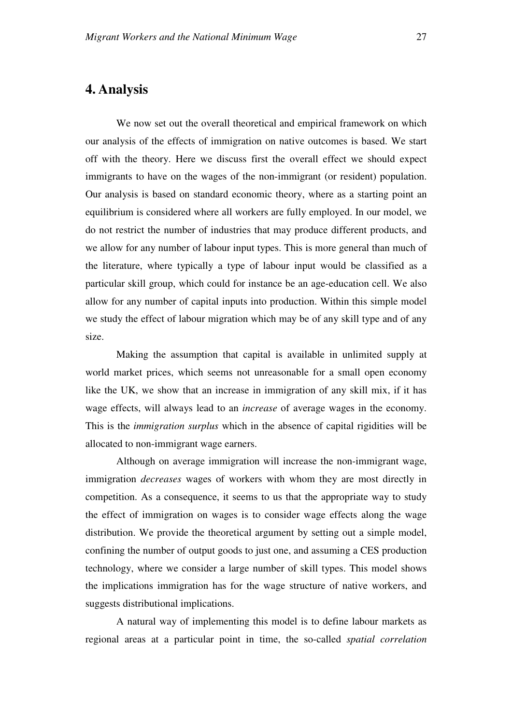# **4. Analysis**

We now set out the overall theoretical and empirical framework on which our analysis of the effects of immigration on native outcomes is based. We start off with the theory. Here we discuss first the overall effect we should expect immigrants to have on the wages of the non-immigrant (or resident) population. Our analysis is based on standard economic theory, where as a starting point an equilibrium is considered where all workers are fully employed. In our model, we do not restrict the number of industries that may produce different products, and we allow for any number of labour input types. This is more general than much of the literature, where typically a type of labour input would be classified as a particular skill group, which could for instance be an age-education cell. We also allow for any number of capital inputs into production. Within this simple model we study the effect of labour migration which may be of any skill type and of any size.

Making the assumption that capital is available in unlimited supply at world market prices, which seems not unreasonable for a small open economy like the UK, we show that an increase in immigration of any skill mix, if it has wage effects, will always lead to an *increase* of average wages in the economy. This is the *immigration surplus* which in the absence of capital rigidities will be allocated to non-immigrant wage earners.

Although on average immigration will increase the non-immigrant wage, immigration *decreases* wages of workers with whom they are most directly in competition. As a consequence, it seems to us that the appropriate way to study the effect of immigration on wages is to consider wage effects along the wage distribution. We provide the theoretical argument by setting out a simple model, confining the number of output goods to just one, and assuming a CES production technology, where we consider a large number of skill types. This model shows the implications immigration has for the wage structure of native workers, and suggests distributional implications.

A natural way of implementing this model is to define labour markets as regional areas at a particular point in time, the so-called *spatial correlation*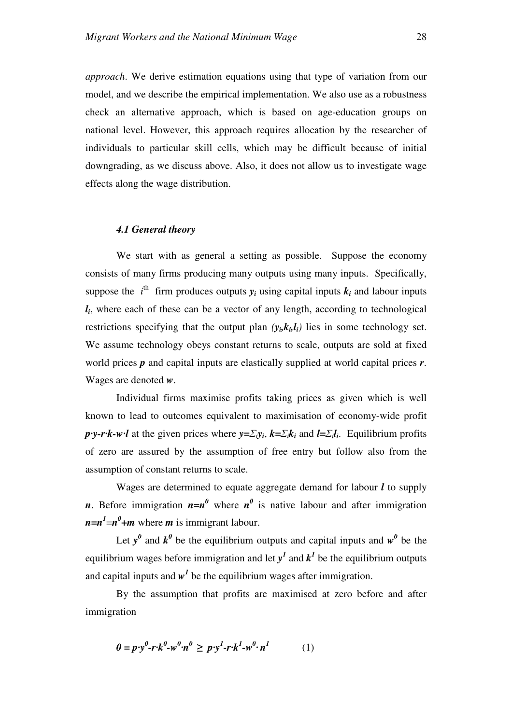*approach*. We derive estimation equations using that type of variation from our model, and we describe the empirical implementation. We also use as a robustness check an alternative approach, which is based on age-education groups on national level. However, this approach requires allocation by the researcher of individuals to particular skill cells, which may be difficult because of initial downgrading, as we discuss above. Also, it does not allow us to investigate wage effects along the wage distribution.

#### *4.1 General theory*

We start with as general a setting as possible. Suppose the economy consists of many firms producing many outputs using many inputs. Specifically, suppose the  $i^{\text{th}}$  firm produces outputs  $y_i$  using capital inputs  $k_i$  and labour inputs *li* , where each of these can be a vector of any length, according to technological restrictions specifying that the output plan  $(y_i, k_i, l_i)$  lies in some technology set. We assume technology obeys constant returns to scale, outputs are sold at fixed world prices *p* and capital inputs are elastically supplied at world capital prices *r*. Wages are denoted *w*.

Individual firms maximise profits taking prices as given which is well known to lead to outcomes equivalent to maximisation of economy-wide profit *p·y-r·k-w·l* at the given prices where  $y = \sum_i y_i$ ,  $k = \sum_i k_i$  and  $l = \sum_i l_i$ . Equilibrium profits of zero are assured by the assumption of free entry but follow also from the assumption of constant returns to scale.

Wages are determined to equate aggregate demand for labour *l* to supply *n*. Before immigration  $n=n^0$  where  $n^0$  is native labour and after immigration  $n=n^l=n^0+m$  where *m* is immigrant labour.

Let  $y^0$  and  $k^0$  be the equilibrium outputs and capital inputs and  $w^0$  be the equilibrium wages before immigration and let  $y<sup>1</sup>$  and  $k<sup>1</sup>$  be the equilibrium outputs and capital inputs and  $w<sup>1</sup>$  be the equilibrium wages after immigration.

By the assumption that profits are maximised at zero before and after immigration

$$
0 = p \cdot y^0 - r \cdot k^0 - w^0 \cdot n^0 \geq p \cdot y^1 - r \cdot k^1 - w^0 \cdot n^1 \tag{1}
$$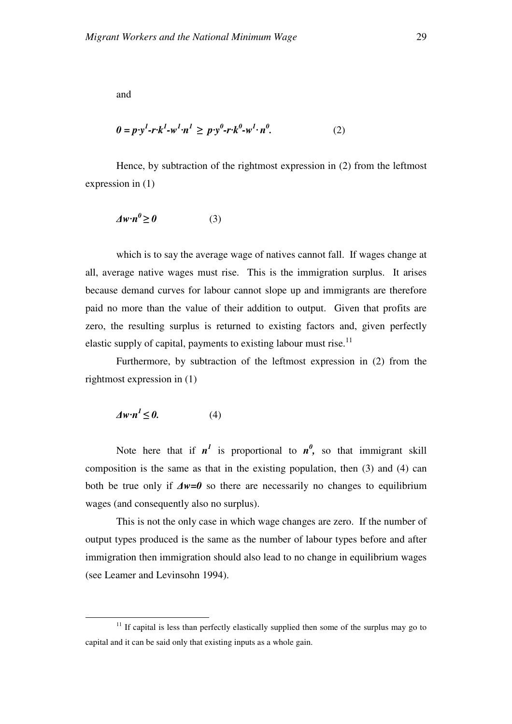and

$$
0 = p \cdot y^1 - r \cdot k^1 - w^1 \cdot n^1 \geq p \cdot y^0 - r \cdot k^0 - w^1 \cdot n^0. \tag{2}
$$

Hence, by subtraction of the rightmost expression in (2) from the leftmost expression in (1)

$$
\Delta w \cdot n^0 \ge 0 \tag{3}
$$

which is to say the average wage of natives cannot fall. If wages change at all, average native wages must rise. This is the immigration surplus. It arises because demand curves for labour cannot slope up and immigrants are therefore paid no more than the value of their addition to output. Given that profits are zero, the resulting surplus is returned to existing factors and, given perfectly elastic supply of capital, payments to existing labour must rise. $11$ 

Furthermore, by subtraction of the leftmost expression in (2) from the rightmost expression in (1)

$$
\Delta w \cdot n^l \le 0. \tag{4}
$$

 $\overline{a}$ 

Note here that if  $n^l$  is proportional to  $n^0$ , so that immigrant skill composition is the same as that in the existing population, then (3) and (4) can both be true only if ∆*w=0* so there are necessarily no changes to equilibrium wages (and consequently also no surplus).

This is not the only case in which wage changes are zero. If the number of output types produced is the same as the number of labour types before and after immigration then immigration should also lead to no change in equilibrium wages (see Leamer and Levinsohn 1994).

 $11$  If capital is less than perfectly elastically supplied then some of the surplus may go to capital and it can be said only that existing inputs as a whole gain.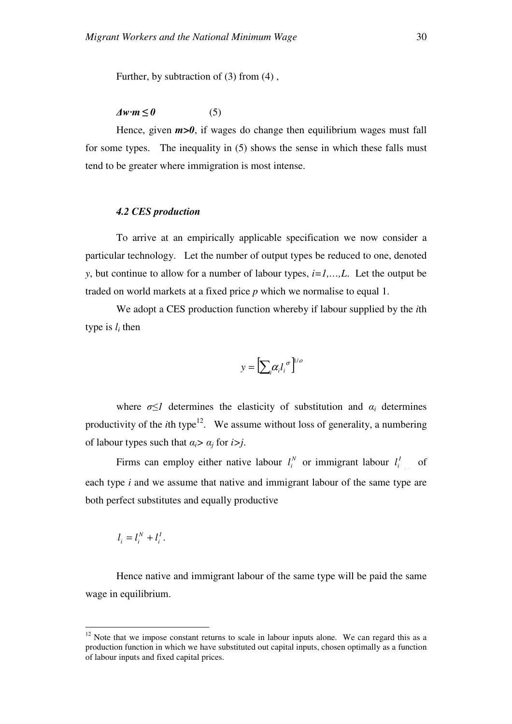Further, by subtraction of (3) from (4) ,

 $\Delta w \cdot m \leq 0$  (5)

Hence, given  $m>0$ , if wages do change then equilibrium wages must fall for some types. The inequality in (5) shows the sense in which these falls must tend to be greater where immigration is most intense.

#### *4.2 CES production*

To arrive at an empirically applicable specification we now consider a particular technology. Let the number of output types be reduced to one, denoted *y*, but continue to allow for a number of labour types, *i=1,…,L*. Let the output be traded on world markets at a fixed price *p* which we normalise to equal 1.

We adopt a CES production function whereby if labour supplied by the *i*th type is *l<sup>i</sup>* then

$$
y = \left[\sum_{i} \alpha_{i} l_{i}^{\ \sigma}\right]^{1/\sigma}
$$

where  $\sigma \leq 1$  determines the elasticity of substitution and  $\alpha_i$  determines productivity of the *i*th type<sup>12</sup>. We assume without loss of generality, a numbering of labour types such that  $\alpha_i > \alpha_j$  for  $i > j$ .

Firms can employ either native labour  $l_i^N$  or immigrant labour  $l_i^l$  of each type *i* and we assume that native and immigrant labour of the same type are both perfect substitutes and equally productive

. *I i N*  $l_i = l_i^N + l$ 

 $\overline{a}$ 

Hence native and immigrant labour of the same type will be paid the same wage in equilibrium.

 $12$  Note that we impose constant returns to scale in labour inputs alone. We can regard this as a production function in which we have substituted out capital inputs, chosen optimally as a function of labour inputs and fixed capital prices.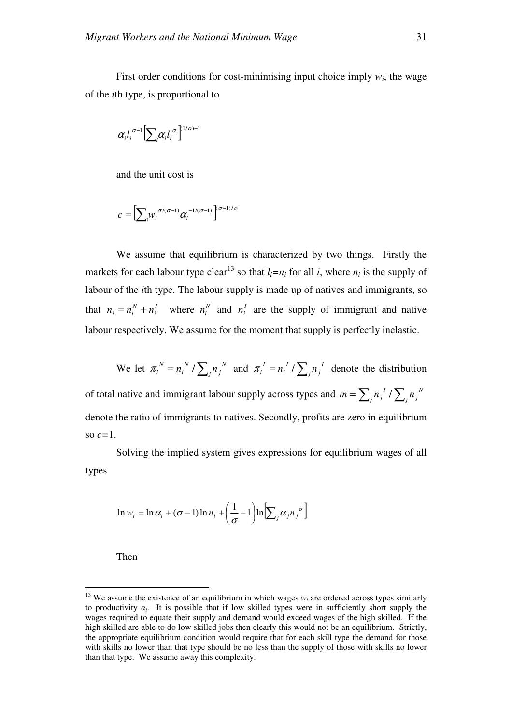First order conditions for cost-minimising input choice imply  $w_i$ , the wage of the *i*th type, is proportional to

$$
\alpha_il_i^{\sigma-1}\Bigl[\sum_i\alpha_il_i^{\,\,\sigma}\Bigr]^{(1/o)-1}
$$

and the unit cost is

$$
c = \left[\sum_{i} w_i^{\sigma/(\sigma-1)} \alpha_i^{-1/(\sigma-1)}\right]^{\sigma-1)/\sigma}
$$

We assume that equilibrium is characterized by two things. Firstly the markets for each labour type clear<sup>13</sup> so that  $l_i = n_i$  for all *i*, where  $n_i$  is the supply of labour of the *i*th type. The labour supply is made up of natives and immigrants, so that  $n_i = n_i^N + n_i^N$ *N*  $n_i = n_i^N + n_i^I$  where  $n_i^N$  and  $n_i^I$  are the supply of immigrant and native labour respectively. We assume for the moment that supply is perfectly inelastic.

We let  $\pi_i^N = n_i^N / \sum_j n_j^N$ *j N i*  $\pi_i^N = n_i^N / \sum_j n_j^N$  and  $\pi_i^I = n_i^I / \sum_j n_j^I$ *j I i*  $\pi_i^I = n_i^I / \sum_i n_i^I$  denote the distribution of total native and immigrant labour supply across types and  $m = \sum_j n_j^2 / \sum_j n_j^N$  $j^{\prime \prime}$  $j^{\prime \prime}$  $\sum_j^{\prime \prime}$  $j^{\prime \prime}$  $m = \sum_i n_i^I / \sum_i n_i$ denote the ratio of immigrants to natives. Secondly, profits are zero in equilibrium so *c=*1.

Solving the implied system gives expressions for equilibrium wages of all types

$$
\ln w_i = \ln \alpha_i + (\sigma - 1) \ln n_i + \left(\frac{1}{\sigma} - 1\right) \ln \left[\sum_j \alpha_j n_j^{\sigma}\right]
$$

Then

 $\overline{a}$ 

<sup>&</sup>lt;sup>13</sup> We assume the existence of an equilibrium in which wages  $w_i$  are ordered across types similarly to productivity  $\alpha_i$ . It is possible that if low skilled types were in sufficiently short supply the wages required to equate their supply and demand would exceed wages of the high skilled. If the high skilled are able to do low skilled jobs then clearly this would not be an equilibrium. Strictly, the appropriate equilibrium condition would require that for each skill type the demand for those with skills no lower than that type should be no less than the supply of those with skills no lower than that type. We assume away this complexity.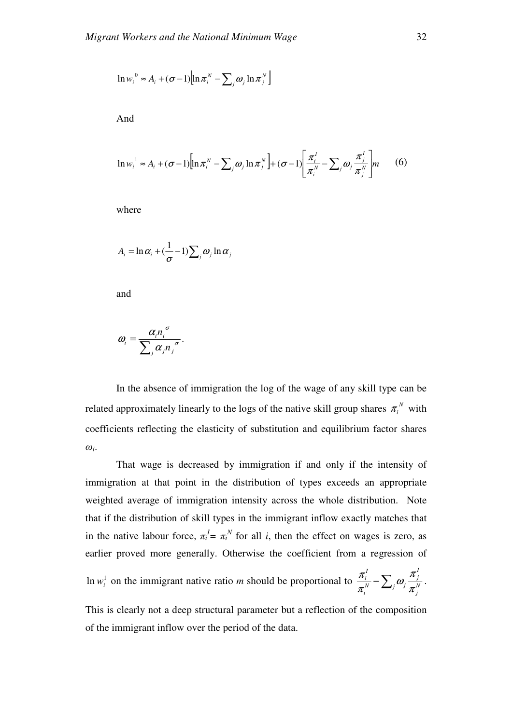$$
\ln w_i^0 \approx A_i + (\sigma - 1) \Big[ \ln \pi_i^N - \sum_j \omega_j \ln \pi_j^N \Big]
$$

And

$$
\ln w_i^1 \approx A_i + (\sigma - 1) \Big[ \ln \pi_i^N - \sum_j \omega_j \ln \pi_j^N \Big] + (\sigma - 1) \Big[ \frac{\pi_i^1}{\pi_i^N} - \sum_j \omega_j \frac{\pi_j^1}{\pi_j^N} \Big] m \qquad (6)
$$

where

$$
A_i = \ln \alpha_i + \left(\frac{1}{\sigma} - 1\right) \sum_j \omega_j \ln \alpha_j
$$

and

$$
\omega_i = \frac{\alpha_i n_i^{\sigma}}{\sum_j \alpha_j n_j^{\sigma}}.
$$

In the absence of immigration the log of the wage of any skill type can be related approximately linearly to the logs of the native skill group shares  $\pi_i^N$  with coefficients reflecting the elasticity of substitution and equilibrium factor shares  $\omega_i$ .

That wage is decreased by immigration if and only if the intensity of immigration at that point in the distribution of types exceeds an appropriate weighted average of immigration intensity across the whole distribution. Note that if the distribution of skill types in the immigrant inflow exactly matches that in the native labour force,  $\pi_i^I = \pi_i^N$  for all *i*, then the effect on wages is zero, as earlier proved more generally. Otherwise the coefficient from a regression of *I*

In  $w_i^1$  on the immigrant native ratio *m* should be proportional to  $\frac{\pi_i^1}{\pi_i^N} - \sum_j \omega_j \frac{\pi_j}{\pi_j^N}$ *j N*  $\Delta_i$ <sup> $\omega_j$ </sup> *i I i* π π ω π  $\frac{\pi_i}{N} - \sum_i \omega_i \frac{\pi_j}{N}.$ 

This is clearly not a deep structural parameter but a reflection of the composition of the immigrant inflow over the period of the data.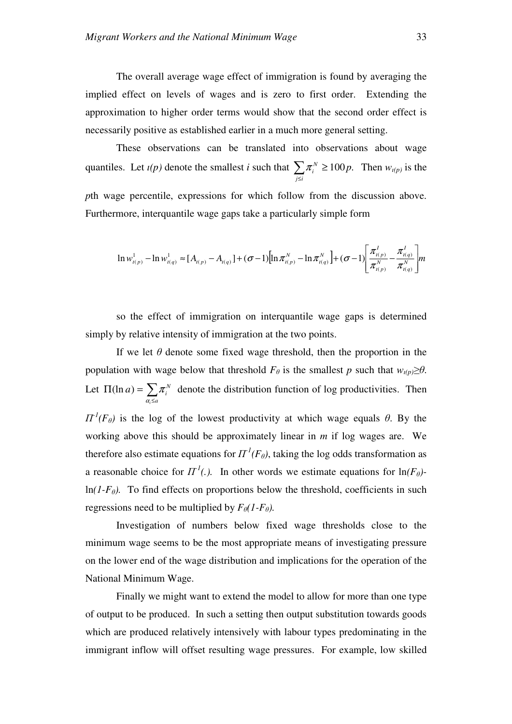The overall average wage effect of immigration is found by averaging the implied effect on levels of wages and is zero to first order. Extending the approximation to higher order terms would show that the second order effect is necessarily positive as established earlier in a much more general setting.

These observations can be translated into observations about wage quantiles. Let  $\iota(p)$  denote the smallest *i* such that  $\sum$ ≤ ≥ *j i*  $\pi_i^N \ge 100p$ . Then  $w_{i(p)}$  is the *p*th wage percentile, expressions for which follow from the discussion above. Furthermore, interquantile wage gaps take a particularly simple form

$$
\ln w_{t(p)}^1 - \ln w_{t(q)}^1 \approx [A_{t(p)} - A_{t(q)}] + (\sigma - 1)[\ln \pi_{t(p)}^N - \ln \pi_{t(q)}^N] + (\sigma - 1)[\frac{\pi_{t(p)}^1}{\pi_{t(p)}^N} - \frac{\pi_{t(q)}^1}{\pi_{t(q)}^N}]m
$$

so the effect of immigration on interquantile wage gaps is determined simply by relative intensity of immigration at the two points.

If we let  $\theta$  denote some fixed wage threshold, then the proportion in the population with wage below that threshold  $F_{\theta}$  is the smallest *p* such that  $w_{i(p)} \geq \theta$ . Let  $\Pi(\ln a) = \sum$ ≤  $\Pi(\ln a) =$ *a N*  $a) = \sum \pi_i$ *i* α  $(\ln a) = \sum \pi_i^N$  denote the distribution function of log productivities. Then  $\Pi^{1}(F_{\theta})$  is the log of the lowest productivity at which wage equals  $\theta$ . By the working above this should be approximately linear in *m* if log wages are. We therefore also estimate equations for  $\Pi^1(F_\theta)$ , taking the log odds transformation as a reasonable choice for  $\Pi^1$ *(.).* In other words we estimate equations for  $\ln(F_\theta)$  $ln(I-F_{\theta})$ . To find effects on proportions below the threshold, coefficients in such regressions need to be multiplied by  $F_{\theta}(1-F_{\theta})$ .

Investigation of numbers below fixed wage thresholds close to the minimum wage seems to be the most appropriate means of investigating pressure on the lower end of the wage distribution and implications for the operation of the National Minimum Wage.

Finally we might want to extend the model to allow for more than one type of output to be produced. In such a setting then output substitution towards goods which are produced relatively intensively with labour types predominating in the immigrant inflow will offset resulting wage pressures. For example, low skilled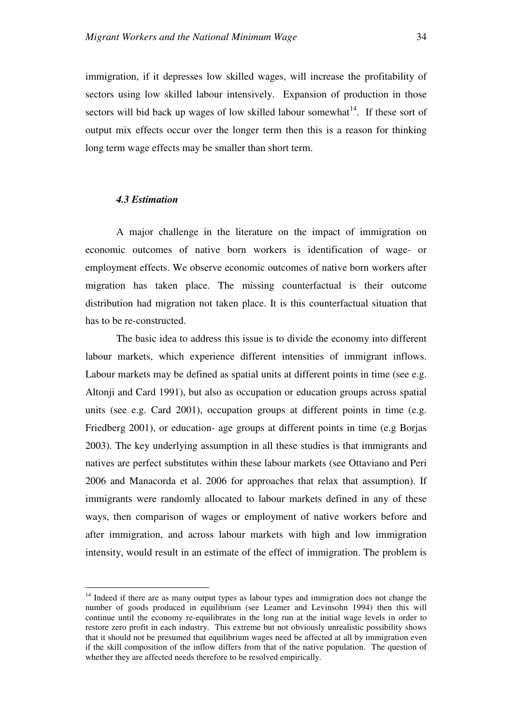immigration, if it depresses low skilled wages, will increase the profitability of sectors using low skilled labour intensively. Expansion of production in those sectors will bid back up wages of low skilled labour somewhat $14$ . If these sort of output mix effects occur over the longer term then this is a reason for thinking long term wage effects may be smaller than short term.

## *4.3 Estimation*

 $\overline{a}$ 

A major challenge in the literature on the impact of immigration on economic outcomes of native born workers is identification of wage- or employment effects. We observe economic outcomes of native born workers after migration has taken place. The missing counterfactual is their outcome distribution had migration not taken place. It is this counterfactual situation that has to be re-constructed.

The basic idea to address this issue is to divide the economy into different labour markets, which experience different intensities of immigrant inflows. Labour markets may be defined as spatial units at different points in time (see e.g. Altonji and Card 1991), but also as occupation or education groups across spatial units (see e.g. Card 2001), occupation groups at different points in time (e.g. Friedberg 2001), or education- age groups at different points in time (e.g Borjas 2003). The key underlying assumption in all these studies is that immigrants and natives are perfect substitutes within these labour markets (see Ottaviano and Peri 2006 and Manacorda et al. 2006 for approaches that relax that assumption). If immigrants were randomly allocated to labour markets defined in any of these ways, then comparison of wages or employment of native workers before and after immigration, and across labour markets with high and low immigration intensity, would result in an estimate of the effect of immigration. The problem is

<sup>&</sup>lt;sup>14</sup> Indeed if there are as many output types as labour types and immigration does not change the number of goods produced in equilibrium (see Leamer and Levinsohn 1994) then this will continue until the economy re-equilibrates in the long run at the initial wage levels in order to restore zero profit in each industry. This extreme but not obviously unrealistic possibility shows that it should not be presumed that equilibrium wages need be affected at all by immigration even if the skill composition of the inflow differs from that of the native population. The question of whether they are affected needs therefore to be resolved empirically.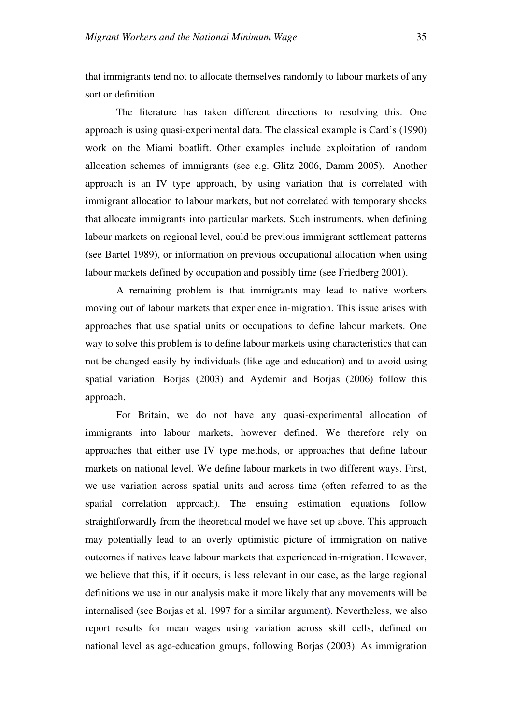that immigrants tend not to allocate themselves randomly to labour markets of any sort or definition.

The literature has taken different directions to resolving this. One approach is using quasi-experimental data. The classical example is Card's (1990) work on the Miami boatlift. Other examples include exploitation of random allocation schemes of immigrants (see e.g. Glitz 2006, Damm 2005). Another approach is an IV type approach, by using variation that is correlated with immigrant allocation to labour markets, but not correlated with temporary shocks that allocate immigrants into particular markets. Such instruments, when defining labour markets on regional level, could be previous immigrant settlement patterns (see Bartel 1989), or information on previous occupational allocation when using labour markets defined by occupation and possibly time (see Friedberg 2001).

A remaining problem is that immigrants may lead to native workers moving out of labour markets that experience in-migration. This issue arises with approaches that use spatial units or occupations to define labour markets. One way to solve this problem is to define labour markets using characteristics that can not be changed easily by individuals (like age and education) and to avoid using spatial variation. Borjas (2003) and Aydemir and Borjas (2006) follow this approach.

For Britain, we do not have any quasi-experimental allocation of immigrants into labour markets, however defined. We therefore rely on approaches that either use IV type methods, or approaches that define labour markets on national level. We define labour markets in two different ways. First, we use variation across spatial units and across time (often referred to as the spatial correlation approach). The ensuing estimation equations follow straightforwardly from the theoretical model we have set up above. This approach may potentially lead to an overly optimistic picture of immigration on native outcomes if natives leave labour markets that experienced in-migration. However, we believe that this, if it occurs, is less relevant in our case, as the large regional definitions we use in our analysis make it more likely that any movements will be internalised (see Borjas et al. 1997 for a similar argument). Nevertheless, we also report results for mean wages using variation across skill cells, defined on national level as age-education groups, following Borjas (2003). As immigration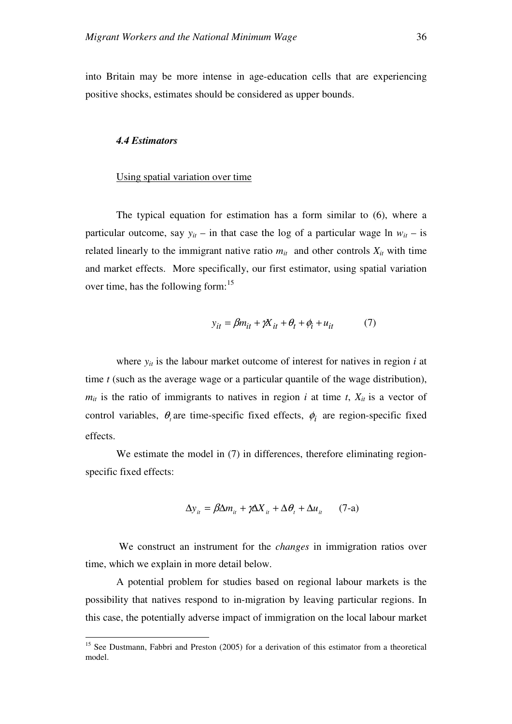into Britain may be more intense in age-education cells that are experiencing positive shocks, estimates should be considered as upper bounds.

#### *4.4 Estimators*

l

# Using spatial variation over time

The typical equation for estimation has a form similar to (6), where a particular outcome, say  $y_{it}$  – in that case the log of a particular wage ln  $w_{it}$  – is related linearly to the immigrant native ratio  $m_{it}$  and other controls  $X_{it}$  with time and market effects.More specifically, our first estimator, using spatial variation over time, has the following form:<sup>15</sup>

$$
y_{it} = \beta m_{it} + \gamma X_{it} + \theta_t + \phi_i + u_{it} \tag{7}
$$

where  $y_{it}$  is the labour market outcome of interest for natives in region  $i$  at time *t* (such as the average wage or a particular quantile of the wage distribution),  $m_{it}$  is the ratio of immigrants to natives in region *i* at time *t*,  $X_{it}$  is a vector of control variables,  $\theta$ <sub>*t*</sub> are time-specific fixed effects,  $\phi$ <sub>*i*</sub> are region-specific fixed effects.

We estimate the model in (7) in differences, therefore eliminating regionspecific fixed effects:

$$
\Delta y_{it} = \beta \Delta m_{it} + \gamma \Delta X_{it} + \Delta \theta_t + \Delta u_{it} \qquad (7\text{-a})
$$

 We construct an instrument for the *changes* in immigration ratios over time, which we explain in more detail below.

A potential problem for studies based on regional labour markets is the possibility that natives respond to in-migration by leaving particular regions. In this case, the potentially adverse impact of immigration on the local labour market

<sup>&</sup>lt;sup>15</sup> See Dustmann, Fabbri and Preston (2005) for a derivation of this estimator from a theoretical model.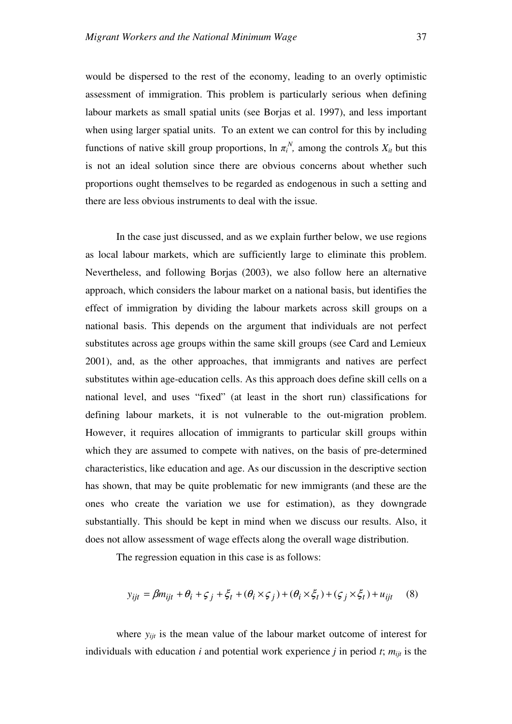would be dispersed to the rest of the economy, leading to an overly optimistic assessment of immigration. This problem is particularly serious when defining labour markets as small spatial units (see Borjas et al. 1997), and less important when using larger spatial units. To an extent we can control for this by including functions of native skill group proportions,  $\ln \pi_i^N$ , among the controls  $X_{it}$  but this is not an ideal solution since there are obvious concerns about whether such proportions ought themselves to be regarded as endogenous in such a setting and there are less obvious instruments to deal with the issue.

In the case just discussed, and as we explain further below, we use regions as local labour markets, which are sufficiently large to eliminate this problem. Nevertheless, and following Borjas (2003), we also follow here an alternative approach, which considers the labour market on a national basis, but identifies the effect of immigration by dividing the labour markets across skill groups on a national basis. This depends on the argument that individuals are not perfect substitutes across age groups within the same skill groups (see Card and Lemieux 2001), and, as the other approaches, that immigrants and natives are perfect substitutes within age-education cells. As this approach does define skill cells on a national level, and uses "fixed" (at least in the short run) classifications for defining labour markets, it is not vulnerable to the out-migration problem. However, it requires allocation of immigrants to particular skill groups within which they are assumed to compete with natives, on the basis of pre-determined characteristics, like education and age. As our discussion in the descriptive section has shown, that may be quite problematic for new immigrants (and these are the ones who create the variation we use for estimation), as they downgrade substantially. This should be kept in mind when we discuss our results. Also, it does not allow assessment of wage effects along the overall wage distribution.

The regression equation in this case is as follows:

$$
y_{ijt} = \beta m_{ijt} + \theta_i + \zeta_j + \xi_t + (\theta_i \times \zeta_j) + (\theta_i \times \xi_t) + (\zeta_j \times \xi_t) + u_{ijt}
$$
 (8)

where  $y_{ijt}$  is the mean value of the labour market outcome of interest for individuals with education  $i$  and potential work experience  $j$  in period  $t$ ;  $m_{ijt}$  is the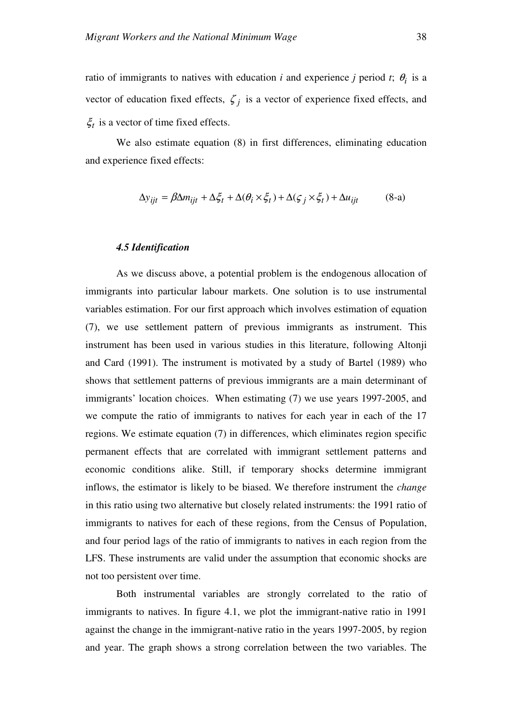ratio of immigrants to natives with education *i* and experience *j* period *t*;  $\theta_i$  is a vector of education fixed effects,  $\zeta_j$  is a vector of experience fixed effects, and  $\xi_t$  is a vector of time fixed effects.

We also estimate equation (8) in first differences, eliminating education and experience fixed effects:

$$
\Delta y_{ijt} = \beta \Delta m_{ijt} + \Delta \xi_t + \Delta (\theta_i \times \xi_t) + \Delta (\xi_j \times \xi_t) + \Delta u_{ijt}
$$
 (8-a)

#### *4.5 Identification*

As we discuss above, a potential problem is the endogenous allocation of immigrants into particular labour markets. One solution is to use instrumental variables estimation. For our first approach which involves estimation of equation (7), we use settlement pattern of previous immigrants as instrument. This instrument has been used in various studies in this literature, following Altonji and Card (1991). The instrument is motivated by a study of Bartel (1989) who shows that settlement patterns of previous immigrants are a main determinant of immigrants' location choices. When estimating (7) we use years 1997-2005, and we compute the ratio of immigrants to natives for each year in each of the 17 regions. We estimate equation (7) in differences, which eliminates region specific permanent effects that are correlated with immigrant settlement patterns and economic conditions alike. Still, if temporary shocks determine immigrant inflows, the estimator is likely to be biased. We therefore instrument the *change* in this ratio using two alternative but closely related instruments: the 1991 ratio of immigrants to natives for each of these regions, from the Census of Population, and four period lags of the ratio of immigrants to natives in each region from the LFS. These instruments are valid under the assumption that economic shocks are not too persistent over time.

Both instrumental variables are strongly correlated to the ratio of immigrants to natives. In figure 4.1, we plot the immigrant-native ratio in 1991 against the change in the immigrant-native ratio in the years 1997-2005, by region and year. The graph shows a strong correlation between the two variables. The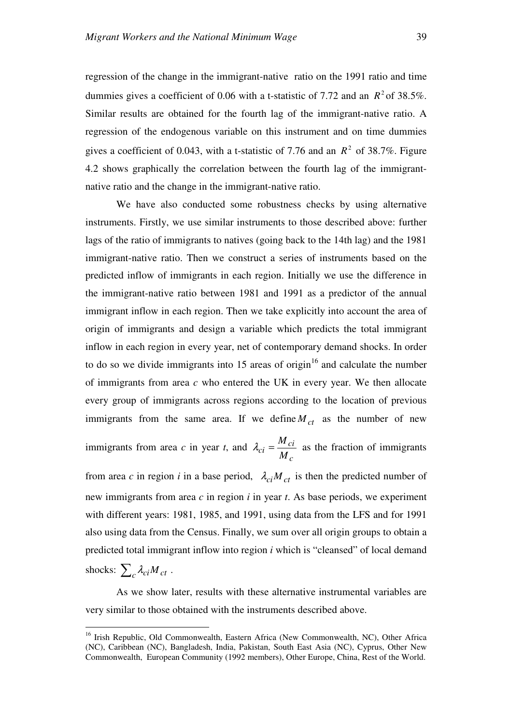regression of the change in the immigrant-native ratio on the 1991 ratio and time dummies gives a coefficient of 0.06 with a t-statistic of 7.72 and an  $R^2$  of 38.5%. Similar results are obtained for the fourth lag of the immigrant-native ratio. A regression of the endogenous variable on this instrument and on time dummies gives a coefficient of 0.043, with a t-statistic of 7.76 and an  $R^2$  of 38.7%. Figure 4.2 shows graphically the correlation between the fourth lag of the immigrantnative ratio and the change in the immigrant-native ratio.

We have also conducted some robustness checks by using alternative instruments. Firstly, we use similar instruments to those described above: further lags of the ratio of immigrants to natives (going back to the 14th lag) and the 1981 immigrant-native ratio. Then we construct a series of instruments based on the predicted inflow of immigrants in each region. Initially we use the difference in the immigrant-native ratio between 1981 and 1991 as a predictor of the annual immigrant inflow in each region. Then we take explicitly into account the area of origin of immigrants and design a variable which predicts the total immigrant inflow in each region in every year, net of contemporary demand shocks. In order to do so we divide immigrants into  $15$  areas of origin<sup>16</sup> and calculate the number of immigrants from area *c* who entered the UK in every year. We then allocate every group of immigrants across regions according to the location of previous immigrants from the same area. If we define  $M_{ct}$  as the number of new

immigrants from area *c* in year *t*, and *c ci*  $c_i = \frac{1}{M}$  $\lambda_{ci} = \frac{M_{ci}}{M_{ci}}$  as the fraction of immigrants

from area *c* in region *i* in a base period,  $\lambda_{ci} M_{ct}$  is then the predicted number of new immigrants from area *c* in region *i* in year *t*. As base periods, we experiment with different years: 1981, 1985, and 1991, using data from the LFS and for 1991 also using data from the Census. Finally, we sum over all origin groups to obtain a predicted total immigrant inflow into region *i* which is "cleansed" of local demand shocks:  $\sum_{c} \lambda_{ci} M_{ct}$ .

As we show later, results with these alternative instrumental variables are very similar to those obtained with the instruments described above.

 $\overline{a}$ 

<sup>&</sup>lt;sup>16</sup> Irish Republic, Old Commonwealth, Eastern Africa (New Commonwealth, NC), Other Africa (NC), Caribbean (NC), Bangladesh, India, Pakistan, South East Asia (NC), Cyprus, Other New Commonwealth, European Community (1992 members), Other Europe, China, Rest of the World.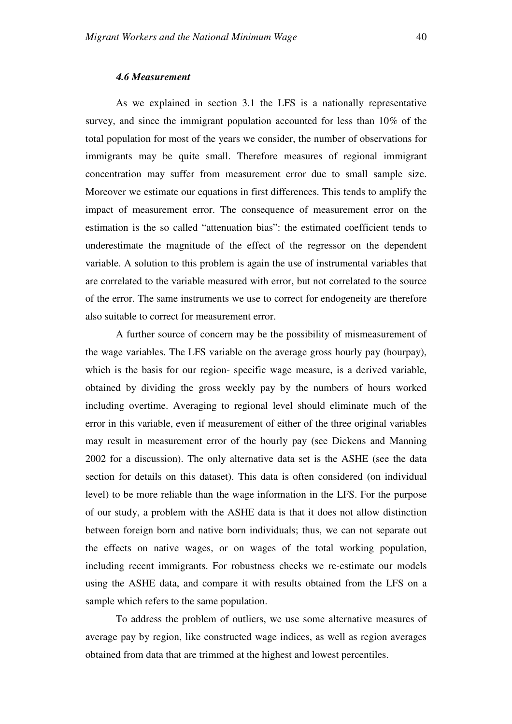## *4.6 Measurement*

As we explained in section 3.1 the LFS is a nationally representative survey, and since the immigrant population accounted for less than 10% of the total population for most of the years we consider, the number of observations for immigrants may be quite small. Therefore measures of regional immigrant concentration may suffer from measurement error due to small sample size. Moreover we estimate our equations in first differences. This tends to amplify the impact of measurement error. The consequence of measurement error on the estimation is the so called "attenuation bias": the estimated coefficient tends to underestimate the magnitude of the effect of the regressor on the dependent variable. A solution to this problem is again the use of instrumental variables that are correlated to the variable measured with error, but not correlated to the source of the error. The same instruments we use to correct for endogeneity are therefore also suitable to correct for measurement error.

A further source of concern may be the possibility of mismeasurement of the wage variables. The LFS variable on the average gross hourly pay (hourpay), which is the basis for our region- specific wage measure, is a derived variable, obtained by dividing the gross weekly pay by the numbers of hours worked including overtime. Averaging to regional level should eliminate much of the error in this variable, even if measurement of either of the three original variables may result in measurement error of the hourly pay (see Dickens and Manning 2002 for a discussion). The only alternative data set is the ASHE (see the data section for details on this dataset). This data is often considered (on individual level) to be more reliable than the wage information in the LFS. For the purpose of our study, a problem with the ASHE data is that it does not allow distinction between foreign born and native born individuals; thus, we can not separate out the effects on native wages, or on wages of the total working population, including recent immigrants. For robustness checks we re-estimate our models using the ASHE data, and compare it with results obtained from the LFS on a sample which refers to the same population.

To address the problem of outliers, we use some alternative measures of average pay by region, like constructed wage indices, as well as region averages obtained from data that are trimmed at the highest and lowest percentiles.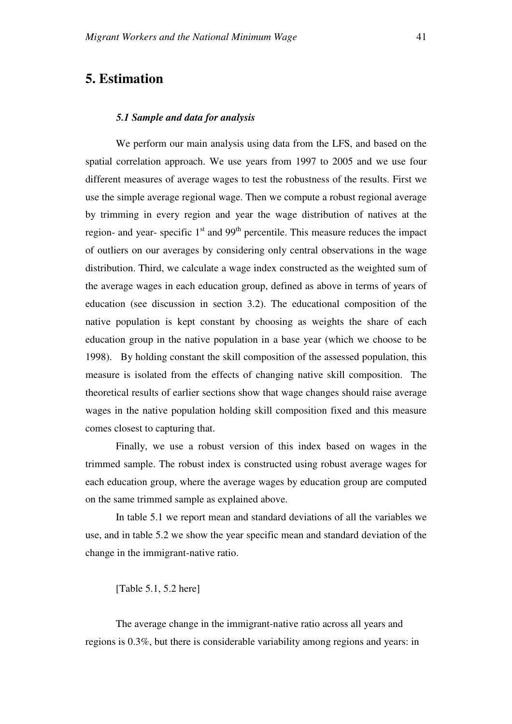## **5. Estimation**

### *5.1 Sample and data for analysis*

We perform our main analysis using data from the LFS, and based on the spatial correlation approach. We use years from 1997 to 2005 and we use four different measures of average wages to test the robustness of the results. First we use the simple average regional wage. Then we compute a robust regional average by trimming in every region and year the wage distribution of natives at the region- and year- specific  $1<sup>st</sup>$  and 99<sup>th</sup> percentile. This measure reduces the impact of outliers on our averages by considering only central observations in the wage distribution. Third, we calculate a wage index constructed as the weighted sum of the average wages in each education group, defined as above in terms of years of education (see discussion in section 3.2). The educational composition of the native population is kept constant by choosing as weights the share of each education group in the native population in a base year (which we choose to be 1998). By holding constant the skill composition of the assessed population, this measure is isolated from the effects of changing native skill composition. The theoretical results of earlier sections show that wage changes should raise average wages in the native population holding skill composition fixed and this measure comes closest to capturing that.

Finally, we use a robust version of this index based on wages in the trimmed sample. The robust index is constructed using robust average wages for each education group, where the average wages by education group are computed on the same trimmed sample as explained above.

In table 5.1 we report mean and standard deviations of all the variables we use, and in table 5.2 we show the year specific mean and standard deviation of the change in the immigrant-native ratio.

[Table 5.1, 5.2 here]

The average change in the immigrant-native ratio across all years and regions is 0.3%, but there is considerable variability among regions and years: in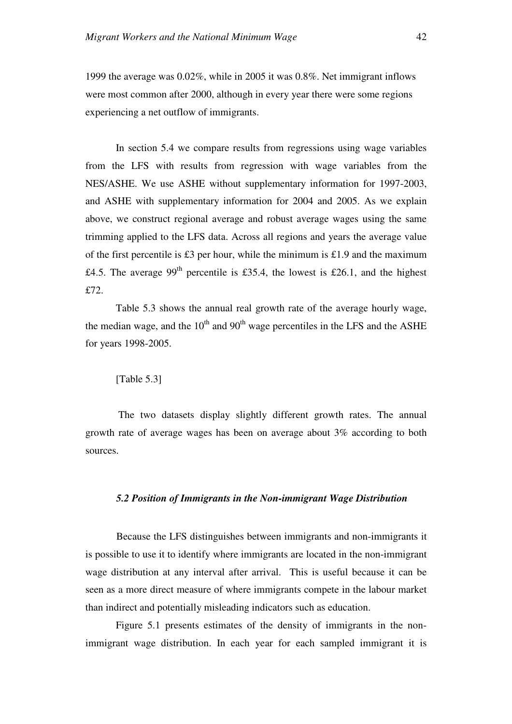1999 the average was 0.02%, while in 2005 it was 0.8%. Net immigrant inflows were most common after 2000, although in every year there were some regions experiencing a net outflow of immigrants.

In section 5.4 we compare results from regressions using wage variables from the LFS with results from regression with wage variables from the NES/ASHE. We use ASHE without supplementary information for 1997-2003, and ASHE with supplementary information for 2004 and 2005. As we explain above, we construct regional average and robust average wages using the same trimming applied to the LFS data. Across all regions and years the average value of the first percentile is £3 per hour, while the minimum is £1.9 and the maximum £4.5. The average 99<sup>th</sup> percentile is £35.4, the lowest is £26.1, and the highest £72.

Table 5.3 shows the annual real growth rate of the average hourly wage, the median wage, and the  $10<sup>th</sup>$  and  $90<sup>th</sup>$  wage percentiles in the LFS and the ASHE for years 1998-2005.

## [Table 5.3]

 The two datasets display slightly different growth rates. The annual growth rate of average wages has been on average about 3% according to both sources.

#### *5.2 Position of Immigrants in the Non-immigrant Wage Distribution*

 Because the LFS distinguishes between immigrants and non-immigrants it is possible to use it to identify where immigrants are located in the non-immigrant wage distribution at any interval after arrival. This is useful because it can be seen as a more direct measure of where immigrants compete in the labour market than indirect and potentially misleading indicators such as education.

Figure 5.1 presents estimates of the density of immigrants in the nonimmigrant wage distribution. In each year for each sampled immigrant it is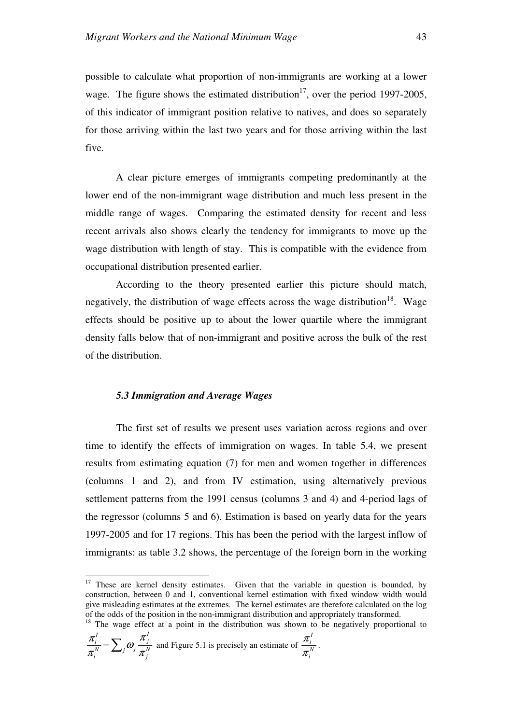possible to calculate what proportion of non-immigrants are working at a lower wage. The figure shows the estimated distribution<sup>17</sup>, over the period 1997-2005, of this indicator of immigrant position relative to natives, and does so separately for those arriving within the last two years and for those arriving within the last five.

A clear picture emerges of immigrants competing predominantly at the lower end of the non-immigrant wage distribution and much less present in the middle range of wages. Comparing the estimated density for recent and less recent arrivals also shows clearly the tendency for immigrants to move up the wage distribution with length of stay. This is compatible with the evidence from occupational distribution presented earlier.

According to the theory presented earlier this picture should match, negatively, the distribution of wage effects across the wage distribution<sup>18</sup>. Wage effects should be positive up to about the lower quartile where the immigrant density falls below that of non-immigrant and positive across the bulk of the rest of the distribution.

#### *5.3 Immigration and Average Wages*

The first set of results we present uses variation across regions and over time to identify the effects of immigration on wages. In table 5.4, we present results from estimating equation (7) for men and women together in differences (columns 1 and 2), and from IV estimation, using alternatively previous settlement patterns from the 1991 census (columns 3 and 4) and 4-period lags of the regressor (columns 5 and 6). Estimation is based on yearly data for the years 1997-2005 and for 17 regions. This has been the period with the largest inflow of immigrants: as table 3.2 shows, the percentage of the foreign born in the working

 $18$  The wage effect at a point in the distribution was shown to be negatively proportional to

.

$$
\frac{\pi_i^I}{\pi_i^N} - \sum_j \omega_j \frac{\pi_j^I}{\pi_j^N}
$$
 and Figure 5.1 is precisely an estimate of  $\frac{\pi_i^I}{\pi_i^N}$ 

 $\overline{a}$ 

 $17$  These are kernel density estimates. Given that the variable in question is bounded, by construction, between 0 and 1, conventional kernel estimation with fixed window width would give misleading estimates at the extremes. The kernel estimates are therefore calculated on the log of the odds of the position in the non-immigrant distribution and appropriately transformed.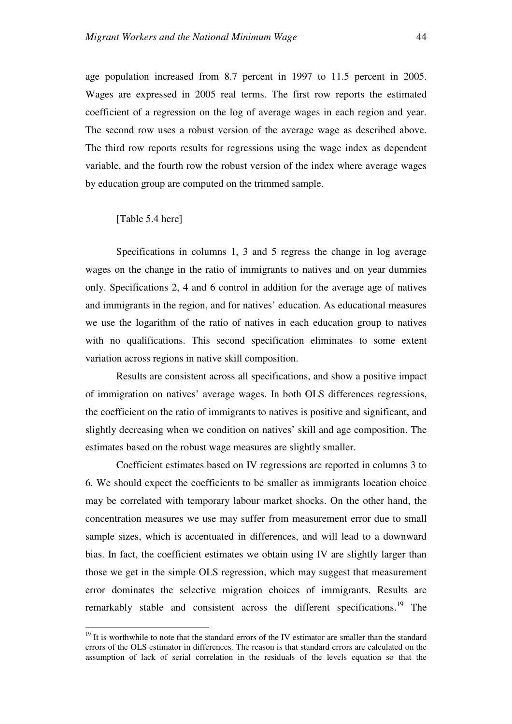age population increased from 8.7 percent in 1997 to 11.5 percent in 2005. Wages are expressed in 2005 real terms. The first row reports the estimated coefficient of a regression on the log of average wages in each region and year. The second row uses a robust version of the average wage as described above. The third row reports results for regressions using the wage index as dependent variable, and the fourth row the robust version of the index where average wages by education group are computed on the trimmed sample.

[Table 5.4 here]

 $\overline{a}$ 

Specifications in columns 1, 3 and 5 regress the change in log average wages on the change in the ratio of immigrants to natives and on year dummies only. Specifications 2, 4 and 6 control in addition for the average age of natives and immigrants in the region, and for natives' education. As educational measures we use the logarithm of the ratio of natives in each education group to natives with no qualifications. This second specification eliminates to some extent variation across regions in native skill composition.

Results are consistent across all specifications, and show a positive impact of immigration on natives' average wages. In both OLS differences regressions, the coefficient on the ratio of immigrants to natives is positive and significant, and slightly decreasing when we condition on natives' skill and age composition. The estimates based on the robust wage measures are slightly smaller.

Coefficient estimates based on IV regressions are reported in columns 3 to 6. We should expect the coefficients to be smaller as immigrants location choice may be correlated with temporary labour market shocks. On the other hand, the concentration measures we use may suffer from measurement error due to small sample sizes, which is accentuated in differences, and will lead to a downward bias. In fact, the coefficient estimates we obtain using IV are slightly larger than those we get in the simple OLS regression, which may suggest that measurement error dominates the selective migration choices of immigrants. Results are remarkably stable and consistent across the different specifications.<sup>19</sup> The

 $19$  It is worthwhile to note that the standard errors of the IV estimator are smaller than the standard errors of the OLS estimator in differences. The reason is that standard errors are calculated on the assumption of lack of serial correlation in the residuals of the levels equation so that the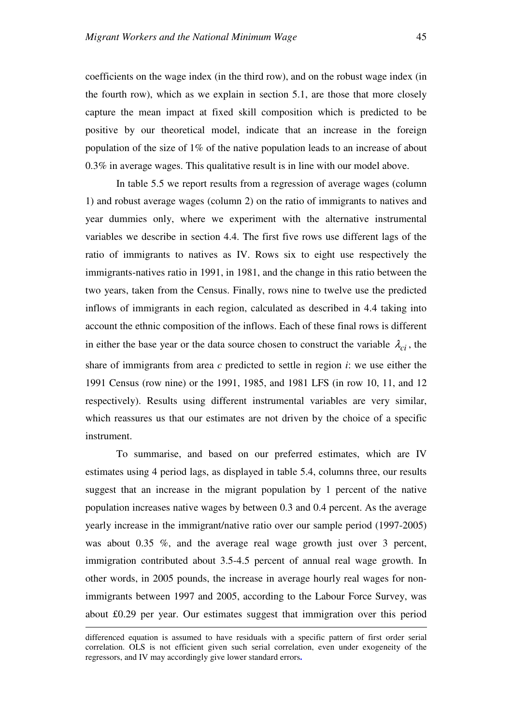coefficients on the wage index (in the third row), and on the robust wage index (in the fourth row), which as we explain in section 5.1, are those that more closely capture the mean impact at fixed skill composition which is predicted to be positive by our theoretical model, indicate that an increase in the foreign population of the size of 1% of the native population leads to an increase of about 0.3% in average wages. This qualitative result is in line with our model above.

In table 5.5 we report results from a regression of average wages (column 1) and robust average wages (column 2) on the ratio of immigrants to natives and year dummies only, where we experiment with the alternative instrumental variables we describe in section 4.4. The first five rows use different lags of the ratio of immigrants to natives as IV. Rows six to eight use respectively the immigrants-natives ratio in 1991, in 1981, and the change in this ratio between the two years, taken from the Census. Finally, rows nine to twelve use the predicted inflows of immigrants in each region, calculated as described in 4.4 taking into account the ethnic composition of the inflows. Each of these final rows is different in either the base year or the data source chosen to construct the variable  $\lambda_{ci}$ , the share of immigrants from area *c* predicted to settle in region *i*: we use either the 1991 Census (row nine) or the 1991, 1985, and 1981 LFS (in row 10, 11, and 12 respectively). Results using different instrumental variables are very similar, which reassures us that our estimates are not driven by the choice of a specific instrument.

To summarise, and based on our preferred estimates, which are IV estimates using 4 period lags, as displayed in table 5.4, columns three, our results suggest that an increase in the migrant population by 1 percent of the native population increases native wages by between 0.3 and 0.4 percent. As the average yearly increase in the immigrant/native ratio over our sample period (1997-2005) was about 0.35 %, and the average real wage growth just over 3 percent, immigration contributed about 3.5-4.5 percent of annual real wage growth. In other words, in 2005 pounds, the increase in average hourly real wages for nonimmigrants between 1997 and 2005, according to the Labour Force Survey, was about £0.29 per year. Our estimates suggest that immigration over this period

 $\overline{a}$ 

differenced equation is assumed to have residuals with a specific pattern of first order serial correlation. OLS is not efficient given such serial correlation, even under exogeneity of the regressors, and IV may accordingly give lower standard errors**.**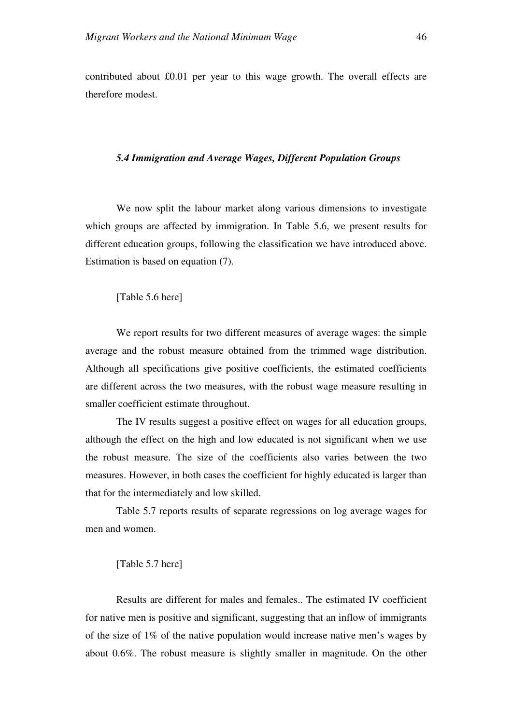contributed about £0.01 per year to this wage growth. The overall effects are therefore modest.

## *5.4 Immigration and Average Wages, Different Population Groups*

We now split the labour market along various dimensions to investigate which groups are affected by immigration. In Table 5.6, we present results for different education groups, following the classification we have introduced above. Estimation is based on equation (7).

[Table 5.6 here]

We report results for two different measures of average wages: the simple average and the robust measure obtained from the trimmed wage distribution. Although all specifications give positive coefficients, the estimated coefficients are different across the two measures, with the robust wage measure resulting in smaller coefficient estimate throughout.

The IV results suggest a positive effect on wages for all education groups, although the effect on the high and low educated is not significant when we use the robust measure. The size of the coefficients also varies between the two measures. However, in both cases the coefficient for highly educated is larger than that for the intermediately and low skilled.

Table 5.7 reports results of separate regressions on log average wages for men and women.

#### [Table 5.7 here]

Results are different for males and females.. The estimated IV coefficient for native men is positive and significant, suggesting that an inflow of immigrants of the size of 1% of the native population would increase native men's wages by about 0.6%. The robust measure is slightly smaller in magnitude. On the other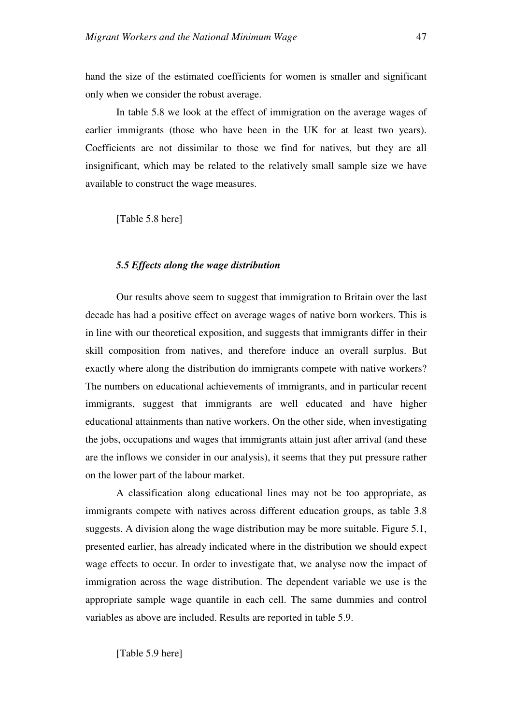hand the size of the estimated coefficients for women is smaller and significant only when we consider the robust average.

In table 5.8 we look at the effect of immigration on the average wages of earlier immigrants (those who have been in the UK for at least two years). Coefficients are not dissimilar to those we find for natives, but they are all insignificant, which may be related to the relatively small sample size we have available to construct the wage measures.

[Table 5.8 here]

#### *5.5 Effects along the wage distribution*

Our results above seem to suggest that immigration to Britain over the last decade has had a positive effect on average wages of native born workers. This is in line with our theoretical exposition, and suggests that immigrants differ in their skill composition from natives, and therefore induce an overall surplus. But exactly where along the distribution do immigrants compete with native workers? The numbers on educational achievements of immigrants, and in particular recent immigrants, suggest that immigrants are well educated and have higher educational attainments than native workers. On the other side, when investigating the jobs, occupations and wages that immigrants attain just after arrival (and these are the inflows we consider in our analysis), it seems that they put pressure rather on the lower part of the labour market.

A classification along educational lines may not be too appropriate, as immigrants compete with natives across different education groups, as table 3.8 suggests. A division along the wage distribution may be more suitable. Figure 5.1, presented earlier, has already indicated where in the distribution we should expect wage effects to occur. In order to investigate that, we analyse now the impact of immigration across the wage distribution. The dependent variable we use is the appropriate sample wage quantile in each cell. The same dummies and control variables as above are included. Results are reported in table 5.9.

[Table 5.9 here]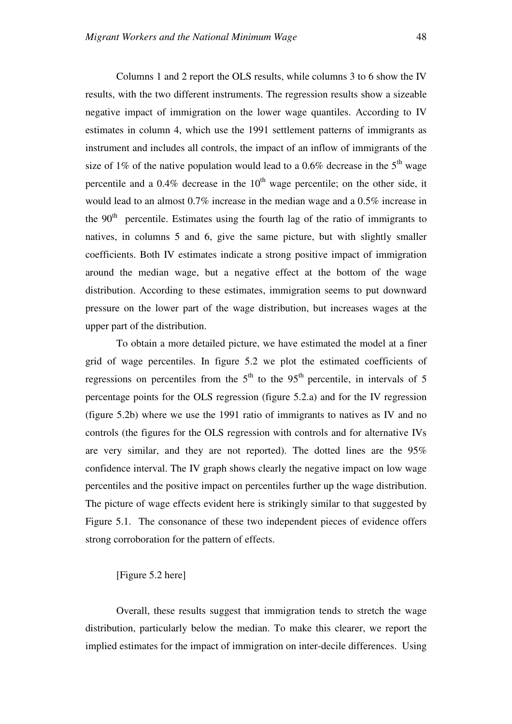Columns 1 and 2 report the OLS results, while columns 3 to 6 show the IV results, with the two different instruments. The regression results show a sizeable negative impact of immigration on the lower wage quantiles. According to IV estimates in column 4, which use the 1991 settlement patterns of immigrants as instrument and includes all controls, the impact of an inflow of immigrants of the size of 1% of the native population would lead to a 0.6% decrease in the  $5<sup>th</sup>$  wage percentile and a  $0.4\%$  decrease in the  $10<sup>th</sup>$  wage percentile; on the other side, it would lead to an almost 0.7% increase in the median wage and a 0.5% increase in the  $90<sup>th</sup>$  percentile. Estimates using the fourth lag of the ratio of immigrants to natives, in columns 5 and 6, give the same picture, but with slightly smaller coefficients. Both IV estimates indicate a strong positive impact of immigration around the median wage, but a negative effect at the bottom of the wage distribution. According to these estimates, immigration seems to put downward pressure on the lower part of the wage distribution, but increases wages at the upper part of the distribution.

To obtain a more detailed picture, we have estimated the model at a finer grid of wage percentiles. In figure 5.2 we plot the estimated coefficients of regressions on percentiles from the  $5<sup>th</sup>$  to the  $95<sup>th</sup>$  percentile, in intervals of 5 percentage points for the OLS regression (figure 5.2.a) and for the IV regression (figure 5.2b) where we use the 1991 ratio of immigrants to natives as IV and no controls (the figures for the OLS regression with controls and for alternative IVs are very similar, and they are not reported). The dotted lines are the 95% confidence interval. The IV graph shows clearly the negative impact on low wage percentiles and the positive impact on percentiles further up the wage distribution. The picture of wage effects evident here is strikingly similar to that suggested by Figure 5.1. The consonance of these two independent pieces of evidence offers strong corroboration for the pattern of effects.

## [Figure 5.2 here]

Overall, these results suggest that immigration tends to stretch the wage distribution, particularly below the median. To make this clearer, we report the implied estimates for the impact of immigration on inter-decile differences. Using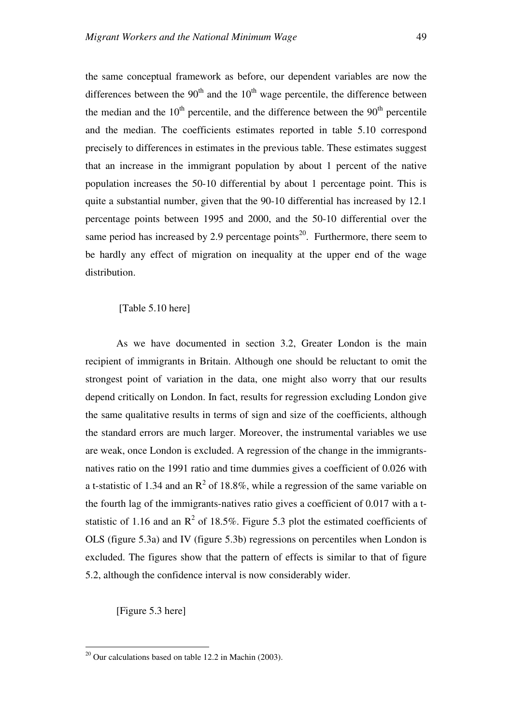the same conceptual framework as before, our dependent variables are now the differences between the  $90<sup>th</sup>$  and the  $10<sup>th</sup>$  wage percentile, the difference between the median and the  $10<sup>th</sup>$  percentile, and the difference between the  $90<sup>th</sup>$  percentile and the median. The coefficients estimates reported in table 5.10 correspond precisely to differences in estimates in the previous table. These estimates suggest that an increase in the immigrant population by about 1 percent of the native population increases the 50-10 differential by about 1 percentage point. This is quite a substantial number, given that the 90-10 differential has increased by 12.1 percentage points between 1995 and 2000, and the 50-10 differential over the same period has increased by 2.9 percentage points<sup>20</sup>. Furthermore, there seem to be hardly any effect of migration on inequality at the upper end of the wage distribution.

## [Table 5.10 here]

As we have documented in section 3.2, Greater London is the main recipient of immigrants in Britain. Although one should be reluctant to omit the strongest point of variation in the data, one might also worry that our results depend critically on London. In fact, results for regression excluding London give the same qualitative results in terms of sign and size of the coefficients, although the standard errors are much larger. Moreover, the instrumental variables we use are weak, once London is excluded. A regression of the change in the immigrantsnatives ratio on the 1991 ratio and time dummies gives a coefficient of 0.026 with a t-statistic of 1.34 and an  $R^2$  of 18.8%, while a regression of the same variable on the fourth lag of the immigrants-natives ratio gives a coefficient of 0.017 with a tstatistic of 1.16 and an  $\mathbb{R}^2$  of 18.5%. Figure 5.3 plot the estimated coefficients of OLS (figure 5.3a) and IV (figure 5.3b) regressions on percentiles when London is excluded. The figures show that the pattern of effects is similar to that of figure 5.2, although the confidence interval is now considerably wider.

[Figure 5.3 here]

 $\overline{a}$ 

 $^{20}$  Our calculations based on table 12.2 in Machin (2003).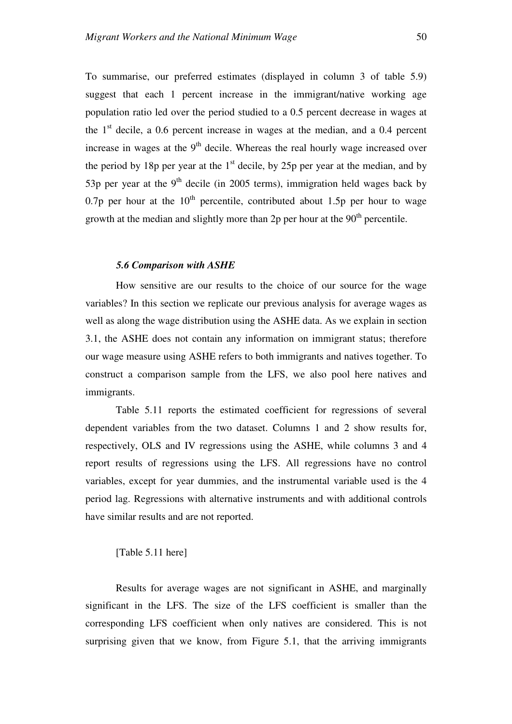To summarise, our preferred estimates (displayed in column 3 of table 5.9) suggest that each 1 percent increase in the immigrant/native working age population ratio led over the period studied to a 0.5 percent decrease in wages at the  $1<sup>st</sup>$  decile, a 0.6 percent increase in wages at the median, and a 0.4 percent increase in wages at the  $9<sup>th</sup>$  decile. Whereas the real hourly wage increased over the period by 18p per year at the  $1<sup>st</sup>$  decile, by 25p per year at the median, and by 53p per year at the 9<sup>th</sup> decile (in 2005 terms), immigration held wages back by 0.7p per hour at the  $10^{th}$  percentile, contributed about 1.5p per hour to wage growth at the median and slightly more than  $2p$  per hour at the  $90<sup>th</sup>$  percentile.

#### *5.6 Comparison with ASHE*

How sensitive are our results to the choice of our source for the wage variables? In this section we replicate our previous analysis for average wages as well as along the wage distribution using the ASHE data. As we explain in section 3.1, the ASHE does not contain any information on immigrant status; therefore our wage measure using ASHE refers to both immigrants and natives together. To construct a comparison sample from the LFS, we also pool here natives and immigrants.

Table 5.11 reports the estimated coefficient for regressions of several dependent variables from the two dataset. Columns 1 and 2 show results for, respectively, OLS and IV regressions using the ASHE, while columns 3 and 4 report results of regressions using the LFS. All regressions have no control variables, except for year dummies, and the instrumental variable used is the 4 period lag. Regressions with alternative instruments and with additional controls have similar results and are not reported.

## [Table 5.11 here]

Results for average wages are not significant in ASHE, and marginally significant in the LFS. The size of the LFS coefficient is smaller than the corresponding LFS coefficient when only natives are considered. This is not surprising given that we know, from Figure 5.1, that the arriving immigrants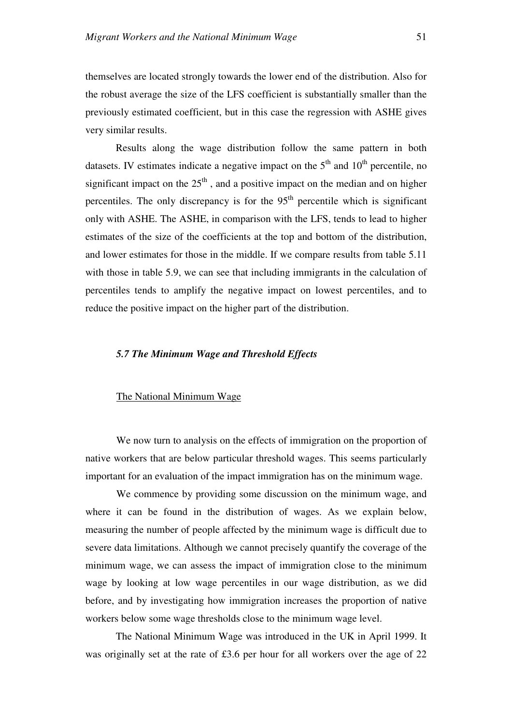themselves are located strongly towards the lower end of the distribution. Also for the robust average the size of the LFS coefficient is substantially smaller than the previously estimated coefficient, but in this case the regression with ASHE gives very similar results.

Results along the wage distribution follow the same pattern in both datasets. IV estimates indicate a negative impact on the  $5<sup>th</sup>$  and  $10<sup>th</sup>$  percentile, no significant impact on the  $25<sup>th</sup>$ , and a positive impact on the median and on higher percentiles. The only discrepancy is for the  $95<sup>th</sup>$  percentile which is significant only with ASHE. The ASHE, in comparison with the LFS, tends to lead to higher estimates of the size of the coefficients at the top and bottom of the distribution, and lower estimates for those in the middle. If we compare results from table 5.11 with those in table 5.9, we can see that including immigrants in the calculation of percentiles tends to amplify the negative impact on lowest percentiles, and to reduce the positive impact on the higher part of the distribution.

### *5.7 The Minimum Wage and Threshold Effects*

#### The National Minimum Wage

We now turn to analysis on the effects of immigration on the proportion of native workers that are below particular threshold wages. This seems particularly important for an evaluation of the impact immigration has on the minimum wage.

We commence by providing some discussion on the minimum wage, and where it can be found in the distribution of wages. As we explain below, measuring the number of people affected by the minimum wage is difficult due to severe data limitations. Although we cannot precisely quantify the coverage of the minimum wage, we can assess the impact of immigration close to the minimum wage by looking at low wage percentiles in our wage distribution, as we did before, and by investigating how immigration increases the proportion of native workers below some wage thresholds close to the minimum wage level.

The National Minimum Wage was introduced in the UK in April 1999. It was originally set at the rate of £3.6 per hour for all workers over the age of 22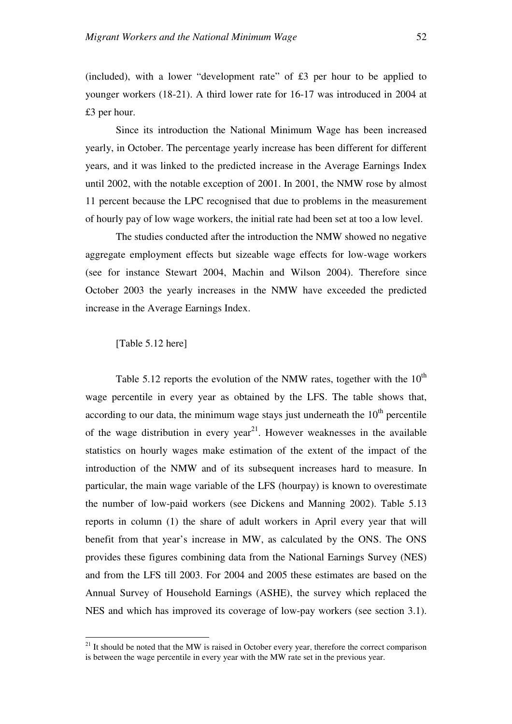(included), with a lower "development rate" of £3 per hour to be applied to younger workers (18-21). A third lower rate for 16-17 was introduced in 2004 at £3 per hour.

Since its introduction the National Minimum Wage has been increased yearly, in October. The percentage yearly increase has been different for different years, and it was linked to the predicted increase in the Average Earnings Index until 2002, with the notable exception of 2001. In 2001, the NMW rose by almost 11 percent because the LPC recognised that due to problems in the measurement of hourly pay of low wage workers, the initial rate had been set at too a low level.

The studies conducted after the introduction the NMW showed no negative aggregate employment effects but sizeable wage effects for low-wage workers (see for instance Stewart 2004, Machin and Wilson 2004). Therefore since October 2003 the yearly increases in the NMW have exceeded the predicted increase in the Average Earnings Index.

## [Table 5.12 here]

 $\overline{a}$ 

Table 5.12 reports the evolution of the NMW rates, together with the  $10^{th}$ wage percentile in every year as obtained by the LFS. The table shows that, according to our data, the minimum wage stays just underneath the  $10<sup>th</sup>$  percentile of the wage distribution in every year<sup>21</sup>. However weaknesses in the available statistics on hourly wages make estimation of the extent of the impact of the introduction of the NMW and of its subsequent increases hard to measure. In particular, the main wage variable of the LFS (hourpay) is known to overestimate the number of low-paid workers (see Dickens and Manning 2002). Table 5.13 reports in column (1) the share of adult workers in April every year that will benefit from that year's increase in MW, as calculated by the ONS. The ONS provides these figures combining data from the National Earnings Survey (NES) and from the LFS till 2003. For 2004 and 2005 these estimates are based on the Annual Survey of Household Earnings (ASHE), the survey which replaced the NES and which has improved its coverage of low-pay workers (see section 3.1).

 $21$  It should be noted that the MW is raised in October every year, therefore the correct comparison is between the wage percentile in every year with the MW rate set in the previous year.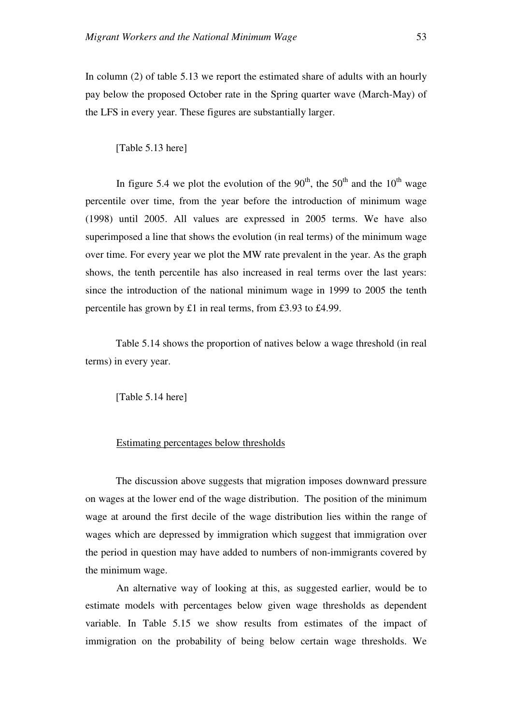In column (2) of table 5.13 we report the estimated share of adults with an hourly pay below the proposed October rate in the Spring quarter wave (March-May) of the LFS in every year. These figures are substantially larger.

[Table 5.13 here]

In figure 5.4 we plot the evolution of the  $90<sup>th</sup>$ , the  $50<sup>th</sup>$  and the  $10<sup>th</sup>$  wage percentile over time, from the year before the introduction of minimum wage (1998) until 2005. All values are expressed in 2005 terms. We have also superimposed a line that shows the evolution (in real terms) of the minimum wage over time. For every year we plot the MW rate prevalent in the year. As the graph shows, the tenth percentile has also increased in real terms over the last years: since the introduction of the national minimum wage in 1999 to 2005 the tenth percentile has grown by £1 in real terms, from £3.93 to £4.99.

Table 5.14 shows the proportion of natives below a wage threshold (in real terms) in every year.

[Table 5.14 here]

## Estimating percentages below thresholds

The discussion above suggests that migration imposes downward pressure on wages at the lower end of the wage distribution. The position of the minimum wage at around the first decile of the wage distribution lies within the range of wages which are depressed by immigration which suggest that immigration over the period in question may have added to numbers of non-immigrants covered by the minimum wage.

An alternative way of looking at this, as suggested earlier, would be to estimate models with percentages below given wage thresholds as dependent variable. In Table 5.15 we show results from estimates of the impact of immigration on the probability of being below certain wage thresholds. We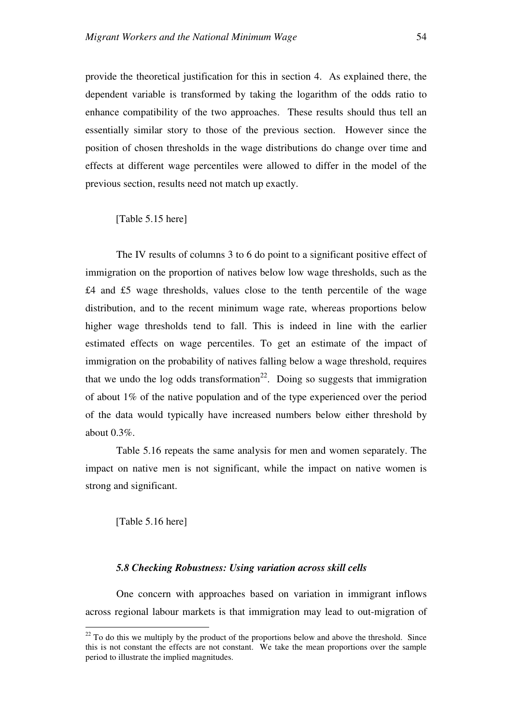provide the theoretical justification for this in section 4. As explained there, the dependent variable is transformed by taking the logarithm of the odds ratio to enhance compatibility of the two approaches. These results should thus tell an essentially similar story to those of the previous section. However since the position of chosen thresholds in the wage distributions do change over time and effects at different wage percentiles were allowed to differ in the model of the previous section, results need not match up exactly.

[Table 5.15 here]

The IV results of columns 3 to 6 do point to a significant positive effect of immigration on the proportion of natives below low wage thresholds, such as the £4 and £5 wage thresholds, values close to the tenth percentile of the wage distribution, and to the recent minimum wage rate, whereas proportions below higher wage thresholds tend to fall. This is indeed in line with the earlier estimated effects on wage percentiles. To get an estimate of the impact of immigration on the probability of natives falling below a wage threshold, requires that we undo the log odds transformation<sup>22</sup>. Doing so suggests that immigration of about 1% of the native population and of the type experienced over the period of the data would typically have increased numbers below either threshold by about 0.3%.

Table 5.16 repeats the same analysis for men and women separately. The impact on native men is not significant, while the impact on native women is strong and significant.

[Table 5.16 here]

 $\overline{a}$ 

## *5.8 Checking Robustness: Using variation across skill cells*

One concern with approaches based on variation in immigrant inflows across regional labour markets is that immigration may lead to out-migration of

 $^{22}$  To do this we multiply by the product of the proportions below and above the threshold. Since this is not constant the effects are not constant. We take the mean proportions over the sample period to illustrate the implied magnitudes.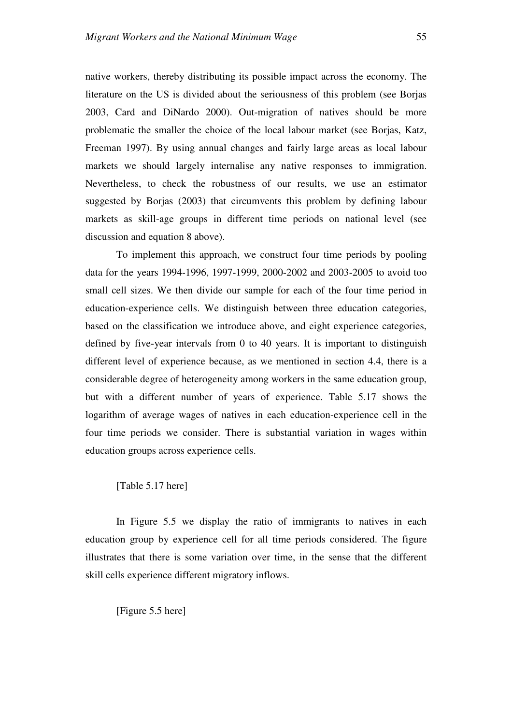native workers, thereby distributing its possible impact across the economy. The literature on the US is divided about the seriousness of this problem (see Borjas 2003, Card and DiNardo 2000). Out-migration of natives should be more problematic the smaller the choice of the local labour market (see Borjas, Katz, Freeman 1997). By using annual changes and fairly large areas as local labour markets we should largely internalise any native responses to immigration. Nevertheless, to check the robustness of our results, we use an estimator suggested by Borjas (2003) that circumvents this problem by defining labour markets as skill-age groups in different time periods on national level (see discussion and equation 8 above).

To implement this approach, we construct four time periods by pooling data for the years 1994-1996, 1997-1999, 2000-2002 and 2003-2005 to avoid too small cell sizes. We then divide our sample for each of the four time period in education-experience cells. We distinguish between three education categories, based on the classification we introduce above, and eight experience categories, defined by five-year intervals from 0 to 40 years. It is important to distinguish different level of experience because, as we mentioned in section 4.4, there is a considerable degree of heterogeneity among workers in the same education group, but with a different number of years of experience. Table 5.17 shows the logarithm of average wages of natives in each education-experience cell in the four time periods we consider. There is substantial variation in wages within education groups across experience cells.

### [Table 5.17 here]

In Figure 5.5 we display the ratio of immigrants to natives in each education group by experience cell for all time periods considered. The figure illustrates that there is some variation over time, in the sense that the different skill cells experience different migratory inflows.

[Figure 5.5 here]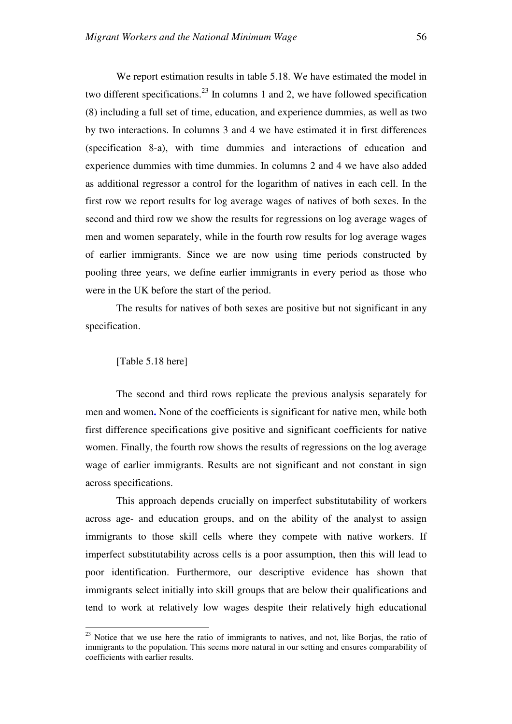We report estimation results in table 5.18. We have estimated the model in two different specifications.<sup>23</sup> In columns 1 and 2, we have followed specification (8) including a full set of time, education, and experience dummies, as well as two by two interactions. In columns 3 and 4 we have estimated it in first differences (specification 8-a), with time dummies and interactions of education and experience dummies with time dummies. In columns 2 and 4 we have also added as additional regressor a control for the logarithm of natives in each cell. In the first row we report results for log average wages of natives of both sexes. In the second and third row we show the results for regressions on log average wages of men and women separately, while in the fourth row results for log average wages of earlier immigrants. Since we are now using time periods constructed by pooling three years, we define earlier immigrants in every period as those who were in the UK before the start of the period.

The results for natives of both sexes are positive but not significant in any specification.

### [Table 5.18 here]

 $\overline{a}$ 

The second and third rows replicate the previous analysis separately for men and women**.** None of the coefficients is significant for native men, while both first difference specifications give positive and significant coefficients for native women. Finally, the fourth row shows the results of regressions on the log average wage of earlier immigrants. Results are not significant and not constant in sign across specifications.

This approach depends crucially on imperfect substitutability of workers across age- and education groups, and on the ability of the analyst to assign immigrants to those skill cells where they compete with native workers. If imperfect substitutability across cells is a poor assumption, then this will lead to poor identification. Furthermore, our descriptive evidence has shown that immigrants select initially into skill groups that are below their qualifications and tend to work at relatively low wages despite their relatively high educational

 $2<sup>23</sup>$  Notice that we use here the ratio of immigrants to natives, and not, like Borjas, the ratio of immigrants to the population. This seems more natural in our setting and ensures comparability of coefficients with earlier results.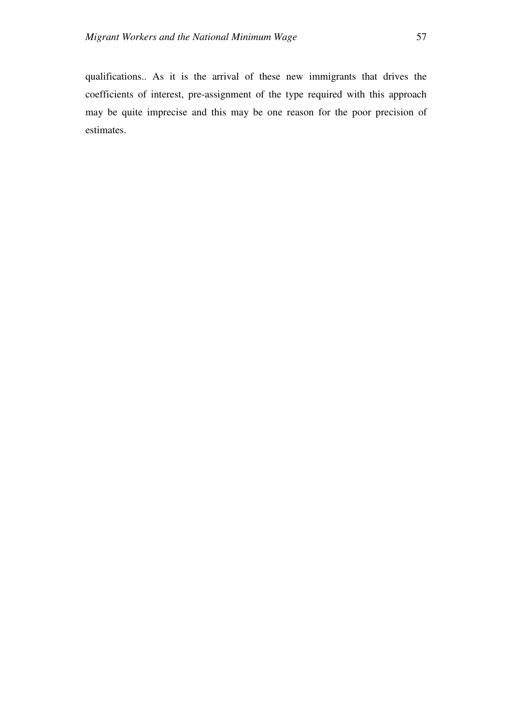qualifications.. As it is the arrival of these new immigrants that drives the coefficients of interest, pre-assignment of the type required with this approach may be quite imprecise and this may be one reason for the poor precision of estimates.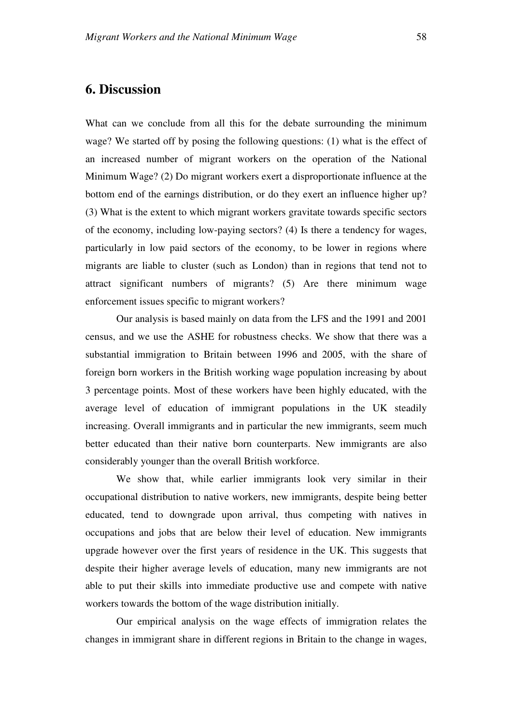What can we conclude from all this for the debate surrounding the minimum wage? We started off by posing the following questions: (1) what is the effect of an increased number of migrant workers on the operation of the National Minimum Wage? (2) Do migrant workers exert a disproportionate influence at the bottom end of the earnings distribution, or do they exert an influence higher up? (3) What is the extent to which migrant workers gravitate towards specific sectors of the economy, including low-paying sectors? (4) Is there a tendency for wages, particularly in low paid sectors of the economy, to be lower in regions where migrants are liable to cluster (such as London) than in regions that tend not to attract significant numbers of migrants? (5) Are there minimum wage enforcement issues specific to migrant workers?

Our analysis is based mainly on data from the LFS and the 1991 and 2001 census, and we use the ASHE for robustness checks. We show that there was a substantial immigration to Britain between 1996 and 2005, with the share of foreign born workers in the British working wage population increasing by about 3 percentage points. Most of these workers have been highly educated, with the average level of education of immigrant populations in the UK steadily increasing. Overall immigrants and in particular the new immigrants, seem much better educated than their native born counterparts. New immigrants are also considerably younger than the overall British workforce.

We show that, while earlier immigrants look very similar in their occupational distribution to native workers, new immigrants, despite being better educated, tend to downgrade upon arrival, thus competing with natives in occupations and jobs that are below their level of education. New immigrants upgrade however over the first years of residence in the UK. This suggests that despite their higher average levels of education, many new immigrants are not able to put their skills into immediate productive use and compete with native workers towards the bottom of the wage distribution initially.

Our empirical analysis on the wage effects of immigration relates the changes in immigrant share in different regions in Britain to the change in wages,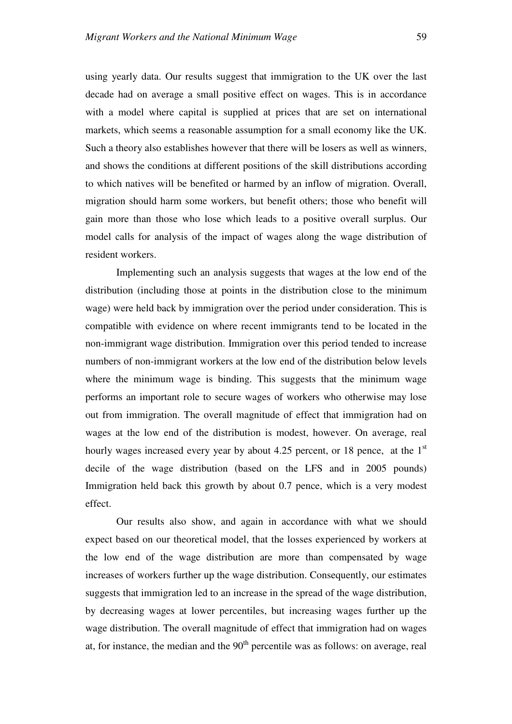using yearly data. Our results suggest that immigration to the UK over the last decade had on average a small positive effect on wages. This is in accordance with a model where capital is supplied at prices that are set on international markets, which seems a reasonable assumption for a small economy like the UK. Such a theory also establishes however that there will be losers as well as winners, and shows the conditions at different positions of the skill distributions according to which natives will be benefited or harmed by an inflow of migration. Overall, migration should harm some workers, but benefit others; those who benefit will gain more than those who lose which leads to a positive overall surplus. Our model calls for analysis of the impact of wages along the wage distribution of resident workers.

Implementing such an analysis suggests that wages at the low end of the distribution (including those at points in the distribution close to the minimum wage) were held back by immigration over the period under consideration. This is compatible with evidence on where recent immigrants tend to be located in the non-immigrant wage distribution. Immigration over this period tended to increase numbers of non-immigrant workers at the low end of the distribution below levels where the minimum wage is binding. This suggests that the minimum wage performs an important role to secure wages of workers who otherwise may lose out from immigration. The overall magnitude of effect that immigration had on wages at the low end of the distribution is modest, however. On average, real hourly wages increased every year by about 4.25 percent, or 18 pence, at the  $1<sup>st</sup>$ decile of the wage distribution (based on the LFS and in 2005 pounds) Immigration held back this growth by about 0.7 pence, which is a very modest effect.

Our results also show, and again in accordance with what we should expect based on our theoretical model, that the losses experienced by workers at the low end of the wage distribution are more than compensated by wage increases of workers further up the wage distribution. Consequently, our estimates suggests that immigration led to an increase in the spread of the wage distribution, by decreasing wages at lower percentiles, but increasing wages further up the wage distribution. The overall magnitude of effect that immigration had on wages at, for instance, the median and the  $90<sup>th</sup>$  percentile was as follows: on average, real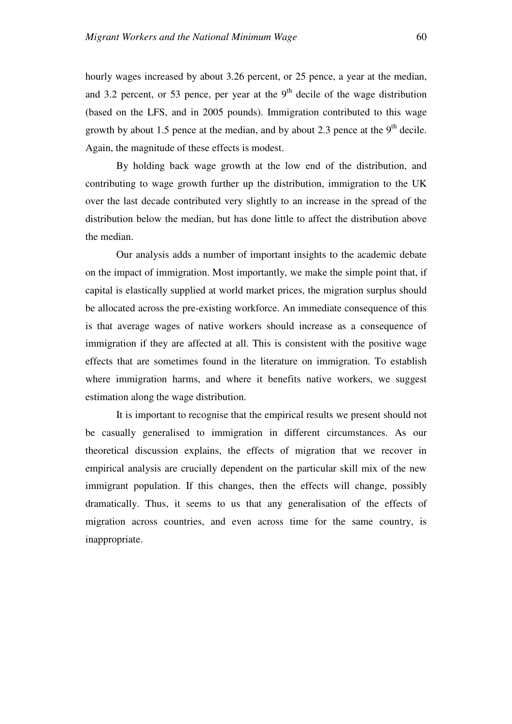hourly wages increased by about 3.26 percent, or 25 pence, a year at the median, and 3.2 percent, or 53 pence, per year at the  $9<sup>th</sup>$  decile of the wage distribution (based on the LFS, and in 2005 pounds). Immigration contributed to this wage growth by about 1.5 pence at the median, and by about 2.3 pence at the  $9<sup>th</sup>$  decile. Again, the magnitude of these effects is modest.

By holding back wage growth at the low end of the distribution, and contributing to wage growth further up the distribution, immigration to the UK over the last decade contributed very slightly to an increase in the spread of the distribution below the median, but has done little to affect the distribution above the median.

Our analysis adds a number of important insights to the academic debate on the impact of immigration. Most importantly, we make the simple point that, if capital is elastically supplied at world market prices, the migration surplus should be allocated across the pre-existing workforce. An immediate consequence of this is that average wages of native workers should increase as a consequence of immigration if they are affected at all. This is consistent with the positive wage effects that are sometimes found in the literature on immigration. To establish where immigration harms, and where it benefits native workers, we suggest estimation along the wage distribution.

It is important to recognise that the empirical results we present should not be casually generalised to immigration in different circumstances. As our theoretical discussion explains, the effects of migration that we recover in empirical analysis are crucially dependent on the particular skill mix of the new immigrant population. If this changes, then the effects will change, possibly dramatically. Thus, it seems to us that any generalisation of the effects of migration across countries, and even across time for the same country, is inappropriate.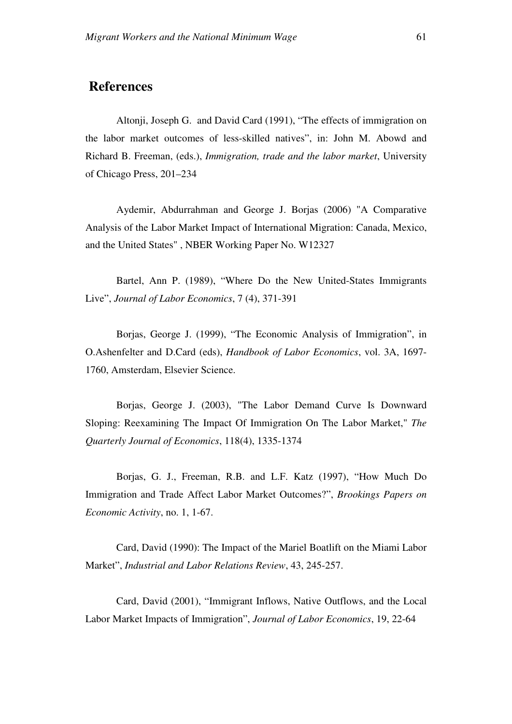# **References**

Altonji, Joseph G. and David Card (1991), "The effects of immigration on the labor market outcomes of less-skilled natives", in: John M. Abowd and Richard B. Freeman, (eds.), *Immigration, trade and the labor market*, University of Chicago Press, 201–234

Aydemir, Abdurrahman and George J. Borjas (2006) "A Comparative Analysis of the Labor Market Impact of International Migration: Canada, Mexico, and the United States" , NBER Working Paper No. W12327

Bartel, Ann P. (1989), "Where Do the New United-States Immigrants Live", *Journal of Labor Economics*, 7 (4), 371-391

Borjas, George J. (1999), "The Economic Analysis of Immigration", in O.Ashenfelter and D.Card (eds), *Handbook of Labor Economics*, vol. 3A, 1697- 1760, Amsterdam, Elsevier Science.

Borjas, George J. (2003), "The Labor Demand Curve Is Downward Sloping: Reexamining The Impact Of Immigration On The Labor Market," *The Quarterly Journal of Economics*, 118(4), 1335-1374

Borjas, G. J., Freeman, R.B. and L.F. Katz (1997), "How Much Do Immigration and Trade Affect Labor Market Outcomes?", *Brookings Papers on Economic Activity*, no. 1, 1-67.

Card, David (1990): The Impact of the Mariel Boatlift on the Miami Labor Market", *Industrial and Labor Relations Review*, 43, 245-257.

Card, David (2001), "Immigrant Inflows, Native Outflows, and the Local Labor Market Impacts of Immigration", *Journal of Labor Economics*, 19, 22-64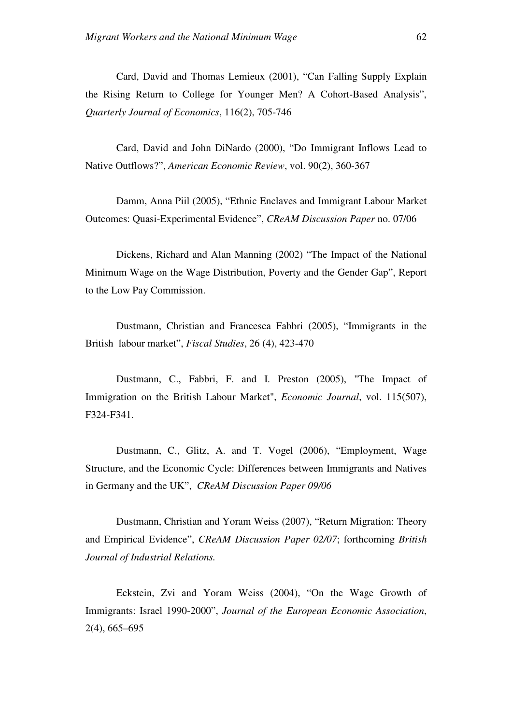Card, David and Thomas Lemieux (2001), "Can Falling Supply Explain the Rising Return to College for Younger Men? A Cohort-Based Analysis", *Quarterly Journal of Economics*, 116(2), 705-746

Card, David and John DiNardo (2000), "Do Immigrant Inflows Lead to Native Outflows?", *American Economic Review*, vol. 90(2), 360-367

Damm, Anna Piil (2005), "Ethnic Enclaves and Immigrant Labour Market Outcomes: Quasi-Experimental Evidence", *CReAM Discussion Paper* no. 07/06

Dickens, Richard and Alan Manning (2002) "The Impact of the National Minimum Wage on the Wage Distribution, Poverty and the Gender Gap", Report to the Low Pay Commission.

Dustmann, Christian and Francesca Fabbri (2005), "Immigrants in the British labour market", *Fiscal Studies*, 26 (4), 423-470

Dustmann, C., Fabbri, F. and I. Preston (2005), "The Impact of Immigration on the British Labour Market", *Economic Journal*, vol. 115(507), F324-F341.

Dustmann, C., Glitz, A. and T. Vogel (2006), "Employment, Wage Structure, and the Economic Cycle: Differences between Immigrants and Natives in Germany and the UK", *CReAM Discussion Paper 09/06*

Dustmann, Christian and Yoram Weiss (2007), "Return Migration: Theory and Empirical Evidence", *CReAM Discussion Paper 02/07*; forthcoming *British Journal of Industrial Relations.*

Eckstein, Zvi and Yoram Weiss (2004), "On the Wage Growth of Immigrants: Israel 1990-2000", *Journal of the European Economic Association*, 2(4), 665–695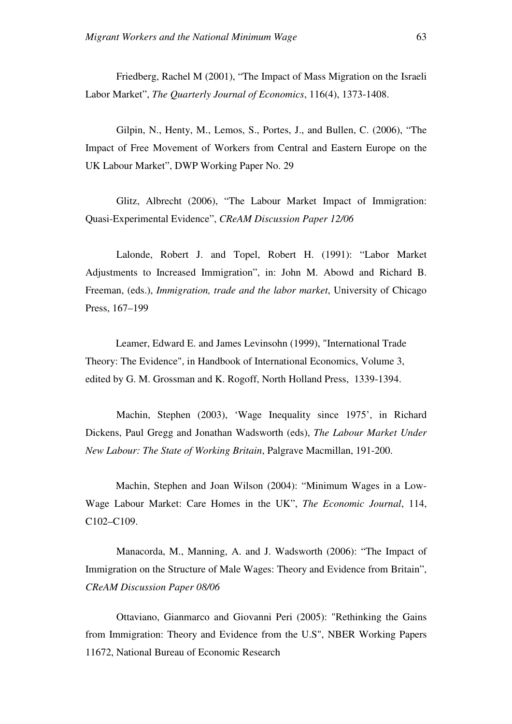Friedberg, Rachel M (2001), "The Impact of Mass Migration on the Israeli Labor Market", *The Quarterly Journal of Economics*, 116(4), 1373-1408.

Gilpin, N., Henty, M., Lemos, S., Portes, J., and Bullen, C. (2006), "The Impact of Free Movement of Workers from Central and Eastern Europe on the UK Labour Market", DWP Working Paper No. 29

Glitz, Albrecht (2006), "The Labour Market Impact of Immigration: Quasi-Experimental Evidence", *CReAM Discussion Paper 12/06*

Lalonde, Robert J. and Topel, Robert H. (1991): "Labor Market Adjustments to Increased Immigration", in: John M. Abowd and Richard B. Freeman, (eds.), *Immigration, trade and the labor market*, University of Chicago Press, 167–199

Leamer, Edward E. and James Levinsohn (1999), "International Trade Theory: The Evidence", in Handbook of International Economics, Volume 3, edited by G. M. Grossman and K. Rogoff, North Holland Press, 1339-1394.

Machin, Stephen (2003), 'Wage Inequality since 1975', in Richard Dickens, Paul Gregg and Jonathan Wadsworth (eds), *The Labour Market Under New Labour: The State of Working Britain*, Palgrave Macmillan, 191-200.

Machin, Stephen and Joan Wilson (2004): "Minimum Wages in a Low-Wage Labour Market: Care Homes in the UK", *The Economic Journal*, 114, C102–C109.

Manacorda, M., Manning, A. and J. Wadsworth (2006): "The Impact of Immigration on the Structure of Male Wages: Theory and Evidence from Britain", *CReAM Discussion Paper 08/06* 

Ottaviano, Gianmarco and Giovanni Peri (2005): "Rethinking the Gains from Immigration: Theory and Evidence from the U.S", NBER Working Papers 11672, National Bureau of Economic Research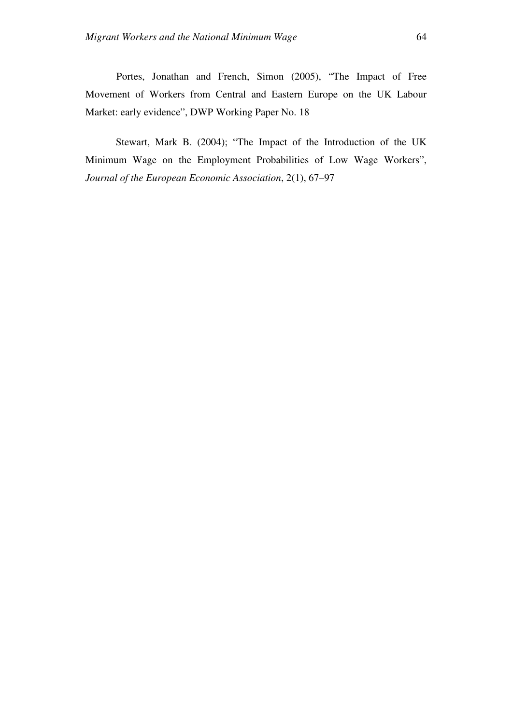Portes, Jonathan and French, Simon (2005), "The Impact of Free Movement of Workers from Central and Eastern Europe on the UK Labour Market: early evidence", DWP Working Paper No. 18

Stewart, Mark B. (2004); "The Impact of the Introduction of the UK Minimum Wage on the Employment Probabilities of Low Wage Workers", *Journal of the European Economic Association*, 2(1), 67–97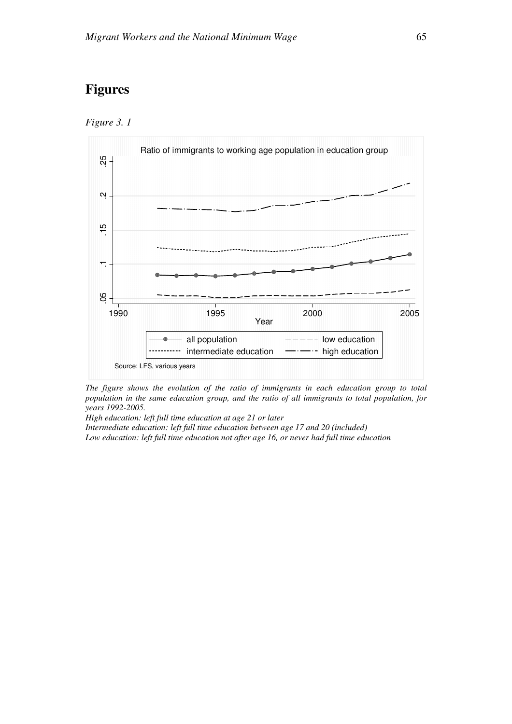# **Figures**





*The figure shows the evolution of the ratio of immigrants in each education group to total population in the same education group, and the ratio of all immigrants to total population, for years 1992-2005.* 

*High education: left full time education at age 21 or later* 

*Intermediate education: left full time education between age 17 and 20 (included) Low education: left full time education not after age 16, or never had full time education*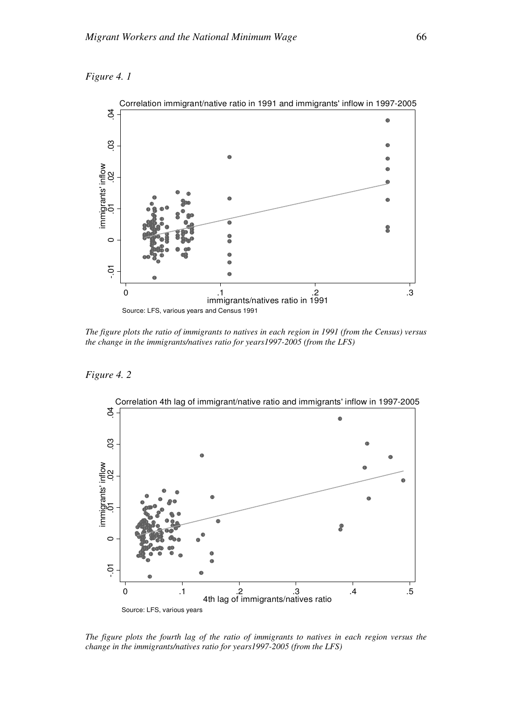



*The figure plots the ratio of immigrants to natives in each region in 1991 (from the Census) versus the change in the immigrants/natives ratio for years1997-2005 (from the LFS)* 

*Figure 4. 2* 



*The figure plots the fourth lag of the ratio of immigrants to natives in each region versus the change in the immigrants/natives ratio for years1997-2005 (from the LFS)*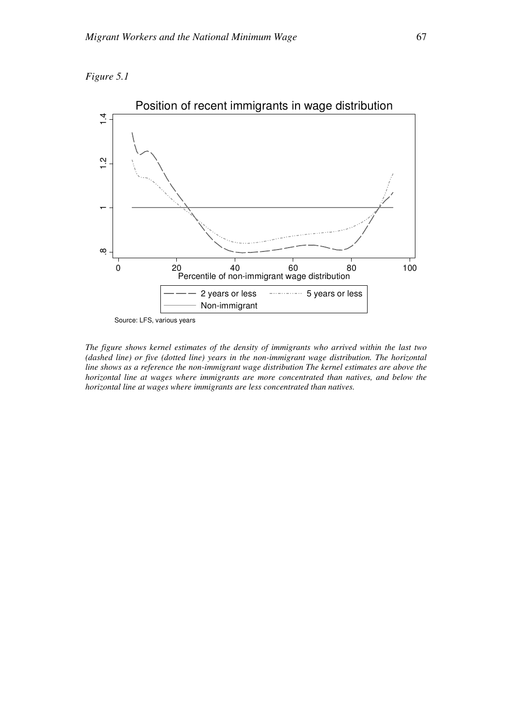



Source: LFS, various years

*The figure shows kernel estimates of the density of immigrants who arrived within the last two (dashed line) or five (dotted line) years in the non-immigrant wage distribution. The horizontal line shows as a reference the non-immigrant wage distribution The kernel estimates are above the horizontal line at wages where immigrants are more concentrated than natives, and below the horizontal line at wages where immigrants are less concentrated than natives.*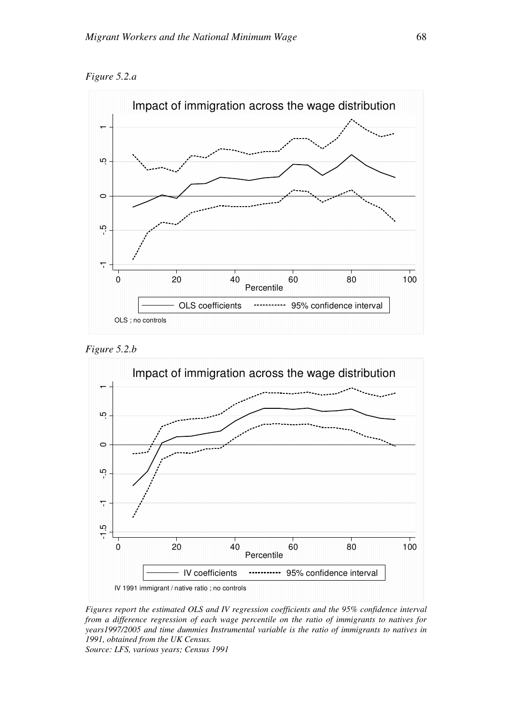*Figure 5.2.a* 







*Figures report the estimated OLS and IV regression coefficients and the 95% confidence interval from a difference regression of each wage percentile on the ratio of immigrants to natives for years1997/2005 and time dummies Instrumental variable is the ratio of immigrants to natives in 1991, obtained from the UK Census. Source: LFS, various years; Census 1991*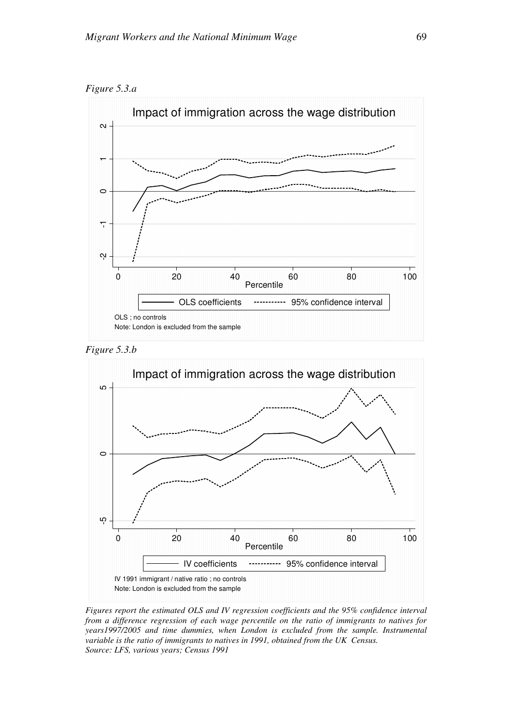







*Figures report the estimated OLS and IV regression coefficients and the 95% confidence interval from a difference regression of each wage percentile on the ratio of immigrants to natives for years1997/2005 and time dummies, when London is excluded from the sample. Instrumental variable is the ratio of immigrants to natives in 1991, obtained from the UK Census. Source: LFS, various years; Census 1991*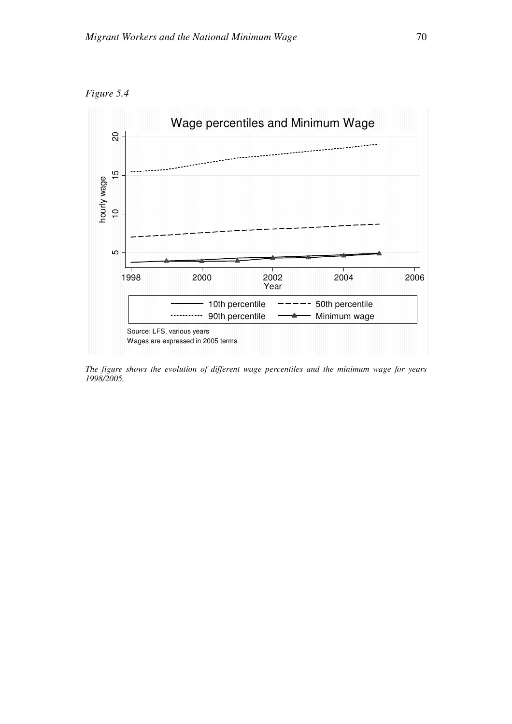



*The figure shows the evolution of different wage percentiles and the minimum wage for years 1998/2005.*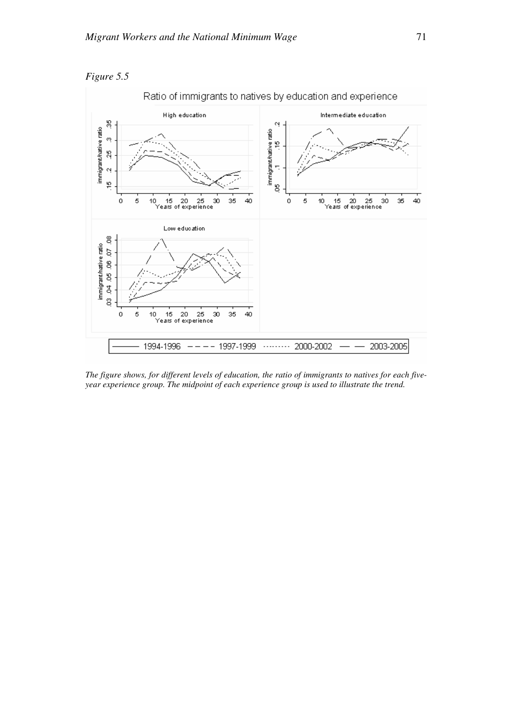



*The figure shows, for different levels of education, the ratio of immigrants to natives for each fiveyear experience group. The midpoint of each experience group is used to illustrate the trend.*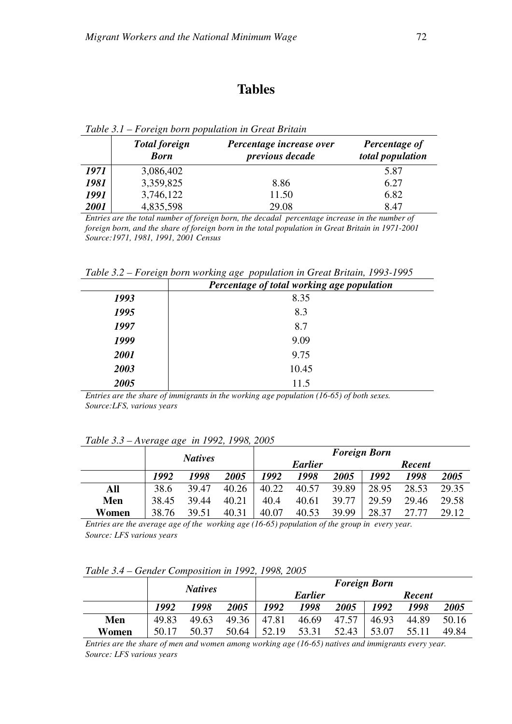## **Tables**

|      | <b>Total foreign</b><br><b>Born</b> | Percentage increase over<br>previous decade | Percentage of<br>total population |
|------|-------------------------------------|---------------------------------------------|-----------------------------------|
| 1971 | 3,086,402                           |                                             | 5.87                              |
| 1981 | 3,359,825                           | 8.86                                        | 6.27                              |
| 1991 | 3,746,122                           | 11.50                                       | 6.82                              |
| 2001 | 4,835,598                           | 29.08                                       | 8.47                              |

*Table 3.1 – Foreign born population in Great Britain* 

*Entries are the total number of foreign born, the decadal percentage increase in the number of foreign born, and the share of foreign born in the total population in Great Britain in 1971-2001 Source:1971, 1981, 1991, 2001 Census* 

*Table 3.2 – Foreign born working age population in Great Britain, 1993-1995*

|      | Percentage of total working age population |  |  |  |  |
|------|--------------------------------------------|--|--|--|--|
| 1993 | 8.35                                       |  |  |  |  |
| 1995 | 8.3                                        |  |  |  |  |
| 1997 | 8.7                                        |  |  |  |  |
| 1999 | 9.09                                       |  |  |  |  |
| 2001 | 9.75                                       |  |  |  |  |
| 2003 | 10.45                                      |  |  |  |  |
| 2005 | 11.5                                       |  |  |  |  |

*Entries are the share of immigrants in the working age population (16-65) of both sexes. Source:LFS, various years* 

## *Table 3.3 – Average age in 1992, 1998, 2005*

|       | <b>Natives</b> |       |       | <b>Foreign Born</b> |       |                    |        |       |       |
|-------|----------------|-------|-------|---------------------|-------|--------------------|--------|-------|-------|
|       |                |       |       | <b>Earlier</b>      |       |                    | Recent |       |       |
|       | 1992           | 1998  | 2005  | 1992                | 1998  | <i><b>2005</b></i> | 1992   | 1998  | 2005  |
| All   | 38.6           | 39.47 | 40.26 | 40.22               | 40.57 | 39.89              | 28.95  | 28.53 | 29.35 |
| Men   | 38.45          | 39.44 | 40.21 | 40.4                | 40.61 | 39.77              | 29.59  | 29.46 | 29.58 |
| Women | 38.76          | 39.51 | 40.31 | 40.07               | 40.53 | 39.99              | 28.37  | 27 77 | 29.12 |

*Entries are the average age of the working age (16-65) population of the group in every year. Source: LFS various years*

*Table 3.4 – Gender Composition in 1992, 1998, 2005*

|       | <b>Natives</b> |       | <b>Foreign Born</b> |                |       |                    |               |       |       |
|-------|----------------|-------|---------------------|----------------|-------|--------------------|---------------|-------|-------|
|       |                |       |                     | <b>Earlier</b> |       |                    | <b>Recent</b> |       |       |
|       | 1992           | 1998  | 2005                | 1992           | 1998  | <i><b>2005</b></i> | 1992          | 1998  | 2005  |
| Men   | 49.83          | 49.63 | 49.36               | 47.81          | 46.69 | 47.57              | 46.93         | 44.89 | 50.16 |
| Women | 50.17          | 50.37 | 50.64               | 52.19          | 53.31 | 52.43              | 53.07         | 55.11 | 49.84 |

*Entries are the share of men and women among working age (16-65) natives and immigrants every year. Source: LFS various years*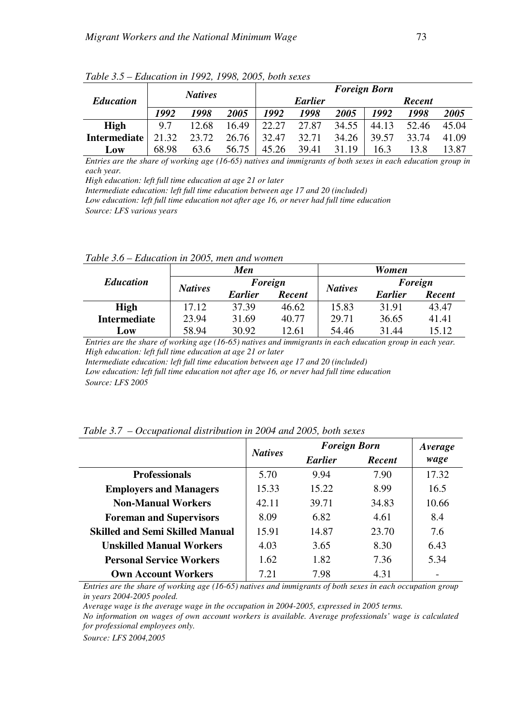|                  |       | <b>Natives</b> |       |       |                | <b>Foreign Born</b> |               |       |       |
|------------------|-------|----------------|-------|-------|----------------|---------------------|---------------|-------|-------|
| <b>Education</b> |       |                |       |       | <b>Earlier</b> |                     | <b>Recent</b> |       |       |
|                  | 1992  | 1998           | 2005  | 1992  | 1998           | <i><b>2005</b></i>  | 1992          | 1998  | 2005  |
| High             | 9.7   | 12.68          | 16.49 | 22.27 | 27.87          | 34.55               | 44.13         | 52.46 | 45.04 |
| Intermediate     | 21.32 | 23.72          | 26.76 | 32.47 | 32.71          | 34.26               | 39.57         | 33.74 | 41.09 |
| <b>LOW</b>       | 68.98 | 63.6           | 56.75 | 45.26 | 39.41          | 31.19               | 16.3          | 13.8  | 13.87 |

*Table 3.5 – Education in 1992, 1998, 2005, both sexes*

*Entries are the share of working age (16-65) natives and immigrants of both sexes in each education group in each year.* 

*High education: left full time education at age 21 or later* 

*Intermediate education: left full time education between age 17 and 20 (included)* 

*Low education: left full time education not after age 16, or never had full time education Source: LFS various years*

*Table 3.6 – Education in 2005, men and women*

|                     |                | Men            |               | <b>Women</b>   |                |               |  |
|---------------------|----------------|----------------|---------------|----------------|----------------|---------------|--|
| <b>Education</b>    | <b>Natives</b> | Foreign        |               | <b>Natives</b> | Foreign        |               |  |
|                     |                | <b>Earlier</b> | <b>Recent</b> |                | <b>Earlier</b> | <b>Recent</b> |  |
| <b>High</b>         | 17.12          | 37.39          | 46.62         | 15.83          | 31.91          | 43.47         |  |
| <b>Intermediate</b> | 23.94          | 31.69          | 40.77         | 29.71          | 36.65          | 41.41         |  |
| Low                 | 58.94          | 30.92          | 12.61         | 54.46          | 31.44          | 15.12         |  |

*Entries are the share of working age (16-65) natives and immigrants in each education group in each year. High education: left full time education at age 21 or later* 

*Intermediate education: left full time education between age 17 and 20 (included) Low education: left full time education not after age 16, or never had full time education Source: LFS 2005*

|                                        | <b>Natives</b> | <b>Foreign Born</b> |               | Average |
|----------------------------------------|----------------|---------------------|---------------|---------|
|                                        |                | <b>Earlier</b>      | <b>Recent</b> | wage    |
| <b>Professionals</b>                   | 5.70           | 9.94                | 7.90          | 17.32   |
| <b>Employers and Managers</b>          | 15.33          | 15.22               | 8.99          | 16.5    |
| <b>Non-Manual Workers</b>              | 42.11          | 39.71               | 34.83         | 10.66   |
| <b>Foreman and Supervisors</b>         | 8.09           | 6.82                | 4.61          | 8.4     |
| <b>Skilled and Semi Skilled Manual</b> | 15.91          | 14.87               | 23.70         | 7.6     |
| <b>Unskilled Manual Workers</b>        | 4.03           | 3.65                | 8.30          | 6.43    |
| <b>Personal Service Workers</b>        | 1.62           | 1.82                | 7.36          | 5.34    |
| <b>Own Account Workers</b>             | 7.21           | 7.98                | 4.31          |         |

*Table 3.7 – Occupational distribution in 2004 and 2005, both sexes*

*Entries are the share of working age (16-65) natives and immigrants of both sexes in each occupation group in years 2004-2005 pooled.* 

*Average wage is the average wage in the occupation in 2004-2005, expressed in 2005 terms.* 

*No information on wages of own account workers is available. Average professionals' wage is calculated for professional employees only.* 

*Source: LFS 2004,2005*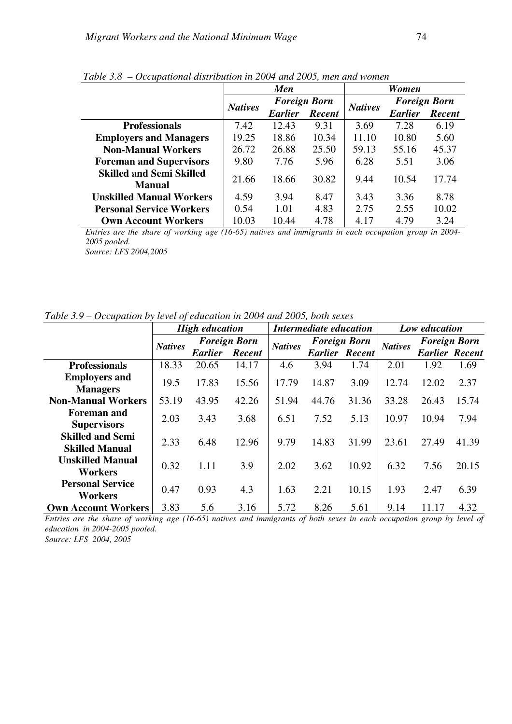|                                           |                | <b>Men</b>          |               | Women          |                     |        |  |
|-------------------------------------------|----------------|---------------------|---------------|----------------|---------------------|--------|--|
|                                           | <b>Natives</b> | <b>Foreign Born</b> |               | <b>Natives</b> | <b>Foreign Born</b> |        |  |
|                                           |                | <b>Earlier</b>      | <b>Recent</b> |                | <b>Earlier</b>      | Recent |  |
| <b>Professionals</b>                      | 7.42           | 12.43               | 9.31          | 3.69           | 7.28                | 6.19   |  |
| <b>Employers and Managers</b>             | 19.25          | 18.86               | 10.34         | 11.10          | 10.80               | 5.60   |  |
| <b>Non-Manual Workers</b>                 | 26.72          | 26.88               | 25.50         | 59.13          | 55.16               | 45.37  |  |
| <b>Foreman and Supervisors</b>            | 9.80           | 7.76                | 5.96          | 6.28           | 5.51                | 3.06   |  |
| <b>Skilled and Semi Skilled</b><br>Manual | 21.66          | 18.66               | 30.82         | 9.44           | 10.54               | 17.74  |  |
| <b>Unskilled Manual Workers</b>           | 4.59           | 3.94                | 8.47          | 3.43           | 3.36                | 8.78   |  |
| <b>Personal Service Workers</b>           | 0.54           | 1.01                | 4.83          | 2.75           | 2.55                | 10.02  |  |
| <b>Own Account Workers</b>                | 10.03          | 10.44               | 4.78          | 4.17           | 4.79                | 3.24   |  |

*Table 3.8 – Occupational distribution in 2004 and 2005, men and women*

*Entries are the share of working age (16-65) natives and immigrants in each occupation group in 2004- 2005 pooled.*

*Source: LFS 2004,2005* 

*Table 3.9 – Occupation by level of education in 2004 and 2005, both sexes*

|                            |                | <b>High education</b> |                     |                | Intermediate education |                       |                | Low education |                       |  |
|----------------------------|----------------|-----------------------|---------------------|----------------|------------------------|-----------------------|----------------|---------------|-----------------------|--|
|                            | <b>Natives</b> |                       | <b>Foreign Born</b> | <b>Natives</b> | <b>Foreign Born</b>    |                       | <b>Natives</b> |               | <b>Foreign Born</b>   |  |
|                            |                | <b>Earlier</b>        | Recent              |                |                        | <b>Earlier Recent</b> |                |               | <b>Earlier Recent</b> |  |
| <b>Professionals</b>       | 18.33          | 20.65                 | 14.17               | 4.6            | 3.94                   | 1.74                  | 2.01           | 1.92          | 1.69                  |  |
| <b>Employers and</b>       | 19.5           | 17.83                 | 15.56               | 17.79          | 14.87                  | 3.09                  | 12.74          | 12.02         | 2.37                  |  |
| <b>Managers</b>            |                |                       |                     |                |                        |                       |                |               |                       |  |
| <b>Non-Manual Workers</b>  | 53.19          | 43.95                 | 42.26               | 51.94          | 44.76                  | 31.36                 | 33.28          | 26.43         | 15.74                 |  |
| <b>Foreman and</b>         | 2.03           | 3.43                  | 3.68                | 6.51           | 7.52                   | 5.13                  | 10.97          | 10.94         | 7.94                  |  |
| <b>Supervisors</b>         |                |                       |                     |                |                        |                       |                |               |                       |  |
| <b>Skilled and Semi</b>    | 2.33           | 6.48                  | 12.96               | 9.79           | 14.83                  | 31.99                 | 23.61          | 27.49         | 41.39                 |  |
| <b>Skilled Manual</b>      |                |                       |                     |                |                        |                       |                |               |                       |  |
| <b>Unskilled Manual</b>    | 0.32           | 1.11                  | 3.9                 | 2.02           | 3.62                   | 10.92                 | 6.32           | 7.56          | 20.15                 |  |
| <b>Workers</b>             |                |                       |                     |                |                        |                       |                |               |                       |  |
| <b>Personal Service</b>    | 0.47           | 0.93                  | 4.3                 | 1.63           | 2.21                   | 10.15                 | 1.93           | 2.47          | 6.39                  |  |
| <b>Workers</b>             |                |                       |                     |                |                        |                       |                |               |                       |  |
| <b>Own Account Workers</b> | 3.83           | 5.6                   | 3.16                | 5.72           | 8.26                   | 5.61                  | 9.14           | 11.17         | 4.32                  |  |

*Entries are the share of working age (16-65) natives and immigrants of both sexes in each occupation group by level of education in 2004-2005 pooled. Source: LFS 2004, 2005*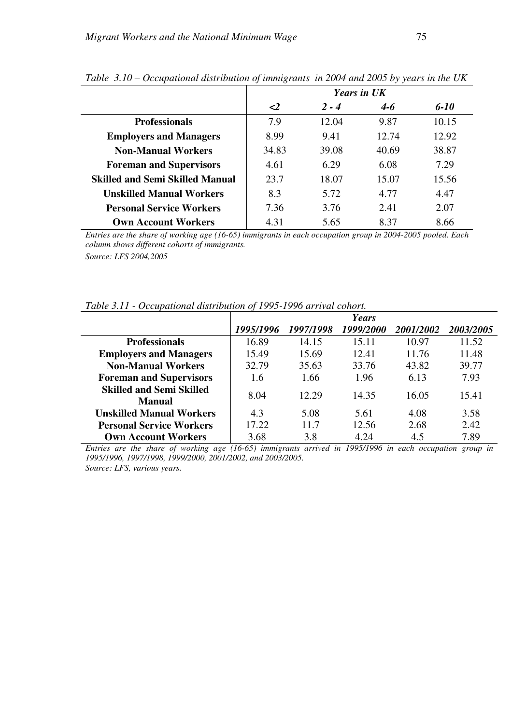|                                        |          |         | <b>Years in UK</b> |       |
|----------------------------------------|----------|---------|--------------------|-------|
|                                        | $\leq$ 2 | $2 - 4$ | $4 - 6$            | 6-10  |
| <b>Professionals</b>                   | 7.9      | 12.04   | 9.87               | 10.15 |
| <b>Employers and Managers</b>          | 8.99     | 9.41    | 12.74              | 12.92 |
| <b>Non-Manual Workers</b>              | 34.83    | 39.08   | 40.69              | 38.87 |
| <b>Foreman and Supervisors</b>         | 4.61     | 6.29    | 6.08               | 7.29  |
| <b>Skilled and Semi Skilled Manual</b> | 23.7     | 18.07   | 15.07              | 15.56 |
| <b>Unskilled Manual Workers</b>        | 8.3      | 5.72    | 4.77               | 4.47  |
| <b>Personal Service Workers</b>        | 7.36     | 3.76    | 2.41               | 2.07  |
| <b>Own Account Workers</b>             | 4.31     | 5.65    | 8.37               | 8.66  |

*Table 3.10 – Occupational distribution of immigrants in 2004 and 2005 by years in the UK*

*Entries are the share of working age (16-65) immigrants in each occupation group in 2004-2005 pooled. Each column shows different cohorts of immigrants.* 

*Source: LFS 2004,2005*

|  |  | Table 3.11 - Occupational distribution of 1995-1996 arrival cohort. |
|--|--|---------------------------------------------------------------------|
|  |  |                                                                     |

|                                           |           |           | <b>Years</b> |                  |                         |
|-------------------------------------------|-----------|-----------|--------------|------------------|-------------------------|
|                                           | 1995/1996 | 1997/1998 | 1999/2000    | <i>2001/2002</i> | <i><b>2003/2005</b></i> |
| <b>Professionals</b>                      | 16.89     | 14.15     | 15.11        | 10.97            | 11.52                   |
| <b>Employers and Managers</b>             | 15.49     | 15.69     | 12.41        | 11.76            | 11.48                   |
| <b>Non-Manual Workers</b>                 | 32.79     | 35.63     | 33.76        | 43.82            | 39.77                   |
| <b>Foreman and Supervisors</b>            | 1.6       | 1.66      | 1.96         | 6.13             | 7.93                    |
| <b>Skilled and Semi Skilled</b><br>Manual | 8.04      | 12.29     | 14.35        | 16.05            | 15.41                   |
| <b>Unskilled Manual Workers</b>           | 4.3       | 5.08      | 5.61         | 4.08             | 3.58                    |
| <b>Personal Service Workers</b>           | 17.22     | 11.7      | 12.56        | 2.68             | 2.42                    |
| <b>Own Account Workers</b>                | 3.68      | 3.8       | 4.24         | 4.5              | 7.89                    |

*Entries are the share of working age (16-65) immigrants arrived in 1995/1996 in each occupation group in 1995/1996, 1997/1998, 1999/2000, 2001/2002, and 2003/2005. Source: LFS, various years.*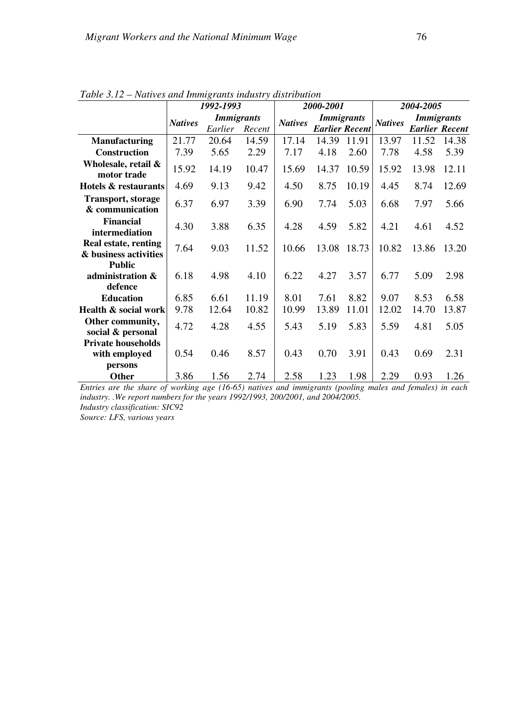|                                               |                | Trailles and minity rands thanself also tomon |        |                |                       |       |                |                   |                       |  |  |  |
|-----------------------------------------------|----------------|-----------------------------------------------|--------|----------------|-----------------------|-------|----------------|-------------------|-----------------------|--|--|--|
|                                               |                | 1992-1993                                     |        |                | 2000-2001             |       | 2004-2005      |                   |                       |  |  |  |
|                                               |                | <b>Immigrants</b>                             |        | <b>Natives</b> | <b>Immigrants</b>     |       | <b>Natives</b> | <b>Immigrants</b> |                       |  |  |  |
|                                               | <b>Natives</b> | Earlier                                       | Recent |                | <b>Earlier Recent</b> |       |                |                   | <b>Earlier Recent</b> |  |  |  |
| <b>Manufacturing</b>                          | 21.77          | 20.64                                         | 14.59  | 17.14          | 14.39                 | 11.91 | 13.97          | 11.52             | 14.38                 |  |  |  |
| <b>Construction</b>                           | 7.39           | 5.65                                          | 2.29   | 7.17           | 4.18                  | 2.60  | 7.78           | 4.58              | 5.39                  |  |  |  |
| Wholesale, retail &<br>motor trade            | 15.92          | 14.19                                         | 10.47  | 15.69          | 14.37                 | 10.59 | 15.92          | 13.98             | 12.11                 |  |  |  |
| Hotels & restaurants                          | 4.69           | 9.13                                          | 9.42   | 4.50           | 8.75                  | 10.19 | 4.45           | 8.74              | 12.69                 |  |  |  |
| <b>Transport, storage</b><br>& communication  | 6.37           | 6.97                                          | 3.39   | 6.90           | 7.74                  | 5.03  | 6.68           | 7.97              | 5.66                  |  |  |  |
| <b>Financial</b><br>intermediation            | 4.30           | 3.88                                          | 6.35   | 4.28           | 4.59                  | 5.82  | 4.21           | 4.61              | 4.52                  |  |  |  |
| Real estate, renting<br>& business activities | 7.64           | 9.03                                          | 11.52  | 10.66          | 13.08                 | 18.73 | 10.82          | 13.86             | 13.20                 |  |  |  |
| <b>Public</b><br>administration &<br>defence  | 6.18           | 4.98                                          | 4.10   | 6.22           | 4.27                  | 3.57  | 6.77           | 5.09              | 2.98                  |  |  |  |
| <b>Education</b>                              | 6.85           | 6.61                                          | 11.19  | 8.01           | 7.61                  | 8.82  | 9.07           | 8.53              | 6.58                  |  |  |  |
| Health & social work                          | 9.78           | 12.64                                         | 10.82  | 10.99          | 13.89                 | 11.01 | 12.02          | 14.70             | 13.87                 |  |  |  |
| Other community,<br>social & personal         | 4.72           | 4.28                                          | 4.55   | 5.43           | 5.19                  | 5.83  | 5.59           | 4.81              | 5.05                  |  |  |  |
| <b>Private households</b><br>with employed    | 0.54           | 0.46                                          | 8.57   | 0.43           | 0.70                  | 3.91  | 0.43           | 0.69              | 2.31                  |  |  |  |
| persons                                       |                |                                               |        |                |                       |       |                |                   |                       |  |  |  |
| Other                                         | 3.86           | 1.56                                          | 2.74   | 2.58           | 1.23                  | 1.98  | 2.29           | 0.93              | 1.26                  |  |  |  |

*Table 3.12 – Natives and Immigrants industry distribution*

*Entries are the share of working age (16-65) natives and immigrants (pooling males and females) in each industry. .We report numbers for the years 1992/1993, 200/2001, and 2004/2005. Industry classification: SIC92* 

*Source: LFS, various years*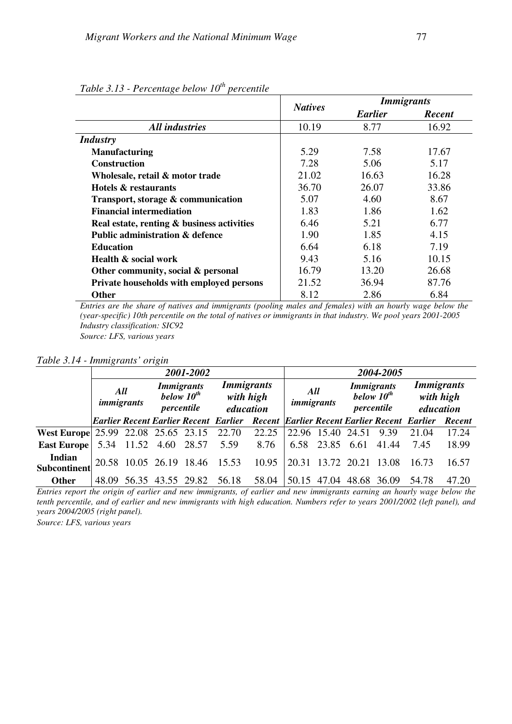| ◡                                          | <b>Natives</b> | <i>Immigrants</i> |               |
|--------------------------------------------|----------------|-------------------|---------------|
|                                            |                | <b>Earlier</b>    | <b>Recent</b> |
| <b>All industries</b>                      | 10.19          | 8.77              | 16.92         |
| <b>Industry</b>                            |                |                   |               |
| <b>Manufacturing</b>                       | 5.29           | 7.58              | 17.67         |
| <b>Construction</b>                        | 7.28           | 5.06              | 5.17          |
| Wholesale, retail & motor trade            | 21.02          | 16.63             | 16.28         |
| Hotels & restaurants                       | 36.70          | 26.07             | 33.86         |
| Transport, storage & communication         | 5.07           | 4.60              | 8.67          |
| <b>Financial intermediation</b>            | 1.83           | 1.86              | 1.62          |
| Real estate, renting & business activities | 6.46           | 5.21              | 6.77          |
| <b>Public administration &amp; defence</b> | 1.90           | 1.85              | 4.15          |
| <b>Education</b>                           | 6.64           | 6.18              | 7.19          |
| Health & social work                       | 9.43           | 5.16              | 10.15         |
| Other community, social & personal         | 16.79          | 13.20             | 26.68         |
| Private households with employed persons   | 21.52          | 36.94             | 87.76         |
| <b>Other</b>                               | 8.12           | 2.86              | 6.84          |

*Table 3.13 - Percentage below 10th percentile* 

*Entries are the share of natives and immigrants (pooling males and females) with an hourly wage below the (year-specific) 10th percentile on the total of natives or immigrants in that industry. We pool years 2001-2005 Industry classification: SIC92*

*Source: LFS, various years* 

*Table 3.14 - Immigrants' origin*

|                                                                                |                   |  | 2001-2002                                                                                         |                                                                                      |       | 2004-2005                |  |                                                    |      |                                             |               |  |
|--------------------------------------------------------------------------------|-------------------|--|---------------------------------------------------------------------------------------------------|--------------------------------------------------------------------------------------|-------|--------------------------|--|----------------------------------------------------|------|---------------------------------------------|---------------|--|
|                                                                                | All<br>immigrants |  | <i>Immigrants</i><br><b>Immigrants</b><br>below $10^{th}$<br>with high<br>percentile<br>education |                                                                                      |       | All<br><i>immigrants</i> |  | <b>Immigrants</b><br>below $10^{th}$<br>percentile |      | <b>Immigrants</b><br>with high<br>education |               |  |
|                                                                                |                   |  |                                                                                                   | Earlier Recent Earlier Recent Earlier Recent   Earlier Recent Earlier Recent Earlier |       |                          |  |                                                    |      |                                             | <b>Recent</b> |  |
| West Europe 25.99 22.08 25.65 23.15 22.70 22.25 22.96 15.40 24.51              |                   |  |                                                                                                   |                                                                                      |       |                          |  |                                                    | 9.39 | 21.04                                       | 17.24         |  |
| <b>East Europe</b> $\begin{bmatrix} 5.34 & 11.52 & 4.60 & 28.57 \end{bmatrix}$ |                   |  |                                                                                                   | 5.59                                                                                 | 8.76  |                          |  | 6.58 23.85 6.61 41.44                              |      | 7.45                                        | 18.99         |  |
| Indian<br>Subcontinent                                                         |                   |  | 20.58 10.05 26.19 18.46 15.53                                                                     |                                                                                      | 10.95 |                          |  | 20.31 13.72 20.21 13.08                            |      | 16.73                                       | 16.57         |  |
| <b>Other</b>                                                                   |                   |  | 48.09 56.35 43.55 29.82                                                                           | 56.18                                                                                | 58.04 |                          |  | 50.15 47.04 48.68 36.09                            |      | 54.78                                       | 47.20         |  |

*Entries report the origin of earlier and new immigrants, of earlier and new immigrants earning an hourly wage below the tenth percentile, and of earlier and new immigrants with high education. Numbers refer to years 2001/2002 (left panel), and years 2004/2005 (right panel).* 

*Source: LFS, various years*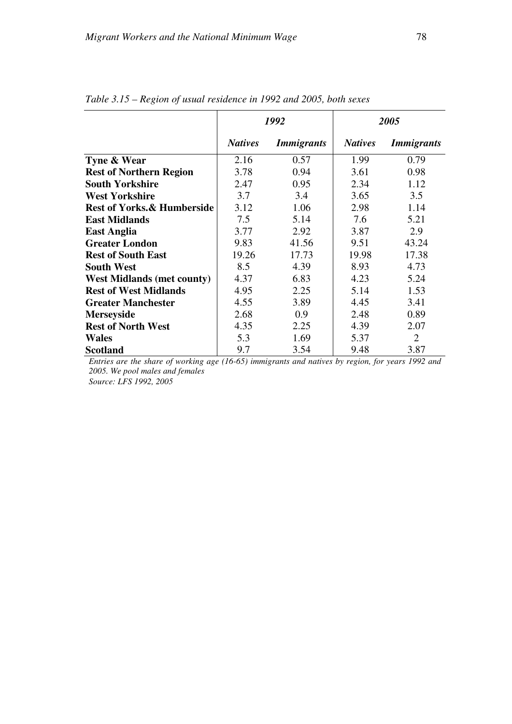|                                       |                | 1992              |                | 2005                     |
|---------------------------------------|----------------|-------------------|----------------|--------------------------|
|                                       | <b>Natives</b> | <i>Immigrants</i> | <b>Natives</b> | <i><b>Immigrants</b></i> |
| Tyne & Wear                           | 2.16           | 0.57              | 1.99           | 0.79                     |
| <b>Rest of Northern Region</b>        | 3.78           | 0.94              | 3.61           | 0.98                     |
| <b>South Yorkshire</b>                | 2.47           | 0.95              | 2.34           | 1.12                     |
| <b>West Yorkshire</b>                 | 3.7            | 3.4               | 3.65           | 3.5                      |
| <b>Rest of Yorks.&amp; Humberside</b> | 3.12           | 1.06              | 2.98           | 1.14                     |
| <b>East Midlands</b>                  | 7.5            | 5.14              | 7.6            | 5.21                     |
| <b>East Anglia</b>                    | 3.77           | 2.92              | 3.87           | 2.9                      |
| <b>Greater London</b>                 | 9.83           | 41.56             | 9.51           | 43.24                    |
| <b>Rest of South East</b>             | 19.26          | 17.73             | 19.98          | 17.38                    |
| <b>South West</b>                     | 8.5            | 4.39              | 8.93           | 4.73                     |
| <b>West Midlands (met county)</b>     | 4.37           | 6.83              | 4.23           | 5.24                     |
| <b>Rest of West Midlands</b>          | 4.95           | 2.25              | 5.14           | 1.53                     |
| <b>Greater Manchester</b>             | 4.55           | 3.89              | 4.45           | 3.41                     |
| <b>Merseyside</b>                     | 2.68           | 0.9               | 2.48           | 0.89                     |
| <b>Rest of North West</b>             | 4.35           | 2.25              | 4.39           | 2.07                     |
| <b>Wales</b>                          | 5.3            | 1.69              | 5.37           | 2                        |
| <b>Scotland</b>                       | 9.7            | 3.54              | 9.48           | 3.87                     |

*Table 3.15 – Region of usual residence in 1992 and 2005, both sexes* 

*Entries are the share of working age (16-65) immigrants and natives by region, for years 1992 and 2005. We pool males and females* 

*Source: LFS 1992, 2005*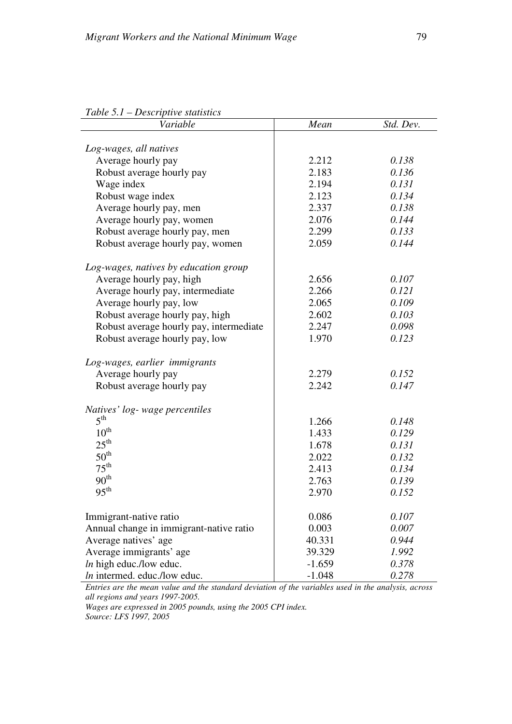| Tubic 5.1 – Descriptive statistics      |          |           |
|-----------------------------------------|----------|-----------|
| Variable                                | Mean     | Std. Dev. |
|                                         |          |           |
| Log-wages, all natives                  |          |           |
| Average hourly pay                      | 2.212    | 0.138     |
| Robust average hourly pay               | 2.183    | 0.136     |
| Wage index                              | 2.194    | 0.131     |
| Robust wage index                       | 2.123    | 0.134     |
| Average hourly pay, men                 | 2.337    | 0.138     |
| Average hourly pay, women               | 2.076    | 0.144     |
| Robust average hourly pay, men          | 2.299    | 0.133     |
| Robust average hourly pay, women        | 2.059    | 0.144     |
| Log-wages, natives by education group   |          |           |
| Average hourly pay, high                | 2.656    | 0.107     |
| Average hourly pay, intermediate        | 2.266    | 0.121     |
| Average hourly pay, low                 | 2.065    | 0.109     |
| Robust average hourly pay, high         | 2.602    | 0.103     |
| Robust average hourly pay, intermediate | 2.247    | 0.098     |
| Robust average hourly pay, low          | 1.970    | 0.123     |
| Log-wages, earlier immigrants           |          |           |
| Average hourly pay                      | 2.279    | 0.152     |
| Robust average hourly pay               | 2.242    | 0.147     |
| Natives' log- wage percentiles          |          |           |
| $5^{\text{th}}$                         | 1.266    | 0.148     |
| $10^{\text{th}}$                        | 1.433    | 0.129     |
| $25^{\text{th}}$                        | 1.678    | 0.131     |
| $50^{\text{th}}$                        | 2.022    | 0.132     |
| $75^{\text{th}}$                        | 2.413    | 0.134     |
| 90 <sup>th</sup>                        | 2.763    | 0.139     |
| $95^{\text{th}}$                        | 2.970    | 0.152     |
| Immigrant-native ratio                  | 0.086    | 0.107     |
| Annual change in immigrant-native ratio | 0.003    | 0.007     |
| Average natives' age                    | 40.331   | 0.944     |
| Average immigrants' age                 | 39.329   | 1.992     |
| $ln$ high educ./low educ.               | $-1.659$ | 0.378     |
| In intermed. educ./low educ.            | $-1.048$ | 0.278     |
|                                         |          |           |

## *Table 5.1 – Descriptive statistics*

*Entries are the mean value and the standard deviation of the variables used in the analysis, across all regions and years 1997-2005.* 

*Wages are expressed in 2005 pounds, using the 2005 CPI index. Source: LFS 1997, 2005*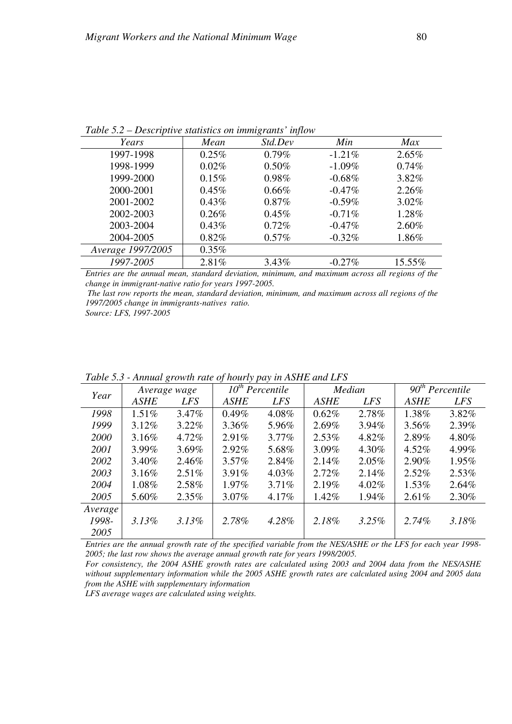| Std.Dev<br>Min<br>Max<br>Years<br>Mean<br>1997-1998<br>$0.79\%$<br>$0.25\%$<br>2.65%<br>$-1.21\%$<br>1998-1999<br>0.50%<br>0.74%<br>$0.02\%$<br>$-1.09\%$<br>1999-2000<br>0.98%<br>3.82%<br>0.15%<br>$-0.68%$<br>2000-2001<br>2.26%<br>$0.45\%$<br>$0.66\%$<br>$-0.47\%$<br>2001-2002<br>$3.02\%$<br>$0.43\%$<br>$0.87\%$<br>$-0.59\%$<br>2002-2003<br>1.28%<br>$0.26\%$<br>$0.45\%$<br>$-0.71\%$<br>2003-2004<br>0.72%<br>2.60%<br>$0.43\%$<br>$-0.47\%$ |           |          | $\cdot$  |           |       |
|-----------------------------------------------------------------------------------------------------------------------------------------------------------------------------------------------------------------------------------------------------------------------------------------------------------------------------------------------------------------------------------------------------------------------------------------------------------|-----------|----------|----------|-----------|-------|
|                                                                                                                                                                                                                                                                                                                                                                                                                                                           |           |          |          |           |       |
|                                                                                                                                                                                                                                                                                                                                                                                                                                                           |           |          |          |           |       |
|                                                                                                                                                                                                                                                                                                                                                                                                                                                           |           |          |          |           |       |
|                                                                                                                                                                                                                                                                                                                                                                                                                                                           |           |          |          |           |       |
|                                                                                                                                                                                                                                                                                                                                                                                                                                                           |           |          |          |           |       |
|                                                                                                                                                                                                                                                                                                                                                                                                                                                           |           |          |          |           |       |
|                                                                                                                                                                                                                                                                                                                                                                                                                                                           |           |          |          |           |       |
|                                                                                                                                                                                                                                                                                                                                                                                                                                                           |           |          |          |           |       |
|                                                                                                                                                                                                                                                                                                                                                                                                                                                           | 2004-2005 | $0.82\%$ | $0.57\%$ | $-0.32\%$ | 1.86% |
| Average 1997/2005<br>$0.35\%$                                                                                                                                                                                                                                                                                                                                                                                                                             |           |          |          |           |       |
| 1997-2005<br>2.81%<br>15.55%<br>3.43%<br>$-0.27%$                                                                                                                                                                                                                                                                                                                                                                                                         |           |          |          |           |       |

*Table 5.2 – Descriptive statistics on immigrants' inflow* 

*Entries are the annual mean, standard deviation, minimum, and maximum across all regions of the change in immigrant-native ratio for years 1997-2005.* 

 *The last row reports the mean, standard deviation, minimum, and maximum across all regions of the 1997/2005 change in immigrants-natives ratio.* 

*Source: LFS, 1997-2005*

| Year    |             | Average wage |             | $\overline{10}$ <sup>th</sup> Percentile |             | Median     |             | $90th$ Percentile |
|---------|-------------|--------------|-------------|------------------------------------------|-------------|------------|-------------|-------------------|
|         | <b>ASHE</b> | <b>LFS</b>   | <b>ASHE</b> | <b>LFS</b>                               | <b>ASHE</b> | <b>LFS</b> | <b>ASHE</b> | <i>LFS</i>        |
| 1998    | 1.51%       | 3.47%        | $0.49\%$    | 4.08%                                    | 0.62%       | 2.78%      | 1.38%       | 3.82%             |
| 1999    | $3.12\%$    | $3.22\%$     | 3.36%       | 5.96%                                    | 2.69%       | $3.94\%$   | 3.56%       | 2.39%             |
| 2000    | 3.16%       | 4.72%        | 2.91%       | $3.77\%$                                 | $2.53\%$    | 4.82%      | 2.89%       | 4.80%             |
| 2001    | 3.99%       | 3.69%        | 2.92%       | 5.68%                                    | 3.09%       | 4.30%      | 4.52%       | 4.99%             |
| 2002    | 3.40%       | 2.46%        | $3.57\%$    | 2.84%                                    | 2.14%       | $2.05\%$   | 2.90%       | 1.95%             |
| 2003    | 3.16%       | $2.51\%$     | 3.91%       | 4.03%                                    | 2.72%       | 2.14%      | 2.52%       | $2.53\%$          |
| 2004    | 1.08%       | 2.58%        | 1.97%       | 3.71%                                    | 2.19%       | $4.02\%$   | 1.53%       | 2.64%             |
| 2005    | 5.60%       | $2.35\%$     | $3.07\%$    | 4.17%                                    | 1.42%       | 1.94%      | 2.61%       | 2.30%             |
| Average |             |              |             |                                          |             |            |             |                   |
| 1998-   | 3.13%       | $3.13\%$     | 2.78%       | 4.28%                                    | 2.18%       | 3.25%      | 2.74%       | 3.18%             |
| 2005    |             |              |             |                                          |             |            |             |                   |

*Table 5.3 - Annual growth rate of hourly pay in ASHE and LFS* 

*Entries are the annual growth rate of the specified variable from the NES/ASHE or the LFS for each year 1998- 2005; the last row shows the average annual growth rate for years 1998/2005.* 

*For consistency, the 2004 ASHE growth rates are calculated using 2003 and 2004 data from the NES/ASHE without supplementary information while the 2005 ASHE growth rates are calculated using 2004 and 2005 data from the ASHE with supplementary information* 

*LFS average wages are calculated using weights.*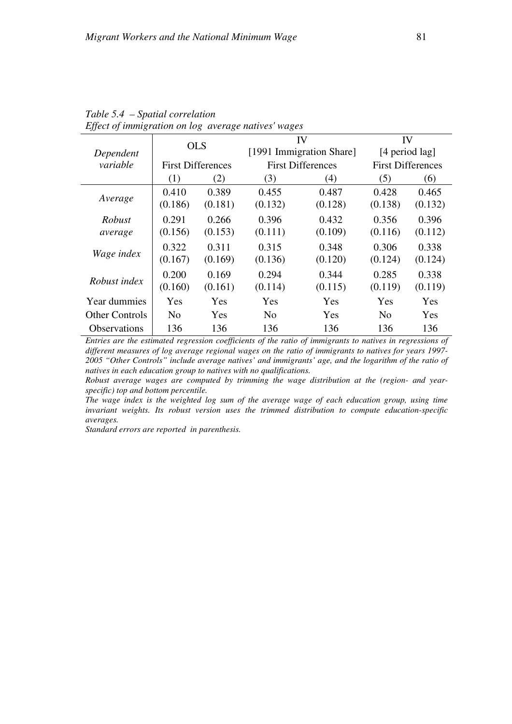|                       | <b>OLS</b>                                                                                                                                                                         |            |                | IV                       | IV                       |         |  |  |  |
|-----------------------|------------------------------------------------------------------------------------------------------------------------------------------------------------------------------------|------------|----------------|--------------------------|--------------------------|---------|--|--|--|
| Dependent             |                                                                                                                                                                                    |            |                | [1991 Immigration Share] | [4 period lag]           |         |  |  |  |
| variable              | <b>First Differences</b>                                                                                                                                                           |            |                | <b>First Differences</b> | <b>First Differences</b> |         |  |  |  |
|                       | (1)                                                                                                                                                                                | (2)        | (3)            | (4)                      | (5)                      | (6)     |  |  |  |
|                       | 0.410                                                                                                                                                                              | 0.389      | 0.455          | 0.487                    | 0.428                    | 0.465   |  |  |  |
| Average               | (0.186)                                                                                                                                                                            | (0.181)    | (0.132)        | (0.128)                  | (0.138)                  | (0.132) |  |  |  |
| Robust                | 0.291                                                                                                                                                                              | 0.266      | 0.396          | 0.432                    | 0.356                    | 0.396   |  |  |  |
| average               | (0.156)                                                                                                                                                                            | (0.153)    | (0.111)        | (0.109)                  | (0.116)                  | (0.112) |  |  |  |
|                       | 0.322                                                                                                                                                                              | 0.311      | 0.315          | 0.348                    | 0.306                    | 0.338   |  |  |  |
| Wage index            | (0.167)                                                                                                                                                                            | (0.169)    | (0.136)        | (0.120)                  | (0.124)                  | (0.124) |  |  |  |
|                       | 0.200                                                                                                                                                                              | 0.169      | 0.294          | 0.344                    | 0.285                    | 0.338   |  |  |  |
| Robust index          | (0.160)                                                                                                                                                                            | (0.161)    | (0.114)        | (0.115)                  | (0.119)                  | (0.119) |  |  |  |
| Year dummies          | Yes                                                                                                                                                                                | <b>Yes</b> | Yes            | Yes                      | Yes                      | Yes     |  |  |  |
| <b>Other Controls</b> | N <sub>0</sub>                                                                                                                                                                     | <b>Yes</b> | N <sub>0</sub> | Yes                      | N <sub>0</sub>           | Yes     |  |  |  |
| <b>Observations</b>   | 136                                                                                                                                                                                | 136        | 136            | 136                      | 136                      | 136     |  |  |  |
|                       | $F_{i_1}, \ldots, F_{i_{k-1}}$ , and $F_{i_1}, \ldots, F_{i_{k-1}}$ , and $F_{i_1}, \ldots, F_{i_{k-1}}$ , and $F_{i_1}, \ldots, F_{i_{k-1}}$ , and $F_{i_1}, \ldots, F_{i_{k-1}}$ |            |                |                          |                          |         |  |  |  |

*Table 5.4 – Spatial correlation Effect of immigration on log average natives' wages*

*Entries are the estimated regression coefficients of the ratio of immigrants to natives in regressions of different measures of log average regional wages on the ratio of immigrants to natives for years 1997- 2005 "Other Controls" include average natives' and immigrants' age, and the logarithm of the ratio of natives in each education group to natives with no qualifications.* 

*Robust average wages are computed by trimming the wage distribution at the (region- and yearspecific) top and bottom percentile.* 

*The wage index is the weighted log sum of the average wage of each education group, using time invariant weights. Its robust version uses the trimmed distribution to compute education-specific averages.*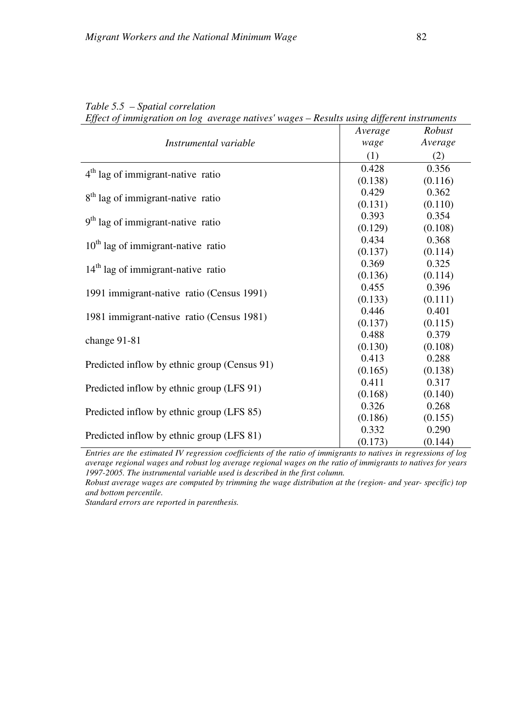| Effect of immigration on log average natives wages – Results using alfferent instruments |         |         |
|------------------------------------------------------------------------------------------|---------|---------|
|                                                                                          | Average | Robust  |
| Instrumental variable                                                                    | wage    | Average |
|                                                                                          | (1)     | (2)     |
| $4th$ lag of immigrant-native ratio                                                      | 0.428   | 0.356   |
|                                                                                          | (0.138) | (0.116) |
| 8 <sup>th</sup> lag of immigrant-native ratio                                            | 0.429   | 0.362   |
|                                                                                          | (0.131) | (0.110) |
| 9 <sup>th</sup> lag of immigrant-native ratio                                            | 0.393   | 0.354   |
|                                                                                          | (0.129) | (0.108) |
| $10th$ lag of immigrant-native ratio                                                     | 0.434   | 0.368   |
|                                                                                          | (0.137) | (0.114) |
| $14th$ lag of immigrant-native ratio                                                     | 0.369   | 0.325   |
|                                                                                          | (0.136) | (0.114) |
| 1991 immigrant-native ratio (Census 1991)                                                | 0.455   | 0.396   |
|                                                                                          | (0.133) | (0.111) |
| 1981 immigrant-native ratio (Census 1981)                                                | 0.446   | 0.401   |
|                                                                                          | (0.137) | (0.115) |
| change 91-81                                                                             | 0.488   | 0.379   |
|                                                                                          | (0.130) | (0.108) |
| Predicted inflow by ethnic group (Census 91)                                             | 0.413   | 0.288   |
|                                                                                          | (0.165) | (0.138) |
| Predicted inflow by ethnic group (LFS 91)                                                | 0.411   | 0.317   |
|                                                                                          | (0.168) | (0.140) |
| Predicted inflow by ethnic group (LFS 85)                                                | 0.326   | 0.268   |
|                                                                                          | (0.186) | (0.155) |
|                                                                                          | 0.332   | 0.290   |
| Predicted inflow by ethnic group (LFS 81)                                                | (0.173) | (0.144) |

## *Table 5.5 – Spatial correlation*

*Effect of immigration on log average natives' wages – Results using different instruments* 

*Entries are the estimated IV regression coefficients of the ratio of immigrants to natives in regressions of log average regional wages and robust log average regional wages on the ratio of immigrants to natives for years 1997-2005. The instrumental variable used is described in the first column.* 

*Robust average wages are computed by trimming the wage distribution at the (region- and year- specific) top and bottom percentile.*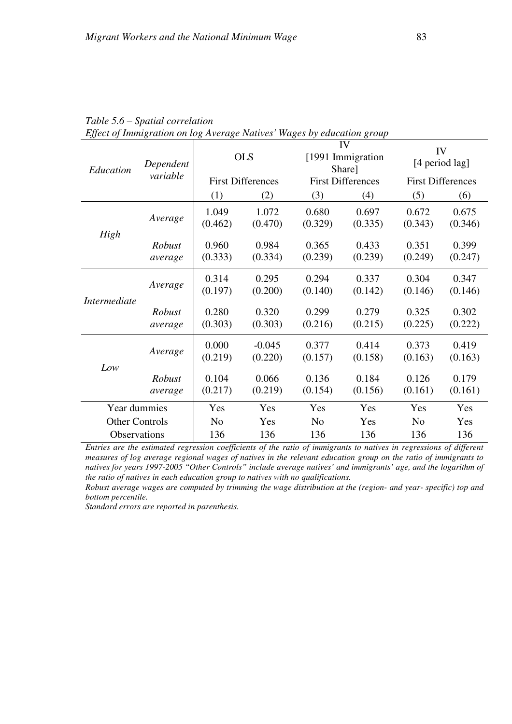| Education             | Dependent         | <b>OLS</b>       |                          | IV<br>[1991 Immigration<br>Share] |                          | IV<br>[4 period lag]     |                  |
|-----------------------|-------------------|------------------|--------------------------|-----------------------------------|--------------------------|--------------------------|------------------|
|                       | variable          |                  | <b>First Differences</b> |                                   | <b>First Differences</b> | <b>First Differences</b> |                  |
|                       |                   | (1)              | (2)                      | (3)                               | (4)                      | (5)                      | (6)              |
|                       | Average           | 1.049<br>(0.462) | 1.072<br>(0.470)         | 0.680<br>(0.329)                  | 0.697<br>(0.335)         | 0.672<br>(0.343)         | 0.675<br>(0.346) |
| High                  | Robust<br>average | 0.960<br>(0.333) | 0.984<br>(0.334)         | 0.365<br>(0.239)                  | 0.433<br>(0.239)         | 0.351<br>(0.249)         | 0.399<br>(0.247) |
| <i>Intermediate</i>   | Average           | 0.314<br>(0.197) | 0.295<br>(0.200)         | 0.294<br>(0.140)                  | 0.337<br>(0.142)         | 0.304<br>(0.146)         | 0.347<br>(0.146) |
|                       | Robust<br>average | 0.280<br>(0.303) | 0.320<br>(0.303)         | 0.299<br>(0.216)                  | 0.279<br>(0.215)         | 0.325<br>(0.225)         | 0.302<br>(0.222) |
| Low                   | Average           | 0.000<br>(0.219) | $-0.045$<br>(0.220)      | 0.377<br>(0.157)                  | 0.414<br>(0.158)         | 0.373<br>(0.163)         | 0.419<br>(0.163) |
|                       | Robust<br>average | 0.104<br>(0.217) | 0.066<br>(0.219)         | 0.136<br>(0.154)                  | 0.184<br>(0.156)         | 0.126<br>(0.161)         | 0.179<br>(0.161) |
| Year dummies          |                   | Yes              | Yes                      | Yes                               | Yes                      | Yes                      | Yes              |
| <b>Other Controls</b> |                   | N <sub>0</sub>   | Yes                      | N <sub>o</sub>                    | Yes                      | N <sub>o</sub>           | Yes              |
| <b>Observations</b>   |                   | 136              | 136                      | 136                               | 136                      | 136                      | 136              |

| Table 5.6 – Spatial correlation                                        |  |
|------------------------------------------------------------------------|--|
| Effect of Immigration on log Average Natives' Wages by education group |  |

*Entries are the estimated regression coefficients of the ratio of immigrants to natives in regressions of different measures of log average regional wages of natives in the relevant education group on the ratio of immigrants to natives for years 1997-2005 "Other Controls" include average natives' and immigrants' age, and the logarithm of the ratio of natives in each education group to natives with no qualifications.* 

*Robust average wages are computed by trimming the wage distribution at the (region- and year- specific) top and bottom percentile.*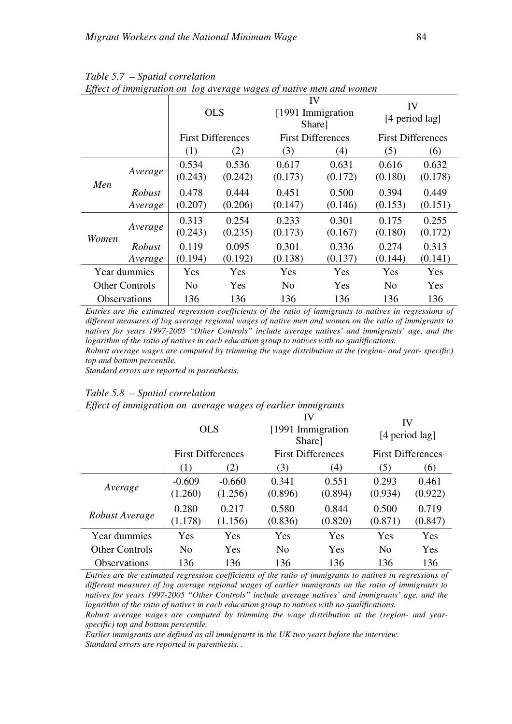| $E_{jj}$ our $\sigma_{j}$ mining convert on | <b>OLS</b>            |                  | IV<br>[1991 Immigration<br>Share] |                          | IV<br>[4 period lag] |                  |                          |
|---------------------------------------------|-----------------------|------------------|-----------------------------------|--------------------------|----------------------|------------------|--------------------------|
|                                             |                       |                  | <b>First Differences</b>          | <b>First Differences</b> |                      |                  | <b>First Differences</b> |
|                                             |                       | (1)              | (2)                               | (3)                      | (4)                  | (5)              | (6)                      |
|                                             | Average               | 0.534<br>(0.243) | 0.536<br>(0.242)                  | 0.617<br>(0.173)         | 0.631<br>(0.172)     | 0.616<br>(0.180) | 0.632<br>(0.178)         |
| Men                                         | Robust<br>Average     | 0.478<br>(0.207) | 0.444<br>(0.206)                  | 0.451<br>(0.147)         | 0.500<br>(0.146)     | 0.394<br>(0.153) | 0.449<br>(0.151)         |
| Women                                       | Average               | 0.313<br>(0.243) | 0.254<br>(0.235)                  | 0.233<br>(0.173)         | 0.301<br>(0.167)     | 0.175<br>(0.180) | 0.255<br>(0.172)         |
|                                             | Robust                | 0.119            | 0.095                             | 0.301                    | 0.336                | 0.274            | 0.313                    |
|                                             | Average               | (0.194)          | (0.192)                           | (0.138)                  | (0.137)              | (0.144)          | (0.141)                  |
|                                             | Year dummies          | Yes              | Yes                               | Yes                      | Yes                  | Yes              | Yes                      |
|                                             | <b>Other Controls</b> | N <sub>o</sub>   | Yes                               | N <sub>o</sub>           | Yes                  | N <sub>0</sub>   | Yes                      |
|                                             | <b>Observations</b>   | 136              | 136                               | 136                      | 136                  | 136              | 136                      |

*Table 5.7 – Spatial correlation Effect of immigration on log average wages of native men and women*

*Entries are the estimated regression coefficients of the ratio of immigrants to natives in regressions of different measures of log average regional wages of native men and women on the ratio of immigrants to natives for years 1997-2005 "Other Controls" include average natives' and immigrants' age, and the logarithm of the ratio of natives in each education group to natives with no qualifications. Robust average wages are computed by trimming the wage distribution at the (region- and year- specific)* 

*top and bottom percentile.* 

*Standard errors are reported in parenthesis.*

| Life of mangranon on average wages of carner mangranis |                     |                          |                                    |                  |                          |                  |
|--------------------------------------------------------|---------------------|--------------------------|------------------------------------|------------------|--------------------------|------------------|
|                                                        | <b>OLS</b>          |                          | IV<br>[1991 Immigration]<br>Share] |                  | IV<br>[4 period lag]     |                  |
|                                                        |                     | <b>First Differences</b> | <b>First Differences</b>           |                  | <b>First Differences</b> |                  |
|                                                        | (1)                 | (2)                      | (3)                                | (4)              | (5)                      | (6)              |
| Average                                                | $-0.609$<br>(1.260) | $-0.660$<br>(1.256)      | 0.341<br>(0.896)                   | 0.551<br>(0.894) | 0.293<br>(0.934)         | 0.461<br>(0.922) |
| Robust Average                                         | 0.280<br>(1.178)    | 0.217<br>(1.156)         | 0.580<br>(0.836)                   | 0.844<br>(0.820) | 0.500<br>(0.871)         | 0.719<br>(0.847) |
| Year dummies                                           | Yes                 | Yes                      | Yes                                | Yes              | Yes                      | Yes              |
| <b>Other Controls</b>                                  | N <sub>o</sub>      | Yes                      | N <sub>o</sub>                     | Yes              | No                       | Yes              |
| <b>Observations</b>                                    | 136                 | 136                      | 136                                | 136              | 136                      | 136              |

*Table 5.8 – Spatial correlation* 

*Effect of immigration on average wages of earlier immigrants*

*Entries are the estimated regression coefficients of the ratio of immigrants to natives in regressions of different measures of log average regional wages of earlier immigrants on the ratio of immigrants to natives for years 1997-2005 "Other Controls" include average natives' and immigrants' age, and the logarithm of the ratio of natives in each education group to natives with no qualifications.* 

*Robust average wages are computed by trimming the wage distribution at the (region- and yearspecific) top and bottom percentile.* 

*Earlier immigrants are defined as all immigrants in the UK two years before the interview. Standard errors are reported in parenthesis. .*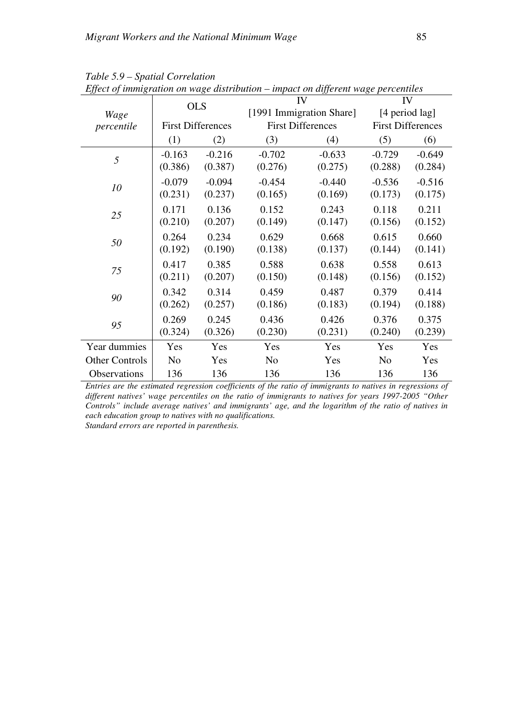| Lycer of managramon on mage ansiriouron - impact on atyferent mage percentities | <b>OLS</b>               |          | IV                       |                          | IV                       |          |
|---------------------------------------------------------------------------------|--------------------------|----------|--------------------------|--------------------------|--------------------------|----------|
| Wage                                                                            |                          |          |                          | [1991 Immigration Share] | [4 period lag]           |          |
| percentile                                                                      | <b>First Differences</b> |          | <b>First Differences</b> |                          | <b>First Differences</b> |          |
|                                                                                 | (1)                      | (2)      | (3)                      | (4)                      | (5)                      | (6)      |
| 5                                                                               | $-0.163$                 | $-0.216$ | $-0.702$                 | $-0.633$                 | $-0.729$                 | $-0.649$ |
|                                                                                 | (0.386)                  | (0.387)  | (0.276)                  | (0.275)                  | (0.288)                  | (0.284)  |
| 10                                                                              | $-0.079$                 | $-0.094$ | $-0.454$                 | $-0.440$                 | $-0.536$                 | $-0.516$ |
|                                                                                 | (0.231)                  | (0.237)  | (0.165)                  | (0.169)                  | (0.173)                  | (0.175)  |
| 25                                                                              | 0.171                    | 0.136    | 0.152                    | 0.243                    | 0.118                    | 0.211    |
|                                                                                 | (0.210)                  | (0.207)  | (0.149)                  | (0.147)                  | (0.156)                  | (0.152)  |
| 50                                                                              | 0.264                    | 0.234    | 0.629                    | 0.668                    | 0.615                    | 0.660    |
|                                                                                 | (0.192)                  | (0.190)  | (0.138)                  | (0.137)                  | (0.144)                  | (0.141)  |
| 75                                                                              | 0.417                    | 0.385    | 0.588                    | 0.638                    | 0.558                    | 0.613    |
|                                                                                 | (0.211)                  | (0.207)  | (0.150)                  | (0.148)                  | (0.156)                  | (0.152)  |
| 90                                                                              | 0.342                    | 0.314    | 0.459                    | 0.487                    | 0.379                    | 0.414    |
|                                                                                 | (0.262)                  | (0.257)  | (0.186)                  | (0.183)                  | (0.194)                  | (0.188)  |
| 95                                                                              | 0.269                    | 0.245    | 0.436                    | 0.426                    | 0.376                    | 0.375    |
|                                                                                 | (0.324)                  | (0.326)  | (0.230)                  | (0.231)                  | (0.240)                  | (0.239)  |
| Year dummies                                                                    | Yes                      | Yes      | Yes                      | Yes                      | Yes                      | Yes      |
| <b>Other Controls</b>                                                           | N <sub>o</sub>           | Yes      | No                       | Yes                      | N <sub>o</sub>           | Yes      |
| Observations                                                                    | 136                      | 136      | 136                      | 136                      | 136                      | 136      |

*Table 5.9 – Spatial Correlation Effect of immigration on wage distribution – impact on different wage percentiles*

*Entries are the estimated regression coefficients of the ratio of immigrants to natives in regressions of different natives' wage percentiles on the ratio of immigrants to natives for years 1997-2005 "Other Controls" include average natives' and immigrants' age, and the logarithm of the ratio of natives in each education group to natives with no qualifications.*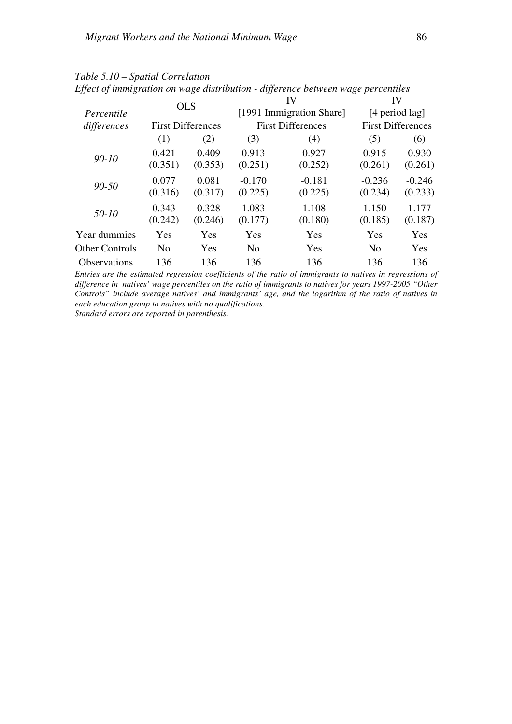| <i>JJ</i> J 0         |                |                          |                |                          |                |                          |  |
|-----------------------|----------------|--------------------------|----------------|--------------------------|----------------|--------------------------|--|
|                       | <b>OLS</b>     |                          |                | IV                       |                | IV                       |  |
| Percentile            |                |                          |                | [1991 Immigration Share] | [4 period lag] |                          |  |
| differences           |                | <b>First Differences</b> |                | <b>First Differences</b> |                | <b>First Differences</b> |  |
|                       | (1)            | (2)                      | (3)            | (4)                      | (5)            | (6)                      |  |
|                       | 0.421          | 0.409                    | 0.913          | 0.927                    | 0.915          | 0.930                    |  |
| $90 - 10$             | (0.351)        | (0.353)                  | (0.251)        | (0.252)                  | (0.261)        | (0.261)                  |  |
|                       | 0.077          | 0.081                    | $-0.170$       | $-0.181$                 | $-0.236$       | $-0.246$                 |  |
| $90 - 50$             | (0.316)        | (0.317)                  | (0.225)        | (0.225)                  | (0.234)        | (0.233)                  |  |
|                       | 0.343          | 0.328                    | 1.083          | 1.108                    | 1.150          | 1.177                    |  |
| $50 - 10$             | (0.242)        | (0.246)                  | (0.177)        | (0.180)                  | (0.185)        | (0.187)                  |  |
| Year dummies          | Yes            | Yes                      | Yes            | Yes                      | Yes            | Yes                      |  |
| <b>Other Controls</b> | N <sub>0</sub> | Yes                      | N <sub>0</sub> | Yes                      | No             | Yes                      |  |
| Observations          | 136            | 136                      | 136            | 136                      | 136            | 136                      |  |

*Table 5.10 – Spatial Correlation Effect of immigration on wage distribution - difference between wage percentiles*

*Entries are the estimated regression coefficients of the ratio of immigrants to natives in regressions of difference in natives' wage percentiles on the ratio of immigrants to natives for years 1997-2005 "Other Controls" include average natives' and immigrants' age, and the logarithm of the ratio of natives in each education group to natives with no qualifications.*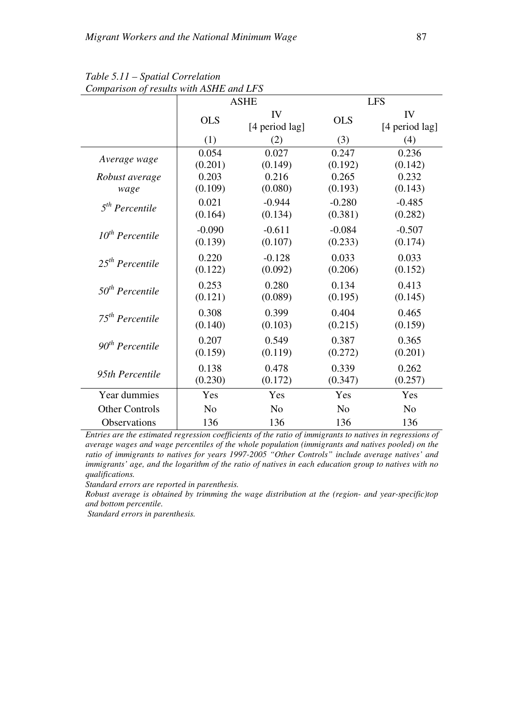|                       |                | <b>ASHE</b>          |                | <b>LFS</b>           |
|-----------------------|----------------|----------------------|----------------|----------------------|
|                       | <b>OLS</b>     | IV<br>[4 period lag] | <b>OLS</b>     | IV<br>[4 period lag] |
|                       | (1)            | (2)                  | (3)            | (4)                  |
| Average wage          | 0.054          | 0.027                | 0.247          | 0.236                |
|                       | (0.201)        | (0.149)              | (0.192)        | (0.142)              |
| Robust average        | 0.203          | 0.216                | 0.265          | 0.232                |
| wage                  | (0.109)        | (0.080)              | (0.193)        | (0.143)              |
| $5th$ Percentile      | 0.021          | $-0.944$             | $-0.280$       | $-0.485$             |
|                       | (0.164)        | (0.134)              | (0.381)        | (0.282)              |
| $10^{th}$ Percentile  | $-0.090$       | $-0.611$             | $-0.084$       | $-0.507$             |
|                       | (0.139)        | (0.107)              | (0.233)        | (0.174)              |
| $25^{th}$ Percentile  | 0.220          | $-0.128$             | 0.033          | 0.033                |
|                       | (0.122)        | (0.092)              | (0.206)        | (0.152)              |
| $50th$ Percentile     | 0.253          | 0.280                | 0.134          | 0.413                |
|                       | (0.121)        | (0.089)              | (0.195)        | (0.145)              |
| $75th$ Percentile     | 0.308          | 0.399                | 0.404          | 0.465                |
|                       | (0.140)        | (0.103)              | (0.215)        | (0.159)              |
| $90th$ Percentile     | 0.207          | 0.549                | 0.387          | 0.365                |
|                       | (0.159)        | (0.119)              | (0.272)        | (0.201)              |
| 95th Percentile       | 0.138          | 0.478                | 0.339          | 0.262                |
|                       | (0.230)        | (0.172)              | (0.347)        | (0.257)              |
| Year dummies          | Yes            | Yes                  | Yes            | Yes                  |
| <b>Other Controls</b> | N <sub>o</sub> | N <sub>o</sub>       | N <sub>o</sub> | N <sub>o</sub>       |
| Observations          | 136            | 136                  | 136            | 136                  |

*Table 5.11 – Spatial Correlation Comparison of results with ASHE and LFS* 

*Entries are the estimated regression coefficients of the ratio of immigrants to natives in regressions of average wages and wage percentiles of the whole population (immigrants and natives pooled) on the ratio of immigrants to natives for years 1997-2005 "Other Controls" include average natives' and immigrants' age, and the logarithm of the ratio of natives in each education group to natives with no qualifications.* 

*Standard errors are reported in parenthesis.* 

*Robust average is obtained by trimming the wage distribution at the (region- and year-specific)top and bottom percentile.* 

 *Standard errors in parenthesis.*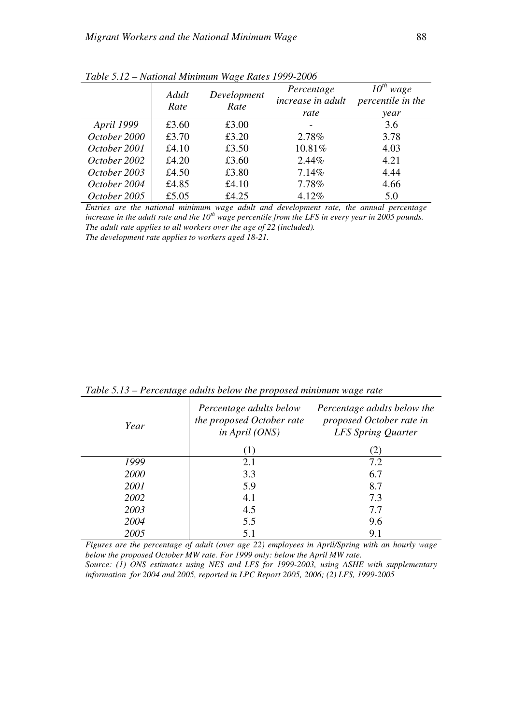|              | $\frac{1}{2}$ |                     |                                 |                           |  |  |  |
|--------------|---------------|---------------------|---------------------------------|---------------------------|--|--|--|
|              | Adult<br>Rate | Development<br>Rate | Percentage<br>increase in adult | wage<br>percentile in the |  |  |  |
|              |               |                     | rate                            | year                      |  |  |  |
| April 1999   | £3.60         | £3.00               |                                 | 3.6                       |  |  |  |
| October 2000 | £3.70         | £3.20               | 2.78%                           | 3.78                      |  |  |  |
| October 2001 | £4.10         | £3.50               | 10.81%                          | 4.03                      |  |  |  |
| October 2002 | £4.20         | £3.60               | 2.44%                           | 4.21                      |  |  |  |
| October 2003 | £4.50         | £3.80               | 7.14%                           | 4.44                      |  |  |  |
| October 2004 | £4.85         | £4.10               | 7.78%                           | 4.66                      |  |  |  |
| October 2005 | £5.05         | £4.25               | 4.12%                           | 5.0                       |  |  |  |

*Table 5.12 – National Minimum Wage Rates 1999-2006* 

*Entries are the national minimum wage adult and development rate, the annual percentage increase in the adult rate and the 10th wage percentile from the LFS in every year in 2005 pounds. The adult rate applies to all workers over the age of 22 (included). The development rate applies to workers aged 18-21.*

| Year | Percentage adults below<br>the proposed October rate<br>in April (ONS) | Percentage adults below the<br>proposed October rate in<br>LFS Spring Quarter |  |  |
|------|------------------------------------------------------------------------|-------------------------------------------------------------------------------|--|--|
|      | (1)                                                                    | (2)                                                                           |  |  |
| 1999 | 2.1                                                                    | 7.2                                                                           |  |  |
| 2000 | 3.3                                                                    | 6.7                                                                           |  |  |
| 2001 | 5.9                                                                    | 8.7                                                                           |  |  |
| 2002 | 4.1                                                                    | 7.3                                                                           |  |  |
| 2003 | 4.5                                                                    | 7.7                                                                           |  |  |
| 2004 | 5.5                                                                    | 9.6                                                                           |  |  |
| 2005 | 5.1                                                                    | 9.1                                                                           |  |  |

*Table 5.13 – Percentage adults below the proposed minimum wage rate* 

*Figures are the percentage of adult (over age 22) employees in April/Spring with an hourly wage below the proposed October MW rate. For 1999 only: below the April MW rate. Source: (1) ONS estimates using NES and LFS for 1999-2003, using ASHE with supplementary* 

*information for 2004 and 2005, reported in LPC Report 2005, 2006; (2) LFS, 1999-2005*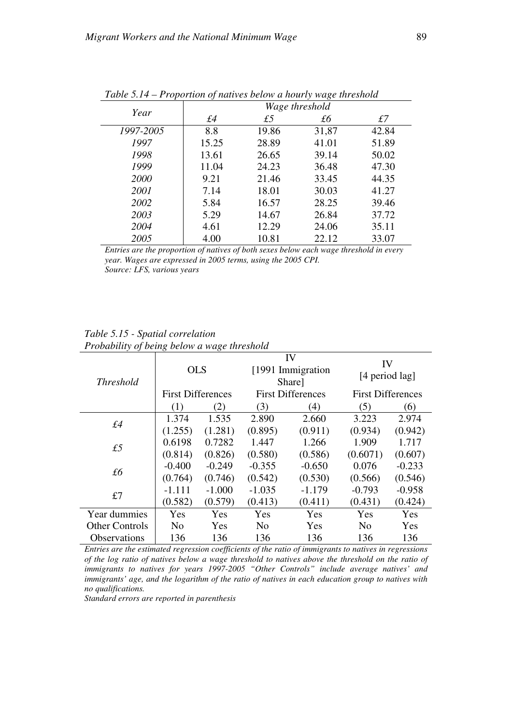| $\ldots$  | The political of natures seton a notary mage the estimate<br>Wage threshold |       |       |       |  |  |
|-----------|-----------------------------------------------------------------------------|-------|-------|-------|--|--|
| Year      | £4                                                                          | £5    | £б    | £7    |  |  |
| 1997-2005 | 8.8                                                                         | 19.86 | 31,87 | 42.84 |  |  |
| 1997      | 15.25                                                                       | 28.89 | 41.01 | 51.89 |  |  |
| 1998      | 13.61                                                                       | 26.65 | 39.14 | 50.02 |  |  |
| 1999      | 11.04                                                                       | 24.23 | 36.48 | 47.30 |  |  |
| 2000      | 9.21                                                                        | 21.46 | 33.45 | 44.35 |  |  |
| 2001      | 7.14                                                                        | 18.01 | 30.03 | 41.27 |  |  |
| 2002      | 5.84                                                                        | 16.57 | 28.25 | 39.46 |  |  |
| 2003      | 5.29                                                                        | 14.67 | 26.84 | 37.72 |  |  |
| 2004      | 4.61                                                                        | 12.29 | 24.06 | 35.11 |  |  |
| 2005      | 4.00                                                                        | 10.81 | 22.12 | 33.07 |  |  |

*Table 5.14 – Proportion of natives below a hourly wage threshold* 

*Entries are the proportion of natives of both sexes below each wage threshold in every year. Wages are expressed in 2005 terms, using the 2005 CPI. Source: LFS, various years* 

## *Table 5.15 - Spatial correlation Probability of being below a wage threshold*

| <b>Threshold</b>      | <b>OLS</b>               |               | IV<br>[1991 Immigration]<br>Share] |          | IV<br>[4 period lag]     |          |
|-----------------------|--------------------------|---------------|------------------------------------|----------|--------------------------|----------|
|                       | <b>First Differences</b> |               | <b>First Differences</b>           |          | <b>First Differences</b> |          |
|                       | (1)                      | $\mathbf{2})$ | (3)                                | (4)      | (5)                      | (6)      |
| f4                    | 1.374                    | 1.535         | 2.890                              | 2.660    | 3.223                    | 2.974    |
|                       | (1.255)                  | (1.281)       | (0.895)                            | (0.911)  | (0.934)                  | (0.942)  |
| £5                    | 0.6198                   | 0.7282        | 1.447                              | 1.266    | 1.909                    | 1.717    |
|                       | (0.814)                  | (0.826)       | (0.580)                            | (0.586)  | (0.6071)                 | (0.607)  |
| £6                    | $-0.400$                 | $-0.249$      | $-0.355$                           | $-0.650$ | 0.076                    | $-0.233$ |
|                       | (0.764)                  | (0.746)       | (0.542)                            | (0.530)  | (0.566)                  | (0.546)  |
| £7                    | -1.111                   | $-1.000$      | $-1.035$                           | $-1.179$ | $-0.793$                 | $-0.958$ |
|                       | (0.582)                  | (0.579)       | (0.413)                            | (0.411)  | (0.431)                  | (0.424)  |
| Year dummies          | Yes                      | Yes           | Yes                                | Yes      | Yes                      | Yes      |
| <b>Other Controls</b> | N <sub>0</sub>           | Yes           | N <sub>0</sub>                     | Yes      | N <sub>0</sub>           | Yes      |
| Observations          | 136                      | 136           | 136                                | 136      | 136                      | 136      |

*Entries are the estimated regression coefficients of the ratio of immigrants to natives in regressions of the log ratio of natives below a wage threshold to natives above the threshold on the ratio of immigrants to natives for years 1997-2005 "Other Controls" include average natives' and immigrants' age, and the logarithm of the ratio of natives in each education group to natives with no qualifications.*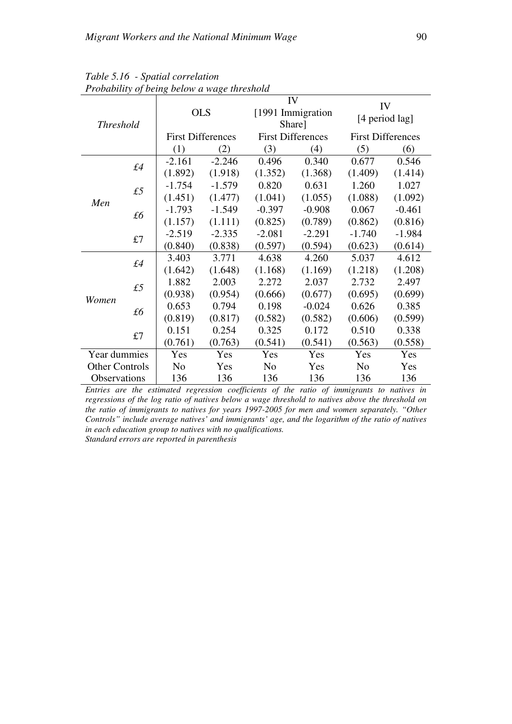| т годилиту ој дених деном и маде ни смони |    |                          |          |                          |          |                          |          |  |
|-------------------------------------------|----|--------------------------|----------|--------------------------|----------|--------------------------|----------|--|
| <b>Threshold</b>                          |    | <b>OLS</b>               |          | IV<br>[1991 Immigration  |          | IV                       |          |  |
|                                           |    |                          |          | Share]                   |          | [4 period lag]           |          |  |
|                                           |    | <b>First Differences</b> |          | <b>First Differences</b> |          | <b>First Differences</b> |          |  |
|                                           |    | (1)                      | (2)      | (3)                      | (4)      | (5)                      | (6)      |  |
| f4                                        |    | $-2.161$                 | $-2.246$ | 0.496                    | 0.340    | 0.677                    | 0.546    |  |
|                                           |    | (1.892)                  | (1.918)  | (1.352)                  | (1.368)  | (1.409)                  | (1.414)  |  |
|                                           | £5 | $-1.754$                 | $-1.579$ | 0.820                    | 0.631    | 1.260                    | 1.027    |  |
| Men                                       |    | (1.451)                  | (1.477)  | (1.041)                  | (1.055)  | (1.088)                  | (1.092)  |  |
|                                           | £б | $-1.793$                 | $-1.549$ | $-0.397$                 | $-0.908$ | 0.067                    | $-0.461$ |  |
|                                           |    | (1.157)                  | (1.111)  | (0.825)                  | (0.789)  | (0.862)                  | (0.816)  |  |
|                                           | £7 | $-2.519$                 | $-2.335$ | $-2.081$                 | $-2.291$ | $-1.740$                 | $-1.984$ |  |
|                                           |    | (0.840)                  | (0.838)  | (0.597)                  | (0.594)  | (0.623)                  | (0.614)  |  |
| f4                                        |    | 3.403                    | 3.771    | 4.638                    | 4.260    | 5.037                    | 4.612    |  |
|                                           |    | (1.642)                  | (1.648)  | (1.168)                  | (1.169)  | (1.218)                  | (1.208)  |  |
|                                           | £5 | 1.882                    | 2.003    | 2.272                    | 2.037    | 2.732                    | 2.497    |  |
| Women                                     |    | (0.938)                  | (0.954)  | (0.666)                  | (0.677)  | (0.695)                  | (0.699)  |  |
|                                           | £б | 0.653                    | 0.794    | 0.198                    | $-0.024$ | 0.626                    | 0.385    |  |
|                                           |    | (0.819)                  | (0.817)  | (0.582)                  | (0.582)  | (0.606)                  | (0.599)  |  |
|                                           | £7 | 0.151                    | 0.254    | 0.325                    | 0.172    | 0.510                    | 0.338    |  |
|                                           |    | (0.761)                  | (0.763)  | (0.541)                  | (0.541)  | (0.563)                  | (0.558)  |  |
| Year dummies                              |    | Yes                      | Yes      | Yes                      | Yes      | Yes                      | Yes      |  |
| <b>Other Controls</b>                     |    | N <sub>o</sub>           | Yes      | N <sub>o</sub>           | Yes      | N <sub>o</sub>           | Yes      |  |
| Observations                              |    | 136                      | 136      | 136                      | 136      | 136                      | 136      |  |

*Table 5.16 - Spatial correlation Probability of being below a wage threshold*

*Entries are the estimated regression coefficients of the ratio of immigrants to natives in regressions of the log ratio of natives below a wage threshold to natives above the threshold on the ratio of immigrants to natives for years 1997-2005 for men and women separately. "Other Controls" include average natives' and immigrants' age, and the logarithm of the ratio of natives in each education group to natives with no qualifications. Standard errors are reported in parenthesis*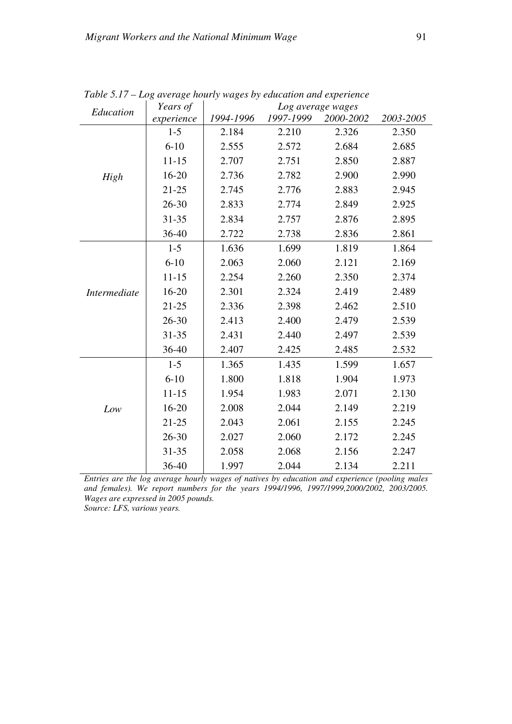| Education    | Years of   | Log average wages |           |           |           |  |
|--------------|------------|-------------------|-----------|-----------|-----------|--|
|              | experience | 1994-1996         | 1997-1999 | 2000-2002 | 2003-2005 |  |
|              | $1 - 5$    | 2.184             | 2.210     | 2.326     | 2.350     |  |
|              | $6 - 10$   | 2.555             | 2.572     | 2.684     | 2.685     |  |
|              | $11 - 15$  | 2.707             | 2.751     | 2.850     | 2.887     |  |
| High         | $16 - 20$  | 2.736             | 2.782     | 2.900     | 2.990     |  |
|              | $21 - 25$  | 2.745             | 2.776     | 2.883     | 2.945     |  |
|              | $26 - 30$  | 2.833             | 2.774     | 2.849     | 2.925     |  |
|              | 31-35      | 2.834             | 2.757     | 2.876     | 2.895     |  |
|              | 36-40      | 2.722             | 2.738     | 2.836     | 2.861     |  |
|              | $1 - 5$    | 1.636             | 1.699     | 1.819     | 1.864     |  |
|              | $6 - 10$   | 2.063             | 2.060     | 2.121     | 2.169     |  |
|              | $11 - 15$  | 2.254             | 2.260     | 2.350     | 2.374     |  |
| Intermediate | 16-20      | 2.301             | 2.324     | 2.419     | 2.489     |  |
|              | $21 - 25$  | 2.336             | 2.398     | 2.462     | 2.510     |  |
|              | $26 - 30$  | 2.413             | 2.400     | 2.479     | 2.539     |  |
|              | 31-35      | 2.431             | 2.440     | 2.497     | 2.539     |  |
|              | 36-40      | 2.407             | 2.425     | 2.485     | 2.532     |  |
|              | $1 - 5$    | 1.365             | 1.435     | 1.599     | 1.657     |  |
|              | $6 - 10$   | 1.800             | 1.818     | 1.904     | 1.973     |  |
|              | $11 - 15$  | 1.954             | 1.983     | 2.071     | 2.130     |  |
| Low          | $16 - 20$  | 2.008             | 2.044     | 2.149     | 2.219     |  |
|              | $21 - 25$  | 2.043             | 2.061     | 2.155     | 2.245     |  |
|              | $26 - 30$  | 2.027             | 2.060     | 2.172     | 2.245     |  |
|              | 31-35      | 2.058             | 2.068     | 2.156     | 2.247     |  |
|              | 36-40      | 1.997             | 2.044     | 2.134     | 2.211     |  |

*Table 5.17 – Log average hourly wages by education and experience* 

*Entries are the log average hourly wages of natives by education and experience (pooling males and females). We report numbers for the years 1994/1996, 1997/1999,2000/2002, 2003/2005. Wages are expressed in 2005 pounds.* 

*Source: LFS, various years.*